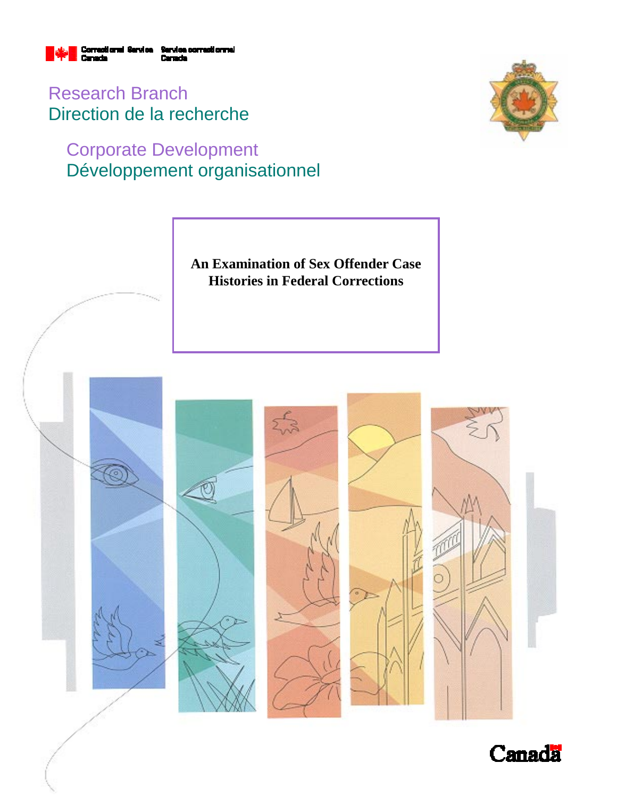

Research Branch Direction de la recherche

# Corporate Development Développement organisationnel



**An Examination of Sex Offender Case Histories in Federal Corrections** 



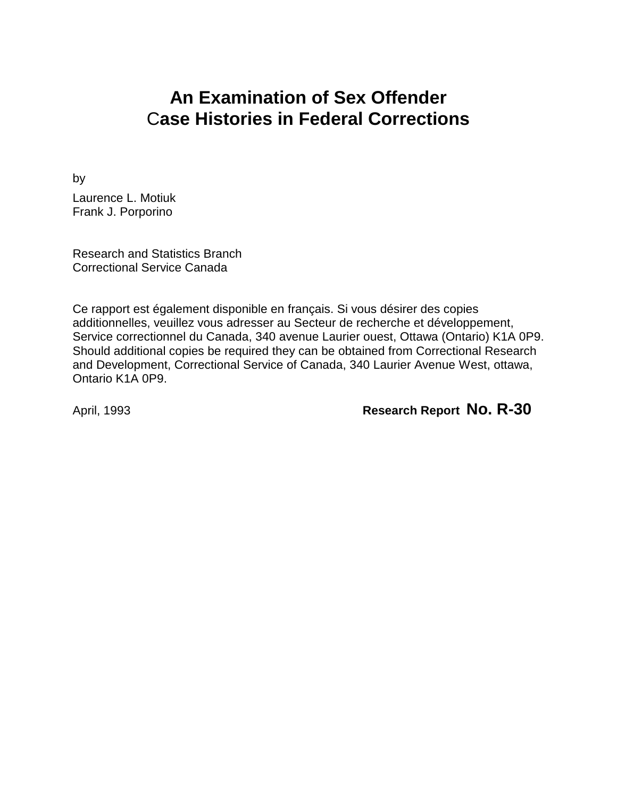# **An Examination of Sex Offender** C**ase Histories in Federal Corrections**

by

Laurence L. Motiuk Frank J. Porporino

Research and Statistics Branch Correctional Service Canada

Ce rapport est également disponible en français. Si vous désirer des copies additionnelles, veuillez vous adresser au Secteur de recherche et développement, Service correctionnel du Canada, 340 avenue Laurier ouest, Ottawa (Ontario) K1A 0P9. Should additional copies be required they can be obtained from Correctional Research and Development, Correctional Service of Canada, 340 Laurier Avenue West, ottawa, Ontario K1A 0P9.

April, 1993 **Research Report No. R-30**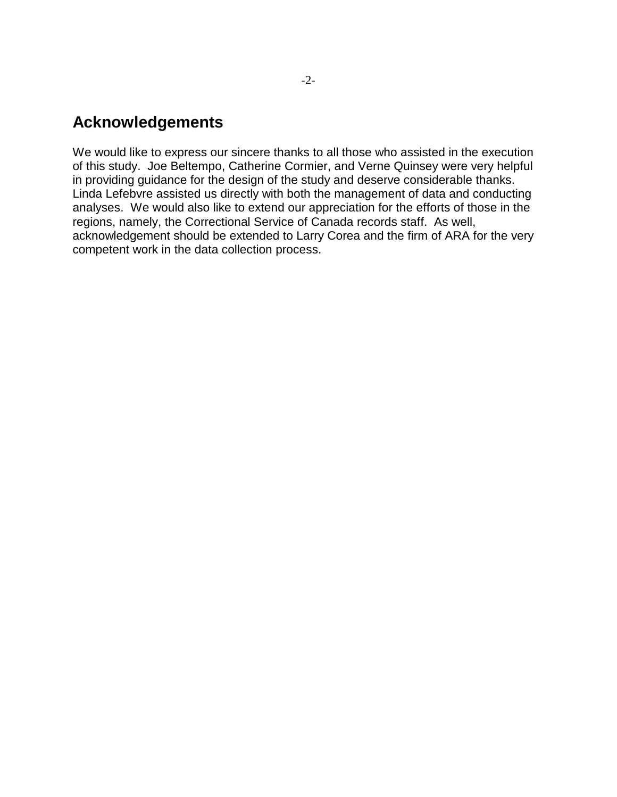## **Acknowledgements**

We would like to express our sincere thanks to all those who assisted in the execution of this study. Joe Beltempo, Catherine Cormier, and Verne Quinsey were very helpful in providing guidance for the design of the study and deserve considerable thanks. Linda Lefebvre assisted us directly with both the management of data and conducting analyses. We would also like to extend our appreciation for the efforts of those in the regions, namely, the Correctional Service of Canada records staff. As well, acknowledgement should be extended to Larry Corea and the firm of ARA for the very competent work in the data collection process.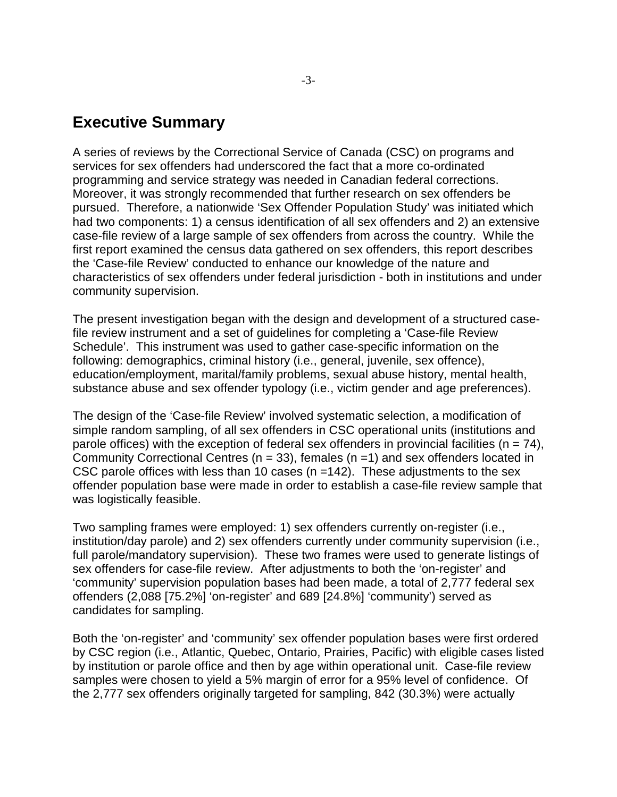### **Executive Summary**

A series of reviews by the Correctional Service of Canada (CSC) on programs and services for sex offenders had underscored the fact that a more co-ordinated programming and service strategy was needed in Canadian federal corrections. Moreover, it was strongly recommended that further research on sex offenders be pursued. Therefore, a nationwide 'Sex Offender Population Study' was initiated which had two components: 1) a census identification of all sex offenders and 2) an extensive case-file review of a large sample of sex offenders from across the country. While the first report examined the census data gathered on sex offenders, this report describes the 'Case-file Review' conducted to enhance our knowledge of the nature and characteristics of sex offenders under federal jurisdiction - both in institutions and under community supervision.

The present investigation began with the design and development of a structured casefile review instrument and a set of guidelines for completing a 'Case-file Review Schedule'. This instrument was used to gather case-specific information on the following: demographics, criminal history (i.e., general, juvenile, sex offence), education/employment, marital/family problems, sexual abuse history, mental health, substance abuse and sex offender typology (i.e., victim gender and age preferences).

The design of the 'Case-file Review' involved systematic selection, a modification of simple random sampling, of all sex offenders in CSC operational units (institutions and parole offices) with the exception of federal sex offenders in provincial facilities ( $n = 74$ ), Community Correctional Centres ( $n = 33$ ), females ( $n = 1$ ) and sex offenders located in CSC parole offices with less than 10 cases (n =142). These adjustments to the sex offender population base were made in order to establish a case-file review sample that was logistically feasible.

Two sampling frames were employed: 1) sex offenders currently on-register (i.e., institution/day parole) and 2) sex offenders currently under community supervision (i.e., full parole/mandatory supervision). These two frames were used to generate listings of sex offenders for case-file review. After adjustments to both the 'on-register' and 'community' supervision population bases had been made, a total of 2,777 federal sex offenders (2,088 [75.2%] 'on-register' and 689 [24.8%] 'community') served as candidates for sampling.

Both the 'on-register' and 'community' sex offender population bases were first ordered by CSC region (i.e., Atlantic, Quebec, Ontario, Prairies, Pacific) with eligible cases listed by institution or parole office and then by age within operational unit. Case-file review samples were chosen to yield a 5% margin of error for a 95% level of confidence. Of the 2,777 sex offenders originally targeted for sampling, 842 (30.3%) were actually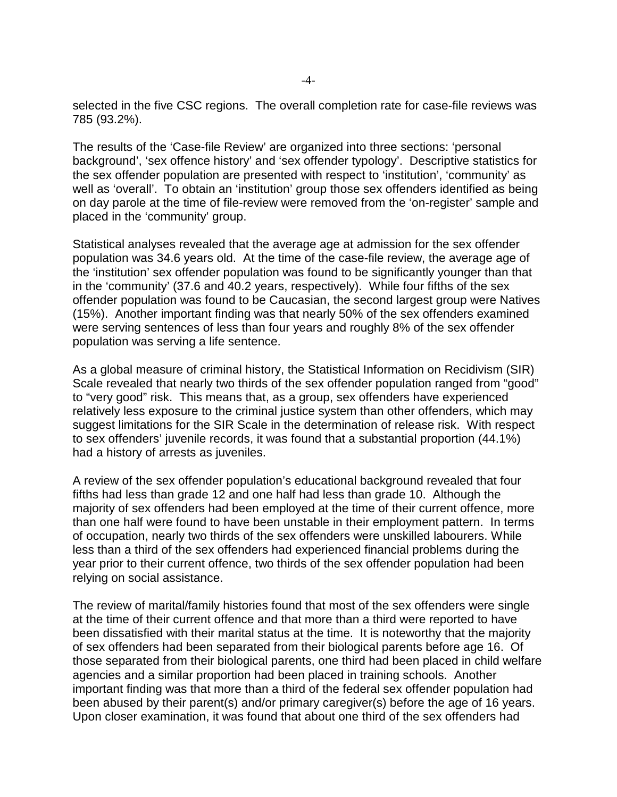selected in the five CSC regions. The overall completion rate for case-file reviews was 785 (93.2%).

The results of the 'Case-file Review' are organized into three sections: 'personal background', 'sex offence history' and 'sex offender typology'. Descriptive statistics for the sex offender population are presented with respect to 'institution', 'community' as well as 'overall'. To obtain an 'institution' group those sex offenders identified as being on day parole at the time of file-review were removed from the 'on-register' sample and placed in the 'community' group.

Statistical analyses revealed that the average age at admission for the sex offender population was 34.6 years old. At the time of the case-file review, the average age of the 'institution' sex offender population was found to be significantly younger than that in the 'community' (37.6 and 40.2 years, respectively). While four fifths of the sex offender population was found to be Caucasian, the second largest group were Natives (15%). Another important finding was that nearly 50% of the sex offenders examined were serving sentences of less than four years and roughly 8% of the sex offender population was serving a life sentence.

As a global measure of criminal history, the Statistical Information on Recidivism (SIR) Scale revealed that nearly two thirds of the sex offender population ranged from "good" to "very good" risk. This means that, as a group, sex offenders have experienced relatively less exposure to the criminal justice system than other offenders, which may suggest limitations for the SIR Scale in the determination of release risk. With respect to sex offenders' juvenile records, it was found that a substantial proportion (44.1%) had a history of arrests as juveniles.

A review of the sex offender population's educational background revealed that four fifths had less than grade 12 and one half had less than grade 10. Although the majority of sex offenders had been employed at the time of their current offence, more than one half were found to have been unstable in their employment pattern. In terms of occupation, nearly two thirds of the sex offenders were unskilled labourers. While less than a third of the sex offenders had experienced financial problems during the year prior to their current offence, two thirds of the sex offender population had been relying on social assistance.

The review of marital/family histories found that most of the sex offenders were single at the time of their current offence and that more than a third were reported to have been dissatisfied with their marital status at the time. It is noteworthy that the majority of sex offenders had been separated from their biological parents before age 16. Of those separated from their biological parents, one third had been placed in child welfare agencies and a similar proportion had been placed in training schools. Another important finding was that more than a third of the federal sex offender population had been abused by their parent(s) and/or primary caregiver(s) before the age of 16 years. Upon closer examination, it was found that about one third of the sex offenders had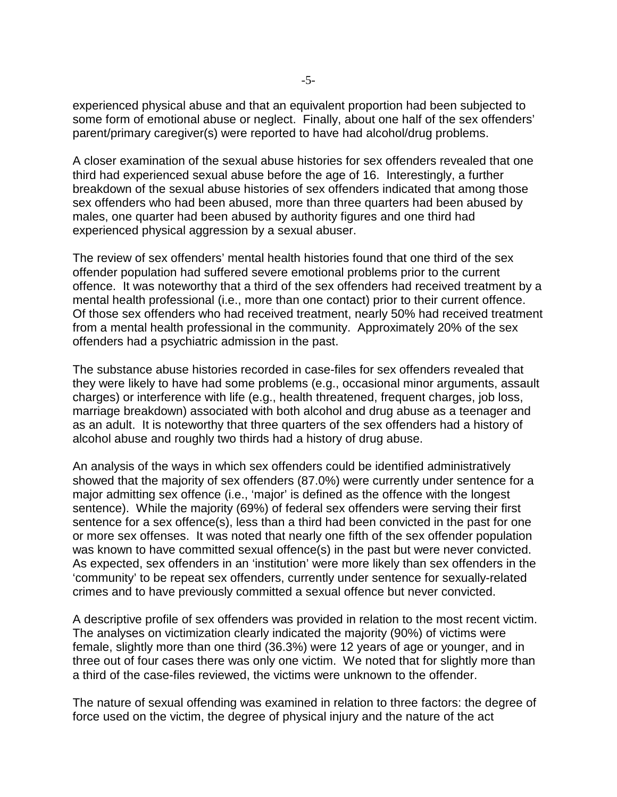experienced physical abuse and that an equivalent proportion had been subjected to some form of emotional abuse or neglect. Finally, about one half of the sex offenders' parent/primary caregiver(s) were reported to have had alcohol/drug problems.

A closer examination of the sexual abuse histories for sex offenders revealed that one third had experienced sexual abuse before the age of 16. Interestingly, a further breakdown of the sexual abuse histories of sex offenders indicated that among those sex offenders who had been abused, more than three quarters had been abused by males, one quarter had been abused by authority figures and one third had experienced physical aggression by a sexual abuser.

The review of sex offenders' mental health histories found that one third of the sex offender population had suffered severe emotional problems prior to the current offence. It was noteworthy that a third of the sex offenders had received treatment by a mental health professional (i.e., more than one contact) prior to their current offence. Of those sex offenders who had received treatment, nearly 50% had received treatment from a mental health professional in the community. Approximately 20% of the sex offenders had a psychiatric admission in the past.

The substance abuse histories recorded in case-files for sex offenders revealed that they were likely to have had some problems (e.g., occasional minor arguments, assault charges) or interference with life (e.g., health threatened, frequent charges, job loss, marriage breakdown) associated with both alcohol and drug abuse as a teenager and as an adult. It is noteworthy that three quarters of the sex offenders had a history of alcohol abuse and roughly two thirds had a history of drug abuse.

An analysis of the ways in which sex offenders could be identified administratively showed that the majority of sex offenders (87.0%) were currently under sentence for a major admitting sex offence (i.e., 'major' is defined as the offence with the longest sentence). While the majority (69%) of federal sex offenders were serving their first sentence for a sex offence(s), less than a third had been convicted in the past for one or more sex offenses. It was noted that nearly one fifth of the sex offender population was known to have committed sexual offence(s) in the past but were never convicted. As expected, sex offenders in an 'institution' were more likely than sex offenders in the 'community' to be repeat sex offenders, currently under sentence for sexually-related crimes and to have previously committed a sexual offence but never convicted.

A descriptive profile of sex offenders was provided in relation to the most recent victim. The analyses on victimization clearly indicated the majority (90%) of victims were female, slightly more than one third (36.3%) were 12 years of age or younger, and in three out of four cases there was only one victim. We noted that for slightly more than a third of the case-files reviewed, the victims were unknown to the offender.

The nature of sexual offending was examined in relation to three factors: the degree of force used on the victim, the degree of physical injury and the nature of the act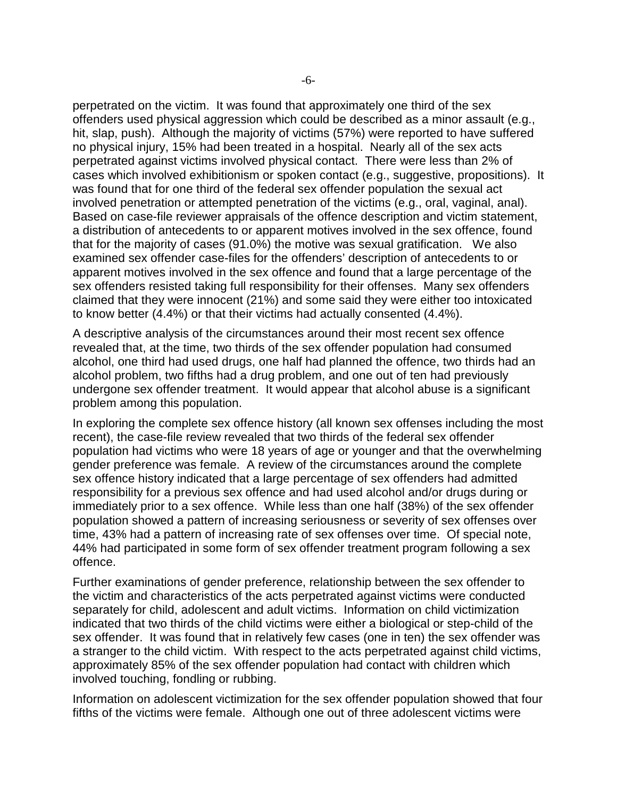perpetrated on the victim. It was found that approximately one third of the sex offenders used physical aggression which could be described as a minor assault (e.g., hit, slap, push). Although the majority of victims (57%) were reported to have suffered no physical injury, 15% had been treated in a hospital. Nearly all of the sex acts perpetrated against victims involved physical contact. There were less than 2% of cases which involved exhibitionism or spoken contact (e.g., suggestive, propositions). It was found that for one third of the federal sex offender population the sexual act involved penetration or attempted penetration of the victims (e.g., oral, vaginal, anal). Based on case-file reviewer appraisals of the offence description and victim statement, a distribution of antecedents to or apparent motives involved in the sex offence, found that for the majority of cases (91.0%) the motive was sexual gratification. We also examined sex offender case-files for the offenders' description of antecedents to or apparent motives involved in the sex offence and found that a large percentage of the sex offenders resisted taking full responsibility for their offenses. Many sex offenders claimed that they were innocent (21%) and some said they were either too intoxicated to know better (4.4%) or that their victims had actually consented (4.4%).

A descriptive analysis of the circumstances around their most recent sex offence revealed that, at the time, two thirds of the sex offender population had consumed alcohol, one third had used drugs, one half had planned the offence, two thirds had an alcohol problem, two fifths had a drug problem, and one out of ten had previously undergone sex offender treatment. It would appear that alcohol abuse is a significant problem among this population.

In exploring the complete sex offence history (all known sex offenses including the most recent), the case-file review revealed that two thirds of the federal sex offender population had victims who were 18 years of age or younger and that the overwhelming gender preference was female. A review of the circumstances around the complete sex offence history indicated that a large percentage of sex offenders had admitted responsibility for a previous sex offence and had used alcohol and/or drugs during or immediately prior to a sex offence. While less than one half (38%) of the sex offender population showed a pattern of increasing seriousness or severity of sex offenses over time, 43% had a pattern of increasing rate of sex offenses over time. Of special note, 44% had participated in some form of sex offender treatment program following a sex offence.

Further examinations of gender preference, relationship between the sex offender to the victim and characteristics of the acts perpetrated against victims were conducted separately for child, adolescent and adult victims. Information on child victimization indicated that two thirds of the child victims were either a biological or step-child of the sex offender. It was found that in relatively few cases (one in ten) the sex offender was a stranger to the child victim. With respect to the acts perpetrated against child victims, approximately 85% of the sex offender population had contact with children which involved touching, fondling or rubbing.

Information on adolescent victimization for the sex offender population showed that four fifths of the victims were female. Although one out of three adolescent victims were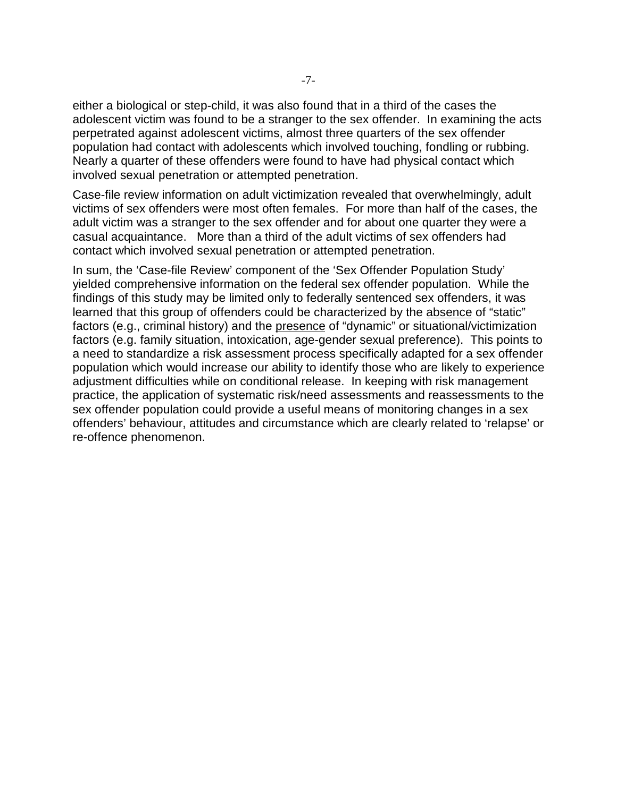either a biological or step-child, it was also found that in a third of the cases the adolescent victim was found to be a stranger to the sex offender. In examining the acts perpetrated against adolescent victims, almost three quarters of the sex offender population had contact with adolescents which involved touching, fondling or rubbing. Nearly a quarter of these offenders were found to have had physical contact which involved sexual penetration or attempted penetration.

Case-file review information on adult victimization revealed that overwhelmingly, adult victims of sex offenders were most often females. For more than half of the cases, the adult victim was a stranger to the sex offender and for about one quarter they were a casual acquaintance. More than a third of the adult victims of sex offenders had contact which involved sexual penetration or attempted penetration.

In sum, the 'Case-file Review' component of the 'Sex Offender Population Study' yielded comprehensive information on the federal sex offender population. While the findings of this study may be limited only to federally sentenced sex offenders, it was learned that this group of offenders could be characterized by the absence of "static" factors (e.g., criminal history) and the presence of "dynamic" or situational/victimization factors (e.g. family situation, intoxication, age-gender sexual preference). This points to a need to standardize a risk assessment process specifically adapted for a sex offender population which would increase our ability to identify those who are likely to experience adjustment difficulties while on conditional release. In keeping with risk management practice, the application of systematic risk/need assessments and reassessments to the sex offender population could provide a useful means of monitoring changes in a sex offenders' behaviour, attitudes and circumstance which are clearly related to 'relapse' or re-offence phenomenon.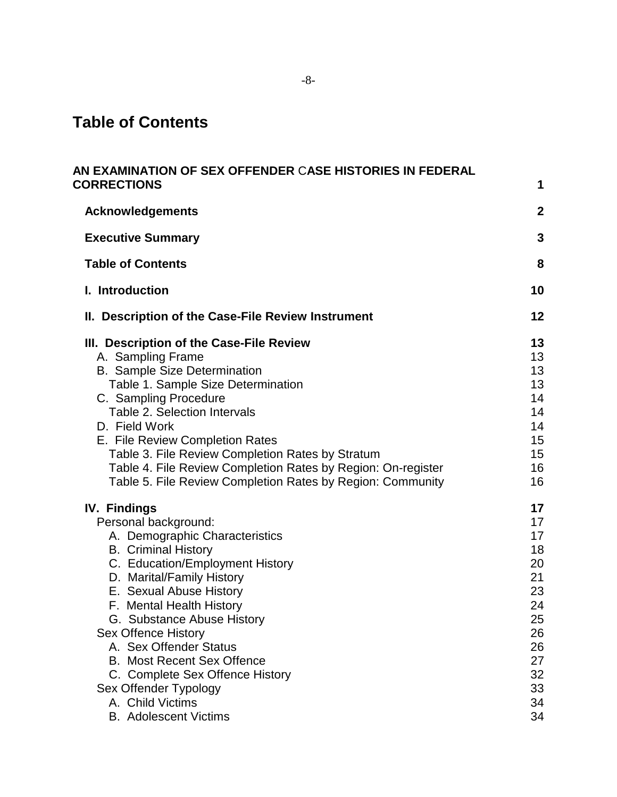# **Table of Contents**

| AN EXAMINATION OF SEX OFFENDER CASE HISTORIES IN FEDERAL<br><b>CORRECTIONS</b> | 1              |
|--------------------------------------------------------------------------------|----------------|
|                                                                                |                |
| <b>Acknowledgements</b>                                                        | $\overline{2}$ |
| <b>Executive Summary</b>                                                       | 3              |
| <b>Table of Contents</b>                                                       | 8              |
| I. Introduction                                                                | 10             |
| II. Description of the Case-File Review Instrument                             | 12             |
| III. Description of the Case-File Review                                       | 13             |
| A. Sampling Frame                                                              | 13             |
| <b>B.</b> Sample Size Determination                                            | 13             |
| Table 1. Sample Size Determination                                             | 13             |
| C. Sampling Procedure                                                          | 14             |
| Table 2. Selection Intervals                                                   | 14             |
| D. Field Work                                                                  | 14             |
| E. File Review Completion Rates                                                | 15             |
| Table 3. File Review Completion Rates by Stratum                               | 15             |
| Table 4. File Review Completion Rates by Region: On-register                   | 16             |
| Table 5. File Review Completion Rates by Region: Community                     | 16             |
| <b>IV. Findings</b>                                                            | 17             |
| Personal background:                                                           | 17             |
| A. Demographic Characteristics                                                 | 17             |
| <b>B.</b> Criminal History                                                     | 18             |
| C. Education/Employment History                                                | 20             |
| D. Marital/Family History                                                      | 21<br>23       |
| E. Sexual Abuse History<br>F. Mental Health History                            | 24             |
| G. Substance Abuse History                                                     | 25             |
| <b>Sex Offence History</b>                                                     | 26             |
| A. Sex Offender Status                                                         | 26             |
| <b>B. Most Recent Sex Offence</b>                                              | 27             |
| C. Complete Sex Offence History                                                | 32             |
| Sex Offender Typology                                                          | 33             |
| A. Child Victims                                                               | 34             |
| <b>B.</b> Adolescent Victims                                                   | 34             |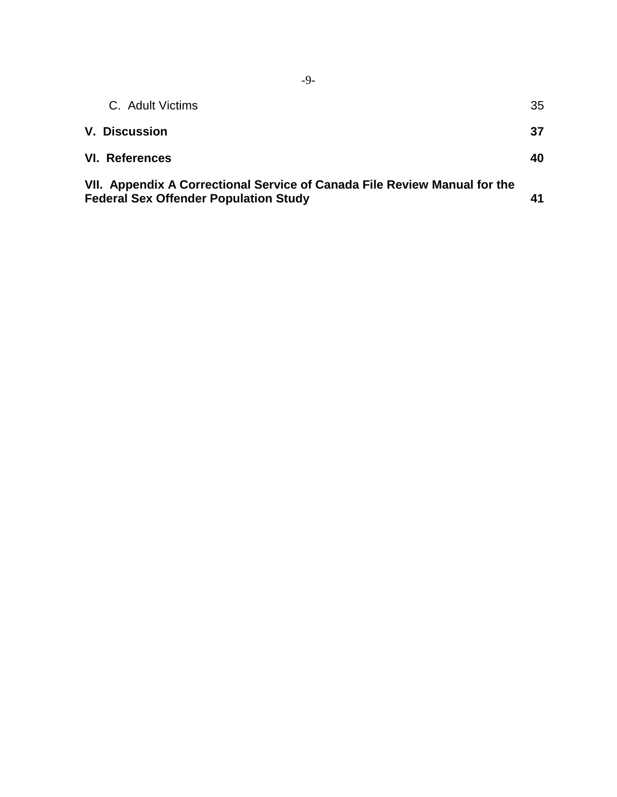| C. Adult Victims                                                                                                          | 35 |
|---------------------------------------------------------------------------------------------------------------------------|----|
| <b>V. Discussion</b>                                                                                                      | 37 |
| VI. References                                                                                                            | 40 |
| VII. Appendix A Correctional Service of Canada File Review Manual for the<br><b>Federal Sex Offender Population Study</b> | 41 |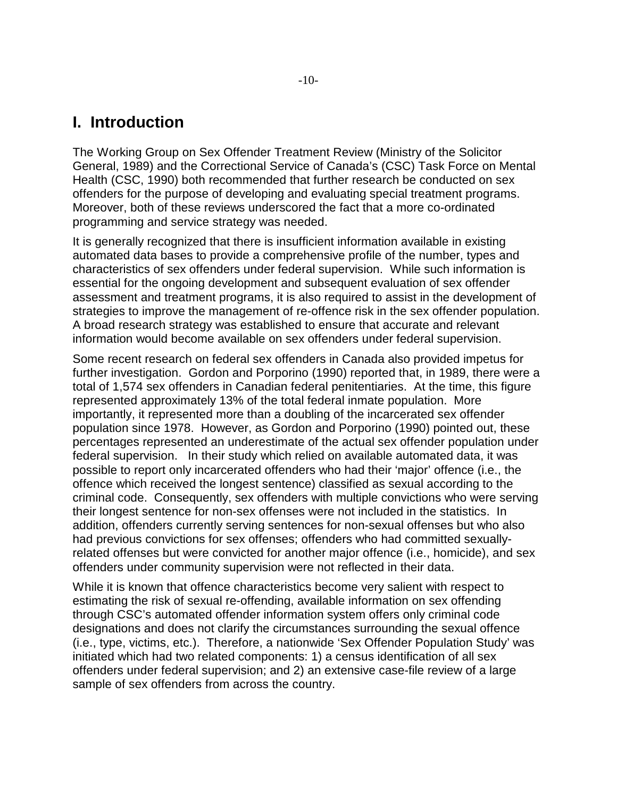### **I. Introduction**

The Working Group on Sex Offender Treatment Review (Ministry of the Solicitor General, 1989) and the Correctional Service of Canada's (CSC) Task Force on Mental Health (CSC, 1990) both recommended that further research be conducted on sex offenders for the purpose of developing and evaluating special treatment programs. Moreover, both of these reviews underscored the fact that a more co-ordinated programming and service strategy was needed.

It is generally recognized that there is insufficient information available in existing automated data bases to provide a comprehensive profile of the number, types and characteristics of sex offenders under federal supervision. While such information is essential for the ongoing development and subsequent evaluation of sex offender assessment and treatment programs, it is also required to assist in the development of strategies to improve the management of re-offence risk in the sex offender population. A broad research strategy was established to ensure that accurate and relevant information would become available on sex offenders under federal supervision.

Some recent research on federal sex offenders in Canada also provided impetus for further investigation. Gordon and Porporino (1990) reported that, in 1989, there were a total of 1,574 sex offenders in Canadian federal penitentiaries. At the time, this figure represented approximately 13% of the total federal inmate population. More importantly, it represented more than a doubling of the incarcerated sex offender population since 1978. However, as Gordon and Porporino (1990) pointed out, these percentages represented an underestimate of the actual sex offender population under federal supervision. In their study which relied on available automated data, it was possible to report only incarcerated offenders who had their 'major' offence (i.e., the offence which received the longest sentence) classified as sexual according to the criminal code. Consequently, sex offenders with multiple convictions who were serving their longest sentence for non-sex offenses were not included in the statistics. In addition, offenders currently serving sentences for non-sexual offenses but who also had previous convictions for sex offenses; offenders who had committed sexuallyrelated offenses but were convicted for another major offence (i.e., homicide), and sex offenders under community supervision were not reflected in their data.

While it is known that offence characteristics become very salient with respect to estimating the risk of sexual re-offending, available information on sex offending through CSC's automated offender information system offers only criminal code designations and does not clarify the circumstances surrounding the sexual offence (i.e., type, victims, etc.). Therefore, a nationwide 'Sex Offender Population Study' was initiated which had two related components: 1) a census identification of all sex offenders under federal supervision; and 2) an extensive case-file review of a large sample of sex offenders from across the country.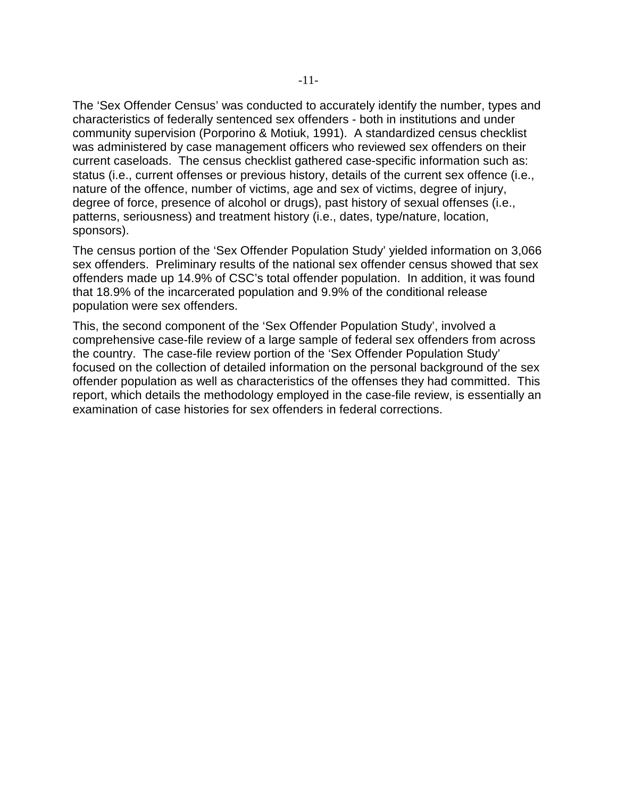The 'Sex Offender Census' was conducted to accurately identify the number, types and characteristics of federally sentenced sex offenders - both in institutions and under community supervision (Porporino & Motiuk, 1991). A standardized census checklist was administered by case management officers who reviewed sex offenders on their current caseloads. The census checklist gathered case-specific information such as: status (i.e., current offenses or previous history, details of the current sex offence (i.e., nature of the offence, number of victims, age and sex of victims, degree of injury, degree of force, presence of alcohol or drugs), past history of sexual offenses (i.e., patterns, seriousness) and treatment history (i.e., dates, type/nature, location, sponsors).

The census portion of the 'Sex Offender Population Study' yielded information on 3,066 sex offenders. Preliminary results of the national sex offender census showed that sex offenders made up 14.9% of CSC's total offender population. In addition, it was found that 18.9% of the incarcerated population and 9.9% of the conditional release population were sex offenders.

This, the second component of the 'Sex Offender Population Study', involved a comprehensive case-file review of a large sample of federal sex offenders from across the country. The case-file review portion of the 'Sex Offender Population Study' focused on the collection of detailed information on the personal background of the sex offender population as well as characteristics of the offenses they had committed. This report, which details the methodology employed in the case-file review, is essentially an examination of case histories for sex offenders in federal corrections.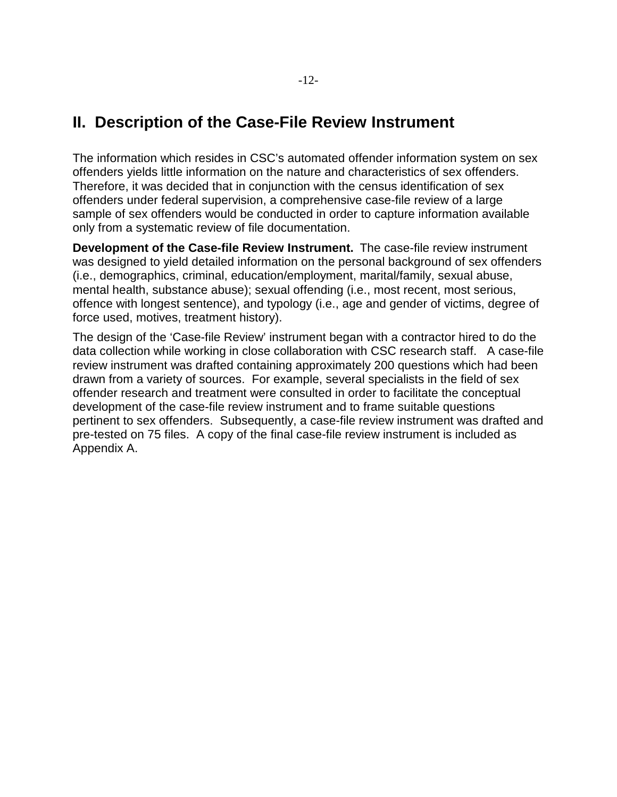## **II. Description of the Case-File Review Instrument**

The information which resides in CSC's automated offender information system on sex offenders yields little information on the nature and characteristics of sex offenders. Therefore, it was decided that in conjunction with the census identification of sex offenders under federal supervision, a comprehensive case-file review of a large sample of sex offenders would be conducted in order to capture information available only from a systematic review of file documentation.

**Development of the Case-file Review Instrument.** The case-file review instrument was designed to yield detailed information on the personal background of sex offenders (i.e., demographics, criminal, education/employment, marital/family, sexual abuse, mental health, substance abuse); sexual offending (i.e., most recent, most serious, offence with longest sentence), and typology (i.e., age and gender of victims, degree of force used, motives, treatment history).

The design of the 'Case-file Review' instrument began with a contractor hired to do the data collection while working in close collaboration with CSC research staff. A case-file review instrument was drafted containing approximately 200 questions which had been drawn from a variety of sources. For example, several specialists in the field of sex offender research and treatment were consulted in order to facilitate the conceptual development of the case-file review instrument and to frame suitable questions pertinent to sex offenders. Subsequently, a case-file review instrument was drafted and pre-tested on 75 files. A copy of the final case-file review instrument is included as Appendix A.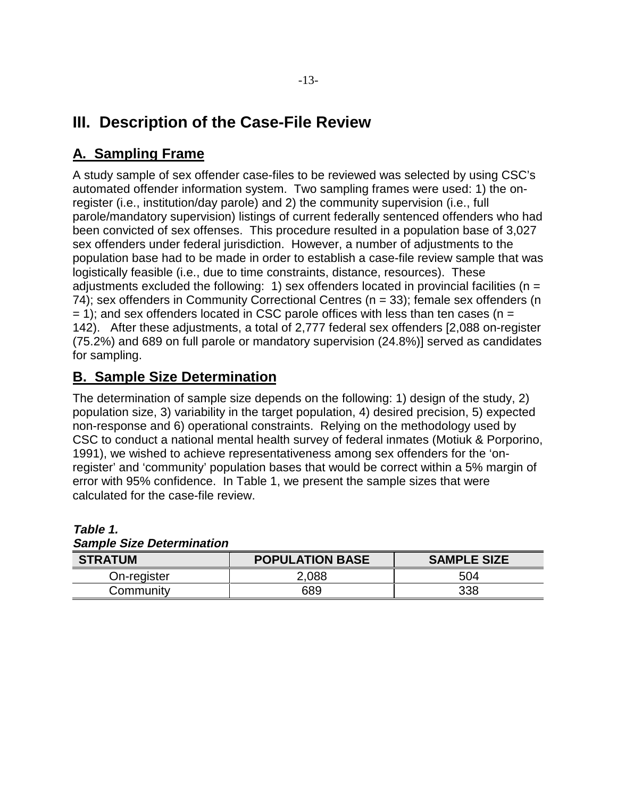# **III. Description of the Case-File Review**

## **A. Sampling Frame**

A study sample of sex offender case-files to be reviewed was selected by using CSC's automated offender information system. Two sampling frames were used: 1) the onregister (i.e., institution/day parole) and 2) the community supervision (i.e., full parole/mandatory supervision) listings of current federally sentenced offenders who had been convicted of sex offenses. This procedure resulted in a population base of 3,027 sex offenders under federal jurisdiction. However, a number of adjustments to the population base had to be made in order to establish a case-file review sample that was logistically feasible (i.e., due to time constraints, distance, resources). These adjustments excluded the following: 1) sex offenders located in provincial facilities ( $n =$ 74); sex offenders in Community Correctional Centres (n = 33); female sex offenders (n  $= 1$ ); and sex offenders located in CSC parole offices with less than ten cases (n = 142). After these adjustments, a total of 2,777 federal sex offenders [2,088 on-register (75.2%) and 689 on full parole or mandatory supervision (24.8%)] served as candidates for sampling.

### **B. Sample Size Determination**

The determination of sample size depends on the following: 1) design of the study, 2) population size, 3) variability in the target population, 4) desired precision, 5) expected non-response and 6) operational constraints. Relying on the methodology used by CSC to conduct a national mental health survey of federal inmates (Motiuk & Porporino, 1991), we wished to achieve representativeness among sex offenders for the 'onregister' and 'community' population bases that would be correct within a 5% margin of error with 95% confidence. In Table 1, we present the sample sizes that were calculated for the case-file review.

| <b>STRATUM</b> | <b>POPULATION BASE</b> | <b>SAMPLE SIZE</b> |
|----------------|------------------------|--------------------|
| On-register    | 2,088                  | 504                |
| Community      | 689                    | 338                |

**Table 1. Sample Size Determination**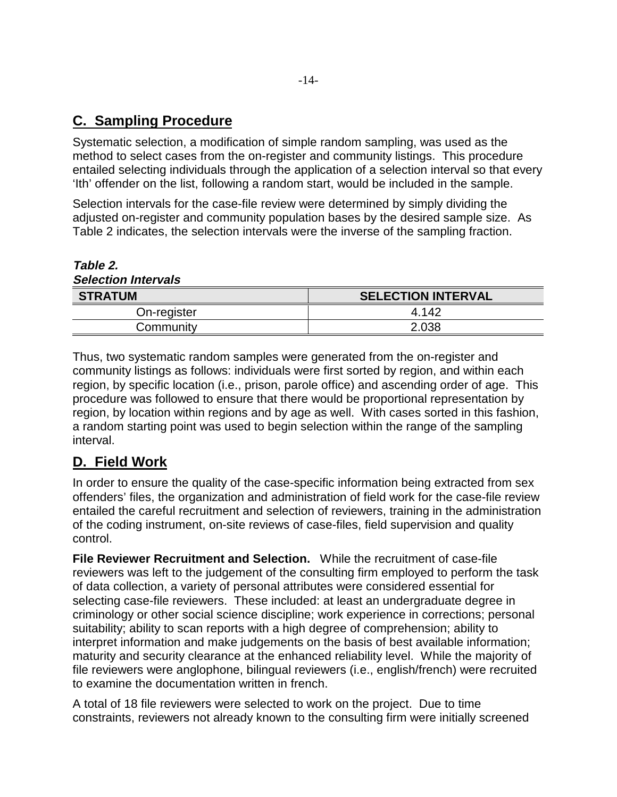### **C. Sampling Procedure**

Systematic selection, a modification of simple random sampling, was used as the method to select cases from the on-register and community listings. This procedure entailed selecting individuals through the application of a selection interval so that every 'Ith' offender on the list, following a random start, would be included in the sample.

Selection intervals for the case-file review were determined by simply dividing the adjusted on-register and community population bases by the desired sample size. As Table 2 indicates, the selection intervals were the inverse of the sampling fraction.

| <b>Selection Intervals</b> |                           |  |  |
|----------------------------|---------------------------|--|--|
| <b>STRATUM</b>             | <b>SELECTION INTERVAL</b> |  |  |
| On-register                | 4 1 4 2                   |  |  |
| Community                  | 2.038                     |  |  |

Thus, two systematic random samples were generated from the on-register and community listings as follows: individuals were first sorted by region, and within each region, by specific location (i.e., prison, parole office) and ascending order of age. This procedure was followed to ensure that there would be proportional representation by region, by location within regions and by age as well. With cases sorted in this fashion, a random starting point was used to begin selection within the range of the sampling interval.

### **D. Field Work**

**Table 2.**

In order to ensure the quality of the case-specific information being extracted from sex offenders' files, the organization and administration of field work for the case-file review entailed the careful recruitment and selection of reviewers, training in the administration of the coding instrument, on-site reviews of case-files, field supervision and quality control.

**File Reviewer Recruitment and Selection.** While the recruitment of case-file reviewers was left to the judgement of the consulting firm employed to perform the task of data collection, a variety of personal attributes were considered essential for selecting case-file reviewers. These included: at least an undergraduate degree in criminology or other social science discipline; work experience in corrections; personal suitability; ability to scan reports with a high degree of comprehension; ability to interpret information and make judgements on the basis of best available information; maturity and security clearance at the enhanced reliability level. While the majority of file reviewers were anglophone, bilingual reviewers (i.e., english/french) were recruited to examine the documentation written in french.

A total of 18 file reviewers were selected to work on the project. Due to time constraints, reviewers not already known to the consulting firm were initially screened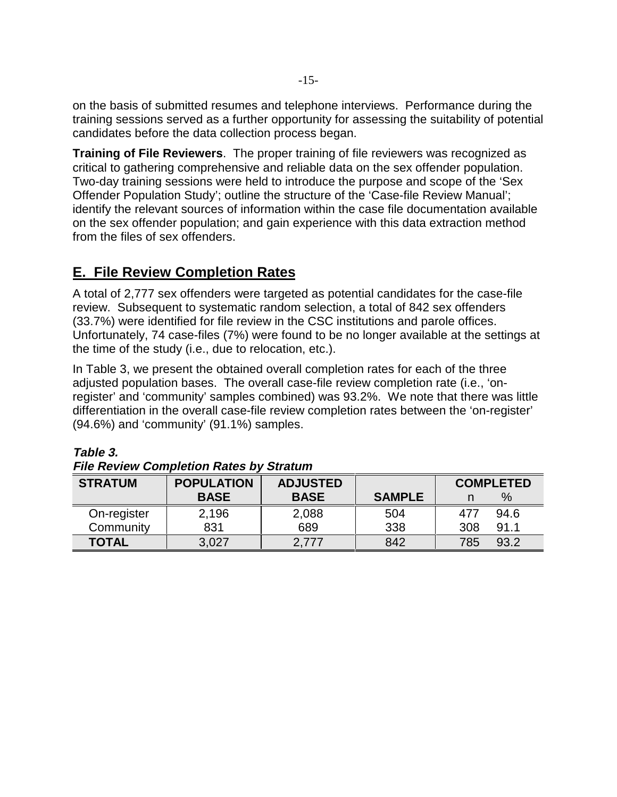on the basis of submitted resumes and telephone interviews. Performance during the training sessions served as a further opportunity for assessing the suitability of potential candidates before the data collection process began.

**Training of File Reviewers**. The proper training of file reviewers was recognized as critical to gathering comprehensive and reliable data on the sex offender population. Two-day training sessions were held to introduce the purpose and scope of the 'Sex Offender Population Study'; outline the structure of the 'Case-file Review Manual'; identify the relevant sources of information within the case file documentation available on the sex offender population; and gain experience with this data extraction method from the files of sex offenders.

### **E. File Review Completion Rates**

A total of 2,777 sex offenders were targeted as potential candidates for the case-file review. Subsequent to systematic random selection, a total of 842 sex offenders (33.7%) were identified for file review in the CSC institutions and parole offices. Unfortunately, 74 case-files (7%) were found to be no longer available at the settings at the time of the study (i.e., due to relocation, etc.).

In Table 3, we present the obtained overall completion rates for each of the three adjusted population bases. The overall case-file review completion rate (i.e., 'onregister' and 'community' samples combined) was 93.2%. We note that there was little differentiation in the overall case-file review completion rates between the 'on-register' (94.6%) and 'community' (91.1%) samples.

| <b>STRATUM</b> | <b>ADJUSTED</b><br><b>POPULATION</b> |             |               |     | <b>COMPLETED</b> |
|----------------|--------------------------------------|-------------|---------------|-----|------------------|
|                | <b>BASE</b>                          | <b>BASE</b> | <b>SAMPLE</b> |     | %                |
| On-register    | 2,196                                | 2,088       | 504           | 477 | 94.6             |
| Community      | 831                                  | 689         | 338           | 308 | 91.1             |
| <b>TOTAL</b>   | 3,027                                | 2,777       | 842           | 785 | 93.2             |

#### **Table 3.**

| <b>File Review Completion Rates by Stratum</b> |                     |          |
|------------------------------------------------|---------------------|----------|
| <b>CTDATIIM</b>                                | <b>DODLIL ATION</b> | AN ILICT |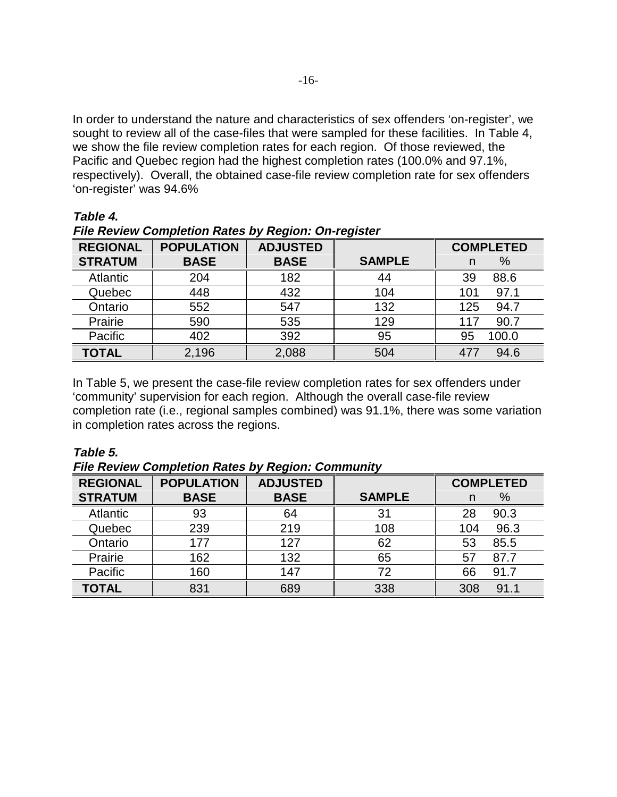In order to understand the nature and characteristics of sex offenders 'on-register', we sought to review all of the case-files that were sampled for these facilities. In Table 4, we show the file review completion rates for each region. Of those reviewed, the Pacific and Quebec region had the highest completion rates (100.0% and 97.1%, respectively). Overall, the obtained case-file review completion rate for sex offenders 'on-register' was 94.6%

| Table |  |
|-------|--|
|-------|--|

**File Review Completion Rates by Region: On-register**

| <b>REGIONAL</b> | <b>POPULATION</b> | <b>ADJUSTED</b> |               | <b>COMPLETED</b> |
|-----------------|-------------------|-----------------|---------------|------------------|
| <b>STRATUM</b>  | <b>BASE</b>       | <b>BASE</b>     | <b>SAMPLE</b> | %<br>n           |
| <b>Atlantic</b> | 204               | 182             | 44            | 88.6<br>39       |
| Quebec          | 448               | 432             | 104           | 97.1<br>101      |
| Ontario         | 552               | 547             | 132           | 94.7<br>125      |
| Prairie         | 590               | 535             | 129           | 90.7<br>117      |
| Pacific         | 402               | 392             | 95            | 95<br>100.0      |
| <b>TOTAL</b>    | 2,196             | 2,088           | 504           | 94.6<br>477      |

In Table 5, we present the case-file review completion rates for sex offenders under 'community' supervision for each region. Although the overall case-file review completion rate (i.e., regional samples combined) was 91.1%, there was some variation in completion rates across the regions.

#### **Table 5.**

**File Review Completion Rates by Region: Community**

| <b>REGIONAL</b> | <b>POPULATION</b> | <b>ADJUSTED</b> |               | <b>COMPLETED</b> |
|-----------------|-------------------|-----------------|---------------|------------------|
| <b>STRATUM</b>  | <b>BASE</b>       | <b>BASE</b>     | <b>SAMPLE</b> | %<br>n           |
| <b>Atlantic</b> | 93                | 64              | 31            | 90.3<br>28       |
| Quebec          | 239               | 219             | 108           | 96.3<br>104      |
| Ontario         | 177               | 127             | 62            | 85.5<br>53       |
| Prairie         | 162               | 132             | 65            | 57<br>87.7       |
| Pacific         | 160               | 147             | 72            | 91.7<br>66       |
| TOTAL           | 831               | 689             | 338           | 91.1<br>308      |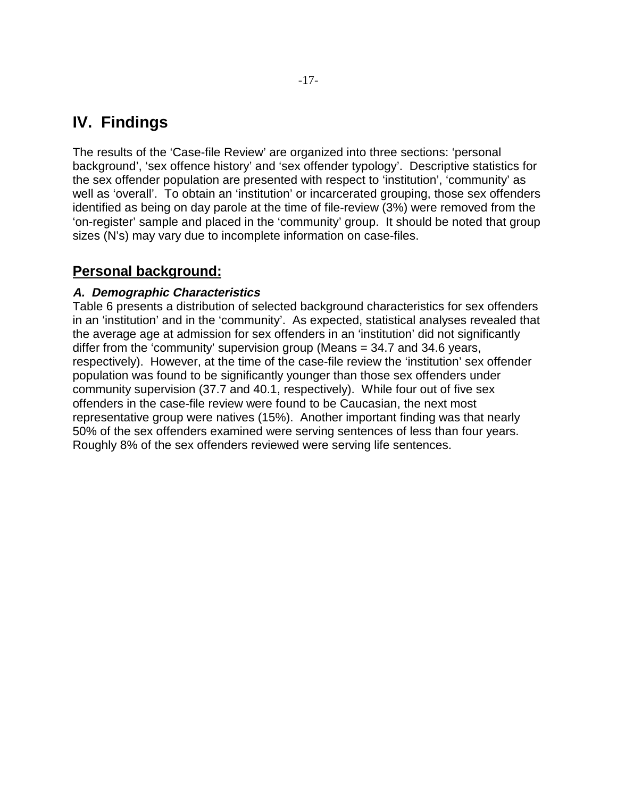# **IV. Findings**

The results of the 'Case-file Review' are organized into three sections: 'personal background', 'sex offence history' and 'sex offender typology'. Descriptive statistics for the sex offender population are presented with respect to 'institution', 'community' as well as 'overall'. To obtain an 'institution' or incarcerated grouping, those sex offenders identified as being on day parole at the time of file-review (3%) were removed from the 'on-register' sample and placed in the 'community' group. It should be noted that group sizes (N's) may vary due to incomplete information on case-files.

### **Personal background:**

#### **A. Demographic Characteristics**

Table 6 presents a distribution of selected background characteristics for sex offenders in an 'institution' and in the 'community'. As expected, statistical analyses revealed that the average age at admission for sex offenders in an 'institution' did not significantly differ from the 'community' supervision group (Means = 34.7 and 34.6 years, respectively). However, at the time of the case-file review the 'institution' sex offender population was found to be significantly younger than those sex offenders under community supervision (37.7 and 40.1, respectively). While four out of five sex offenders in the case-file review were found to be Caucasian, the next most representative group were natives (15%). Another important finding was that nearly 50% of the sex offenders examined were serving sentences of less than four years. Roughly 8% of the sex offenders reviewed were serving life sentences.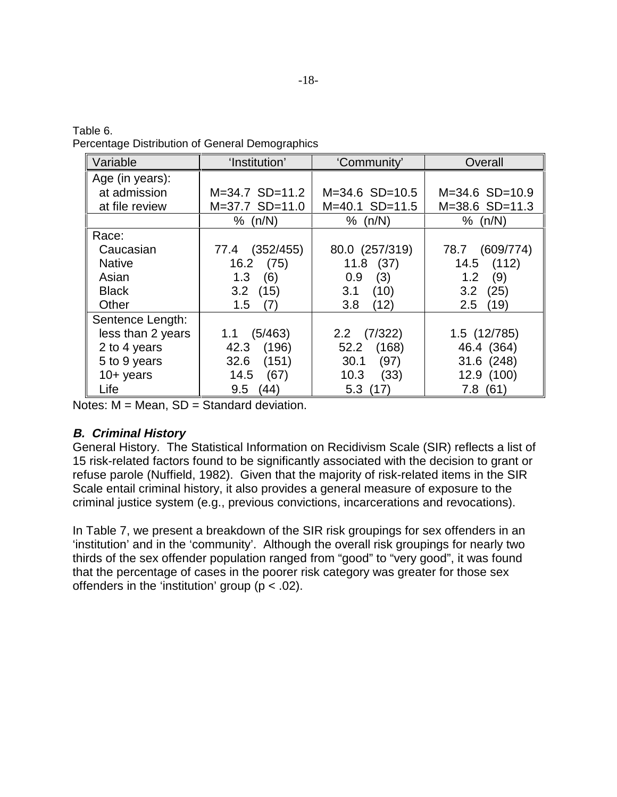| Table 6. |                                                 |
|----------|-------------------------------------------------|
|          | Percentage Distribution of General Demographics |

| Variable          | 'Institution'      | 'Community'        | Overall            |
|-------------------|--------------------|--------------------|--------------------|
| Age (in years):   |                    |                    |                    |
| at admission      | $M = 34.7$ SD=11.2 | $M = 34.6$ SD=10.5 | $M = 34.6$ SD=10.9 |
| at file review    | $M=37.7$ SD=11.0   | $M=40.1$ SD=11.5   | $M = 38.6$ SD=11.3 |
|                   | % (n/N)            | % $(n/N)$          | % (n/N)            |
| Race:             |                    |                    |                    |
| Caucasian         | (352/455)<br>77.4  | 80.0 (257/319)     | (609/774)<br>78.7  |
| <b>Native</b>     | 16.2<br>(75)       | $11.8$ (37)        | (112)<br>14.5      |
| Asian             | 1.3<br>(6)         | (3)<br>0.9         | (9)<br>1.2         |
| <b>Black</b>      | 3.2<br>(15)        | 3.1<br>(10)        | (25)<br>3.2        |
| Other             | (7)<br>$1.5\,$     | 3.8<br>(12)        | (19)<br>2.5        |
| Sentence Length:  |                    |                    |                    |
| less than 2 years | (5/463)<br>1.1     | (7/322)<br>2.2     | 1.5 (12/785)       |
| 2 to 4 years      | (196)<br>42.3      | (168)<br>52.2      | 46.4 (364)         |
| 5 to 9 years      | (151)<br>32.6      | (97)<br>30.1       | 31.6 (248)         |
| $10+$ years       | 14.5<br>(67)       | 10.3<br>(33)       | 12.9 (100)         |
| Life              | 9.5<br>(44)        | 5.3<br>(17)        | 7.8(61)            |

Notes:  $M = Mean$ ,  $SD = Standard deviation$ .

#### **B. Criminal History**

General History. The Statistical Information on Recidivism Scale (SIR) reflects a list of 15 risk-related factors found to be significantly associated with the decision to grant or refuse parole (Nuffield, 1982). Given that the majority of risk-related items in the SIR Scale entail criminal history, it also provides a general measure of exposure to the criminal justice system (e.g., previous convictions, incarcerations and revocations).

In Table 7, we present a breakdown of the SIR risk groupings for sex offenders in an 'institution' and in the 'community'. Although the overall risk groupings for nearly two thirds of the sex offender population ranged from "good" to "very good", it was found that the percentage of cases in the poorer risk category was greater for those sex offenders in the 'institution' group ( $p < .02$ ).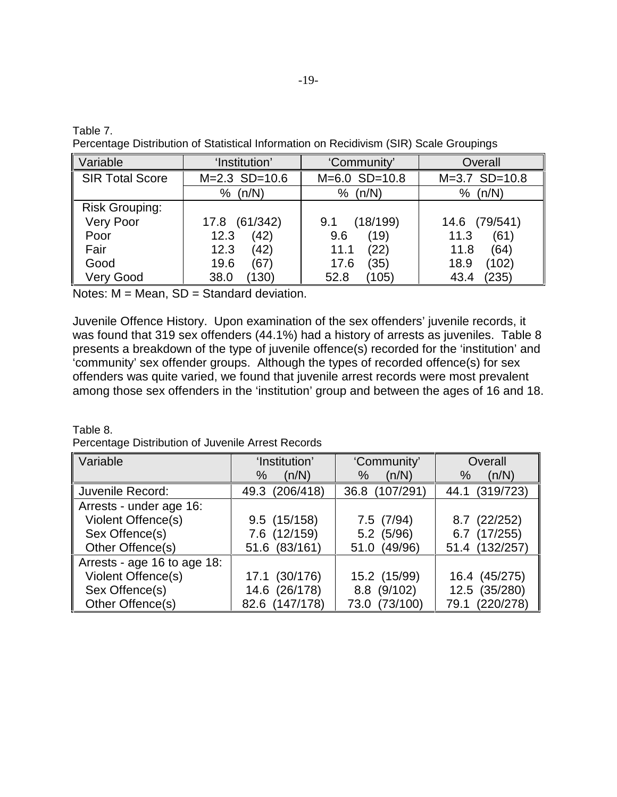Table 7.

Percentage Distribution of Statistical Information on Recidivism (SIR) Scale Groupings

| Variable               | 'Institution'   | 'Community'     | Overall         |
|------------------------|-----------------|-----------------|-----------------|
| <b>SIR Total Score</b> | $M=2.3$ SD=10.6 | $M=6.0$ SD=10.8 | $M=3.7$ SD=10.8 |
|                        | (n/N)           | (n/N)           | (n/N)           |
|                        | %               | %               | %               |
| <b>Risk Grouping:</b>  |                 |                 |                 |
| Very Poor              | (61/342)        | (18/199)        | (79/541)        |
|                        | 17.8            | 9.1             | 14.6            |
| Poor                   | (42)            | (19)            | (61)            |
|                        | 12.3            | 9.6             | 11.3            |
| Fair                   | (42)            | (22)            | (64)            |
|                        | 12.3            | 11.1            | 11.8            |
| Good                   | 19.6            | (35)            | (102)           |
|                        | (67)            | 17.6            | 18.9            |
| <b>Very Good</b>       | 38.0            | (105)           | 235)            |
|                        | (130)           | 52.8            | 43.4            |

Notes: M = Mean, SD = Standard deviation.

Juvenile Offence History. Upon examination of the sex offenders' juvenile records, it was found that 319 sex offenders (44.1%) had a history of arrests as juveniles. Table 8 presents a breakdown of the type of juvenile offence(s) recorded for the 'institution' and 'community' sex offender groups. Although the types of recorded offence(s) for sex offenders was quite varied, we found that juvenile arrest records were most prevalent among those sex offenders in the 'institution' group and between the ages of 16 and 18.

Table 8. Percentage Distribution of Juvenile Arrest Records

| Variable                    | 'Institution'<br>(n/N)<br>% | 'Community'<br>(n/N)<br>℅ | Overall<br>(n/N)<br>$\%$ |
|-----------------------------|-----------------------------|---------------------------|--------------------------|
| Juvenile Record:            | (206/418)<br>49.3           | (107/291)<br>36.8         | (319/723)<br>44.1        |
| Arrests - under age 16:     |                             |                           |                          |
| Violent Offence(s)          | 9.5(15/158)                 | 7.5(7/94)                 | (22/252)<br>8.7          |
| Sex Offence(s)              | 7.6 (12/159)                | $5.2$ (5/96)              | (17/255)<br>6.7          |
| Other Offence(s)            | 51.6 (83/161)               | (49/96)<br>51.0           | 51.4 (132/257)           |
| Arrests - age 16 to age 18: |                             |                           |                          |
| Violent Offence(s)          | 17.1 (30/176)               | 15.2 (15/99)              | 16.4 (45/275)            |
| Sex Offence(s)              | 14.6 (26/178)               | 8.8 (9/102)               | 12.5 (35/280)            |
| Other Offence(s)            | 82.6 (147/178)              | 73.0 (73/100)             | 79.1 (220/278)           |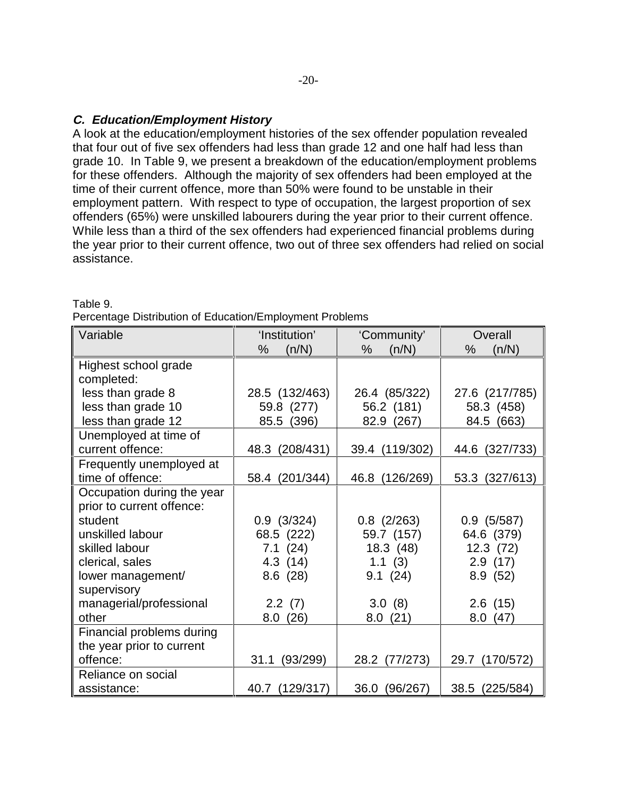#### **C. Education/Employment History**

A look at the education/employment histories of the sex offender population revealed that four out of five sex offenders had less than grade 12 and one half had less than grade 10. In Table 9, we present a breakdown of the education/employment problems for these offenders. Although the majority of sex offenders had been employed at the time of their current offence, more than 50% were found to be unstable in their employment pattern. With respect to type of occupation, the largest proportion of sex offenders (65%) were unskilled labourers during the year prior to their current offence. While less than a third of the sex offenders had experienced financial problems during the year prior to their current offence, two out of three sex offenders had relied on social assistance.

| Variable                   | 'Institution'     | 'Community'      |                   |
|----------------------------|-------------------|------------------|-------------------|
|                            | $\%$<br>(n/N)     | %<br>(n/N)       | %<br>(n/N)        |
| Highest school grade       |                   |                  |                   |
| completed:                 |                   |                  |                   |
| less than grade 8          | 28.5 (132/463)    | 26.4 (85/322)    | 27.6 (217/785)    |
| less than grade 10         | 59.8 (277)        | 56.2 (181)       | 58.3 (458)        |
| less than grade 12         | (396)<br>85.5     | 82.9 (267)       | (663)<br>84.5     |
| Unemployed at time of      |                   |                  |                   |
| current offence:           | 48.3 (208/431)    | 39.4 (119/302)   | (327/733)<br>44.6 |
| Frequently unemployed at   |                   |                  |                   |
| time of offence:           | (201/344)<br>58.4 | 46.8 (126/269)   | 53.3 (327/613)    |
| Occupation during the year |                   |                  |                   |
| prior to current offence:  |                   |                  |                   |
| student                    | $0.9$ $(3/324)$   | $0.8$ (2/263)    | $0.9$ (5/587)     |
| unskilled labour           | 68.5 (222)        | 59.7 (157)       | 64.6 (379)        |
| skilled labour             | 7.1(24)           | 18.3 (48)        | 12.3(72)          |
| clerical, sales            | 4.3 (14)          | 1.1(3)           | 2.9(17)           |
| lower management/          | 8.6(28)           | 9.1(24)          | 8.9(52)           |
| supervisory                |                   |                  |                   |
| managerial/professional    | 2.2(7)            | 3.0(8)           | 2.6(15)           |
| other                      | 8.0(26)           | 8.0(21)          | 8.0(47)           |
| Financial problems during  |                   |                  |                   |
| the year prior to current  |                   |                  |                   |
| offence:                   | (93/299)<br>31.1  | 28.2<br>(77/273) | 29.7 (170/572)    |
| Reliance on social         |                   |                  |                   |
| assistance:                | 40.7<br>(129/317) | 36.0<br>(96/267) | 38.5<br>(225/584) |

Table 9.

Percentage Distribution of Education/Employment Problems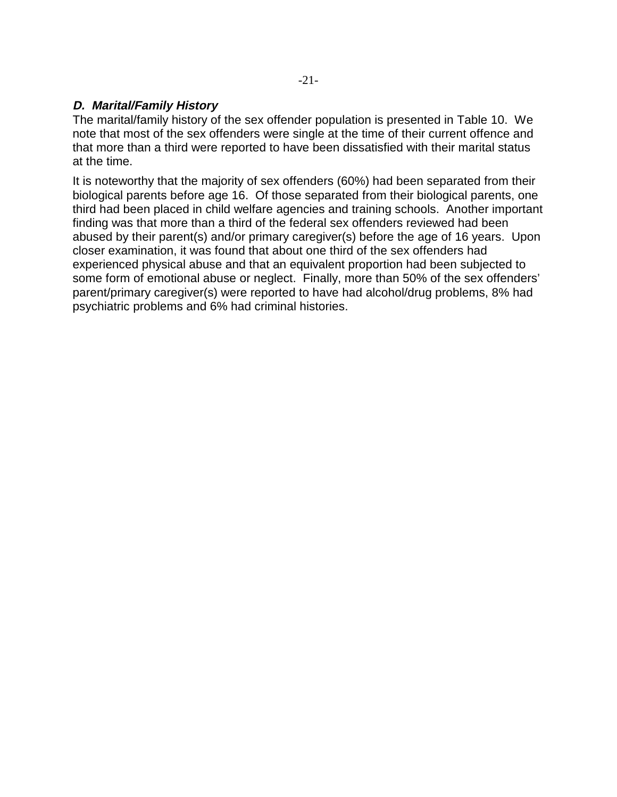#### **D. Marital/Family History**

The marital/family history of the sex offender population is presented in Table 10. We note that most of the sex offenders were single at the time of their current offence and that more than a third were reported to have been dissatisfied with their marital status at the time.

It is noteworthy that the majority of sex offenders (60%) had been separated from their biological parents before age 16. Of those separated from their biological parents, one third had been placed in child welfare agencies and training schools. Another important finding was that more than a third of the federal sex offenders reviewed had been abused by their parent(s) and/or primary caregiver(s) before the age of 16 years. Upon closer examination, it was found that about one third of the sex offenders had experienced physical abuse and that an equivalent proportion had been subjected to some form of emotional abuse or neglect. Finally, more than 50% of the sex offenders' parent/primary caregiver(s) were reported to have had alcohol/drug problems, 8% had psychiatric problems and 6% had criminal histories.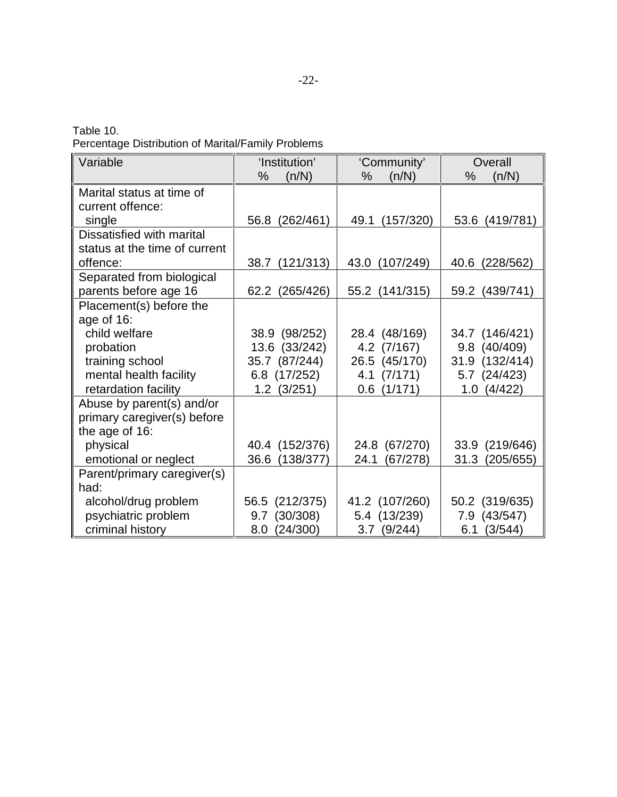Table 10.

Percentage Distribution of Marital/Family Problems

| Variable                      | 'Institution'     | 'Community'       | Overall           |
|-------------------------------|-------------------|-------------------|-------------------|
|                               | %<br>(n/N)        | %<br>(n/N)        | %<br>(n/N)        |
| Marital status at time of     |                   |                   |                   |
| current offence:              |                   |                   |                   |
| single                        | 56.8<br>(262/461) | 49.1<br>(157/320) | 53.6<br>(419/781) |
| Dissatisfied with marital     |                   |                   |                   |
| status at the time of current |                   |                   |                   |
| offence:                      | 38.7 (121/313)    | 43.0<br>(107/249) | (228/562)<br>40.6 |
| Separated from biological     |                   |                   |                   |
| parents before age 16         | 62.2<br>(265/426) | 55.2 (141/315)    | (439/741)<br>59.2 |
| Placement(s) before the       |                   |                   |                   |
| age of 16:                    |                   |                   |                   |
| child welfare                 | 38.9 (98/252)     | 28.4 (48/169)     | 34.7 (146/421)    |
| probation                     | 13.6 (33/242)     | 4.2 (7/167)       | 9.8 (40/409)      |
| training school               | 35.7 (87/244)     | 26.5 (45/170)     | 31.9 (132/414)    |
| mental health facility        | 6.8 (17/252)      | 4.1(7/171)        | 5.7 (24/423)      |
| retardation facility          | $1.2$ $(3/251)$   | $0.6$ $(1/171)$   | (4/422)<br>1.0    |
| Abuse by parent(s) and/or     |                   |                   |                   |
| primary caregiver(s) before   |                   |                   |                   |
| the age of 16:                |                   |                   |                   |
| physical                      | 40.4 (152/376)    | 24.8 (67/270)     | 33.9 (219/646)    |
| emotional or neglect          | 36.6 (138/377)    | 24.1<br>(67/278)  | 31.3<br>(205/655) |
| Parent/primary caregiver(s)   |                   |                   |                   |
| had:                          |                   |                   |                   |
| alcohol/drug problem          | 56.5 (212/375)    | 41.2 (107/260)    | 50.2 (319/635)    |
| psychiatric problem           | 9.7 (30/308)      | 5.4 (13/239)      | 7.9 (43/547)      |
| criminal history              | (24/300)<br>8.0   | $3.7$ (9/244)     | (3/544)<br>6.1    |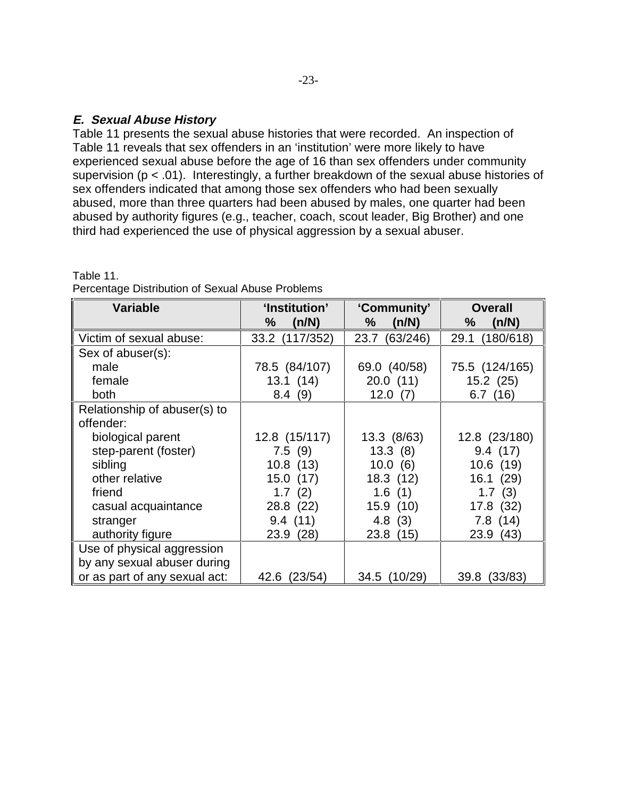#### **E. Sexual Abuse History**

Table 11.

Table 11 presents the sexual abuse histories that were recorded. An inspection of Table 11 reveals that sex offenders in an 'institution' were more likely to have experienced sexual abuse before the age of 16 than sex offenders under community supervision ( $p < .01$ ). Interestingly, a further breakdown of the sexual abuse histories of sex offenders indicated that among those sex offenders who had been sexually abused, more than three quarters had been abused by males, one quarter had been abused by authority figures (e.g., teacher, coach, scout leader, Big Brother) and one third had experienced the use of physical aggression by a sexual abuser.

| <b>Variable</b>               | 'Institution'     | 'Community'      | <b>Overall</b>    |
|-------------------------------|-------------------|------------------|-------------------|
|                               | %<br>(n/N)        | $\%$<br>(n/N)    | %<br>(n/N)        |
| Victim of sexual abuse:       | (117/352)<br>33.2 | 23.7<br>(63/246) | 29.1<br>(180/618) |
| Sex of abuser(s):             |                   |                  |                   |
| male                          | 78.5 (84/107)     | 69.0 (40/58)     | 75.5 (124/165)    |
| female                        | 13.1(14)          | 20.0(11)         | 15.2(25)          |
| both                          | 8.4<br>(9)        | 12.0<br>(7)      | 6.7(16)           |
| Relationship of abuser(s) to  |                   |                  |                   |
| offender:                     |                   |                  |                   |
| biological parent             | 12.8 (15/117)     | 13.3 (8/63)      | 12.8 (23/180)     |
| step-parent (foster)          | 7.5(9)            | 13.3(8)          | 9.4(17)           |
| sibling                       | 10.8(13)          | 10.0(6)          | 10.6(19)          |
| other relative                | 15.0(17)          | 18.3(12)         | 16.1(29)          |
| friend                        | 1.7(2)            | 1.6(1)           | 1.7<br>(3)        |
| casual acquaintance           | 28.8 (22)         | 15.9(10)         | 17.8 (32)         |
| stranger                      | 9.4(11)           | 4.8(3)           | 7.8 (14)          |
| authority figure              | 23.9 (28)         | 23.8 (15)        | 23.9<br>(43)      |
| Use of physical aggression    |                   |                  |                   |
| by any sexual abuser during   |                   |                  |                   |
| or as part of any sexual act: | (23/54)<br>42.6   | 34.5 (10/29)     | (33/83)<br>39.8   |

| Percentage Distribution of Sexual Abuse Problems |  |  |
|--------------------------------------------------|--|--|
|                                                  |  |  |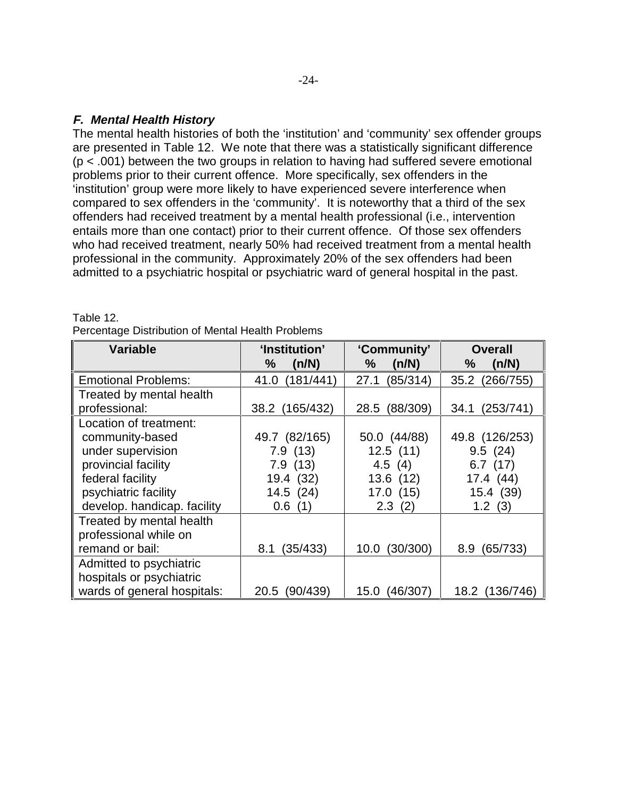#### **F. Mental Health History**

The mental health histories of both the 'institution' and 'community' sex offender groups are presented in Table 12. We note that there was a statistically significant difference (p < .001) between the two groups in relation to having had suffered severe emotional problems prior to their current offence. More specifically, sex offenders in the 'institution' group were more likely to have experienced severe interference when compared to sex offenders in the 'community'. It is noteworthy that a third of the sex offenders had received treatment by a mental health professional (i.e., intervention entails more than one contact) prior to their current offence. Of those sex offenders who had received treatment, nearly 50% had received treatment from a mental health professional in the community. Approximately 20% of the sex offenders had been admitted to a psychiatric hospital or psychiatric ward of general hospital in the past.

| <b>Variable</b>             | 'Institution'     | 'Community'      | <b>Overall</b>    |
|-----------------------------|-------------------|------------------|-------------------|
|                             | %<br>(n/N)        | ℅<br>(n/N)       | (n/N)<br>$\%$     |
| <b>Emotional Problems:</b>  | (181/441)<br>41.0 | 27.1<br>(85/314) | (266/755)<br>35.2 |
| Treated by mental health    |                   |                  |                   |
| professional:               | 38.2 (165/432)    | (88/309)<br>28.5 | (253/741)<br>34.1 |
| Location of treatment:      |                   |                  |                   |
| community-based             | 49.7 (82/165)     | 50.0 (44/88)     | 49.8 (126/253)    |
| under supervision           | 7.9(13)           | 12.5(11)         | 9.5(24)           |
| provincial facility         | 7.9(13)           | 4.5 $(4)$        | 6.7(17)           |
| federal facility            | 19.4 (32)         | 13.6(12)         | 17.4(44)          |
| psychiatric facility        | 14.5(24)          | 17.0(15)         | 15.4 (39)         |
| develop. handicap. facility | 0.6(1)            | 2.3(2)           | 1.2(3)            |
| Treated by mental health    |                   |                  |                   |
| professional while on       |                   |                  |                   |
| remand or bail:             | (35/433)<br>8.1   | (30/300)<br>10.0 | (65/733)<br>8.9   |
| Admitted to psychiatric     |                   |                  |                   |
| hospitals or psychiatric    |                   |                  |                   |
| wards of general hospitals: | (90/439)<br>20.5  | (46/307)<br>15.0 | 18.2 (136/746)    |

Table 12. Percentage Distribution of Mental Health Problems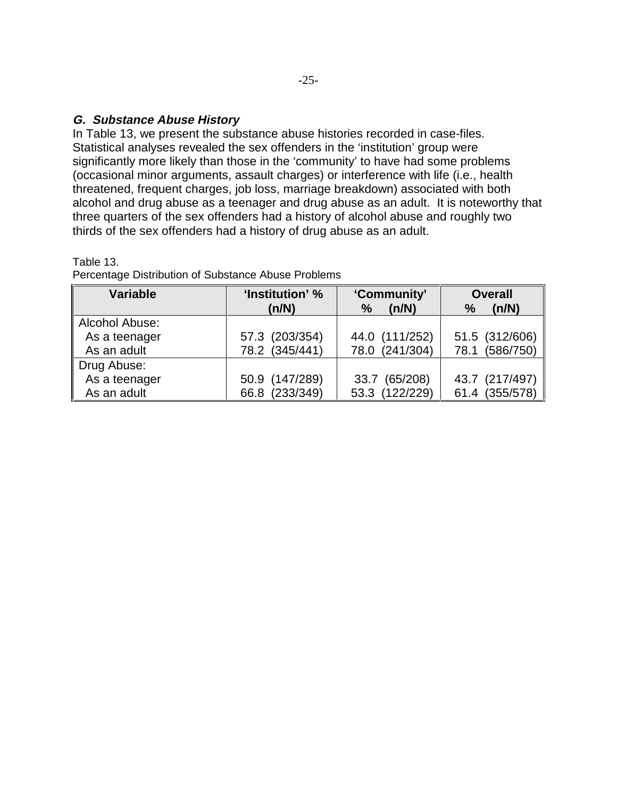#### **G. Substance Abuse History**

In Table 13, we present the substance abuse histories recorded in case-files. Statistical analyses revealed the sex offenders in the 'institution' group were significantly more likely than those in the 'community' to have had some problems (occasional minor arguments, assault charges) or interference with life (i.e., health threatened, frequent charges, job loss, marriage breakdown) associated with both alcohol and drug abuse as a teenager and drug abuse as an adult. It is noteworthy that three quarters of the sex offenders had a history of alcohol abuse and roughly two thirds of the sex offenders had a history of drug abuse as an adult.

#### Table 13.

| <b>Variable</b> | 'Community'<br>'Institution' % |                        | <b>Overall</b> |  |
|-----------------|--------------------------------|------------------------|----------------|--|
|                 | (n/N)                          | (n/N)<br>$\frac{0}{0}$ | $\%$<br>(n/N)  |  |
| Alcohol Abuse:  |                                |                        |                |  |
| As a teenager   | 57.3 (203/354)                 | 44.0 (111/252)         | 51.5 (312/606) |  |
| As an adult     | 78.2 (345/441)                 | 78.0 (241/304)         | 78.1 (586/750) |  |
| Drug Abuse:     |                                |                        |                |  |
| As a teenager   | 50.9 (147/289)                 | 33.7 (65/208)          | 43.7 (217/497) |  |
| As an adult     | 66.8 (233/349)                 | 53.3 (122/229)         | 61.4 (355/578) |  |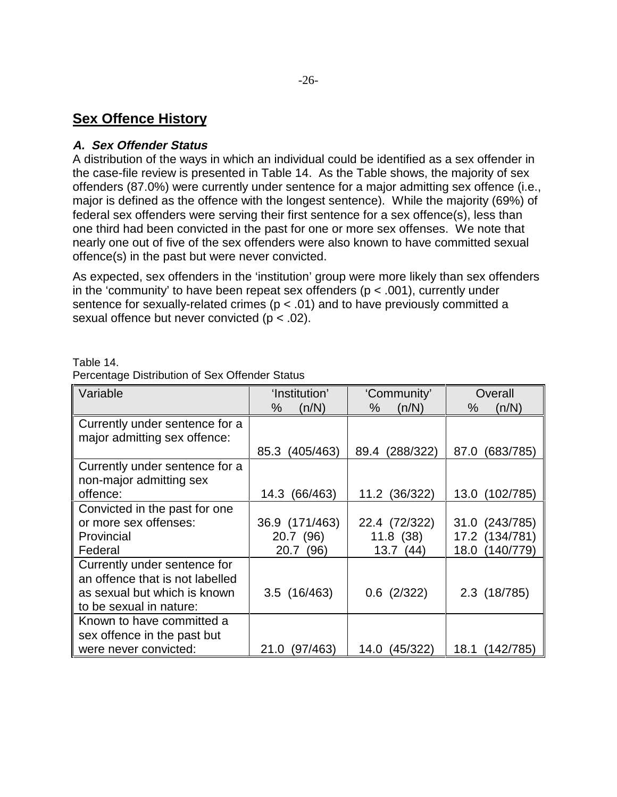### **Sex Offence History**

#### **A. Sex Offender Status**

A distribution of the ways in which an individual could be identified as a sex offender in the case-file review is presented in Table 14. As the Table shows, the majority of sex offenders (87.0%) were currently under sentence for a major admitting sex offence (i.e., major is defined as the offence with the longest sentence). While the majority (69%) of federal sex offenders were serving their first sentence for a sex offence(s), less than one third had been convicted in the past for one or more sex offenses. We note that nearly one out of five of the sex offenders were also known to have committed sexual offence(s) in the past but were never convicted.

As expected, sex offenders in the 'institution' group were more likely than sex offenders in the 'community' to have been repeat sex offenders ( $p < .001$ ), currently under sentence for sexually-related crimes ( $p < .01$ ) and to have previously committed a sexual offence but never convicted (p < .02).

| Variable                                                        | 'Institution'<br>%<br>(n/N) | 'Community'<br>%<br>(n/N) | Overall<br>(n/N)<br>$\%$ |
|-----------------------------------------------------------------|-----------------------------|---------------------------|--------------------------|
| Currently under sentence for a<br>major admitting sex offence:  |                             |                           |                          |
|                                                                 | (405/463)<br>85.3           | (288/322)<br>89.4         | (683/785)<br>87.0        |
| Currently under sentence for a                                  |                             |                           |                          |
| non-major admitting sex                                         |                             |                           |                          |
| offence:                                                        | (66/463)<br>14.3            | 11.2 (36/322)             | 13.0 (102/785)           |
| Convicted in the past for one                                   |                             |                           |                          |
| or more sex offenses:                                           | 36.9 (171/463)              | 22.4 (72/322)             | 31.0 (243/785)           |
| Provincial                                                      | 20.7 (96)                   | 11.8(38)                  | 17.2 (134/781)           |
| Federal                                                         | 20.7 (96)                   | 13.7(44)                  | 18.0 (140/779)           |
| Currently under sentence for<br>an offence that is not labelled |                             |                           |                          |
| as sexual but which is known                                    | $3.5$ (16/463)              | $0.6$ (2/322)             | 2.3 (18/785)             |
| to be sexual in nature:                                         |                             |                           |                          |
| Known to have committed a                                       |                             |                           |                          |
| sex offence in the past but                                     |                             |                           |                          |
| were never convicted:                                           | (97/463)<br>21.0            | (45/322)<br>14.0          | 18.1<br>142/785          |

Table 14. Percentage Distribution of Sex Offender Status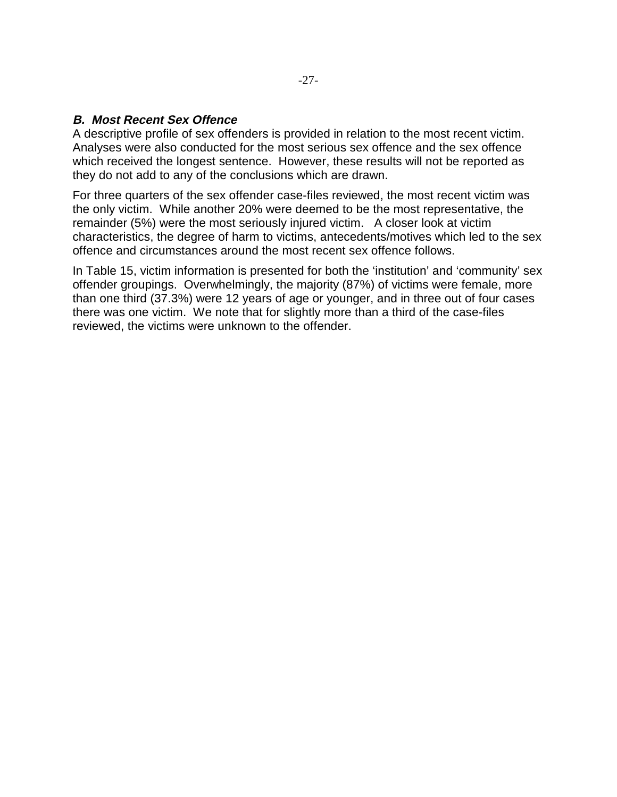#### **B. Most Recent Sex Offence**

A descriptive profile of sex offenders is provided in relation to the most recent victim. Analyses were also conducted for the most serious sex offence and the sex offence which received the longest sentence. However, these results will not be reported as they do not add to any of the conclusions which are drawn.

For three quarters of the sex offender case-files reviewed, the most recent victim was the only victim. While another 20% were deemed to be the most representative, the remainder (5%) were the most seriously injured victim. A closer look at victim characteristics, the degree of harm to victims, antecedents/motives which led to the sex offence and circumstances around the most recent sex offence follows.

In Table 15, victim information is presented for both the 'institution' and 'community' sex offender groupings. Overwhelmingly, the majority (87%) of victims were female, more than one third (37.3%) were 12 years of age or younger, and in three out of four cases there was one victim. We note that for slightly more than a third of the case-files reviewed, the victims were unknown to the offender.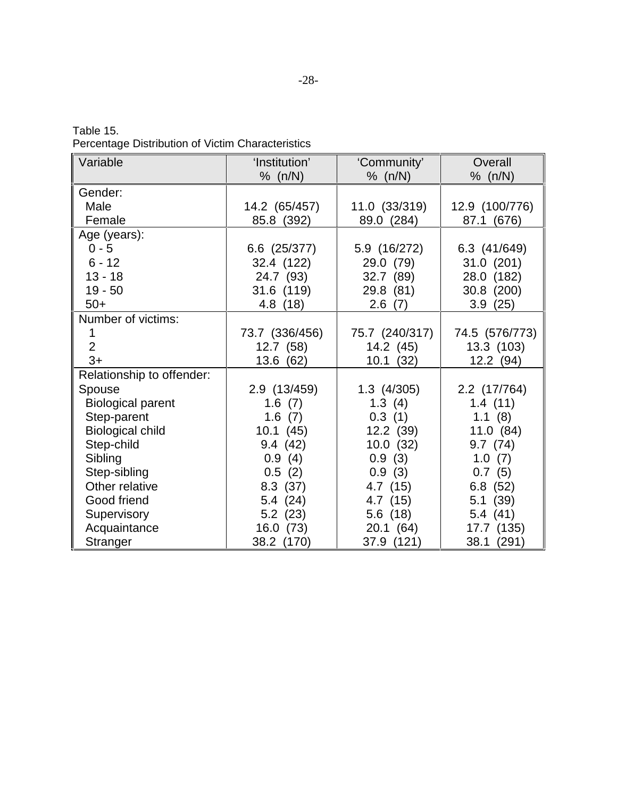| Table 15. |  |                                                   |
|-----------|--|---------------------------------------------------|
|           |  | Percentage Distribution of Victim Characteristics |

| Variable                  | 'Institution'  | 'Community'    | Overall        |
|---------------------------|----------------|----------------|----------------|
|                           | % (n/N)        | % (n/N)        | % $(n/N)$      |
| Gender:                   |                |                |                |
| Male                      | 14.2 (65/457)  | 11.0 (33/319)  | 12.9 (100/776) |
| Female                    | 85.8 (392)     | 89.0 (284)     | 87.1 (676)     |
| Age (years):              |                |                |                |
| $0 - 5$                   | 6.6 (25/377)   | 5.9 (16/272)   | 6.3 (41/649)   |
| $6 - 12$                  | 32.4 (122)     | 29.0 (79)      | 31.0 (201)     |
| $13 - 18$                 | 24.7 (93)      | 32.7(89)       | 28.0 (182)     |
| $19 - 50$                 | 31.6 (119)     | 29.8 (81)      | 30.8 (200)     |
| $50+$                     | 4.8 (18)       | 2.6(7)         | 3.9(25)        |
| Number of victims:        |                |                |                |
|                           | 73.7 (336/456) | 75.7 (240/317) | 74.5 (576/773) |
| $\overline{2}$            | 12.7(58)       | 14.2 (45)      | 13.3 (103)     |
| $3+$                      | 13.6 (62)      | 10.1(32)       | 12.2(94)       |
| Relationship to offender: |                |                |                |
| Spouse                    | 2.9 (13/459)   | $1.3$ (4/305)  | 2.2 (17/764)   |
| <b>Biological parent</b>  | 1.6(7)         | 1.3(4)         | 1.4(11)        |
| Step-parent               | 1.6(7)         | 0.3(1)         | 1.1(8)         |
| <b>Biological child</b>   | 10.1(45)       | 12.2 (39)      | 11.0(84)       |
| Step-child                | 9.4(42)        | 10.0(32)       | 9.7(74)        |
| Sibling                   | 0.9(4)         | 0.9(3)         | 1.0(7)         |
| Step-sibling              | 0.5(2)         | 0.9(3)         | 0.7(5)         |
| Other relative            | 8.3(37)        | 4.7 (15)       | 6.8(52)        |
| Good friend               | 5.4(24)        | 4.7 (15)       | 5.1(39)        |
| Supervisory               | 5.2(23)        | 5.6(18)        | 5.4(41)        |
| Acquaintance              | 16.0 (73)      | 20.1(64)       | 17.7 (135)     |
| Stranger                  | 38.2 (170)     | 37.9 (121)     | 38.1 (291)     |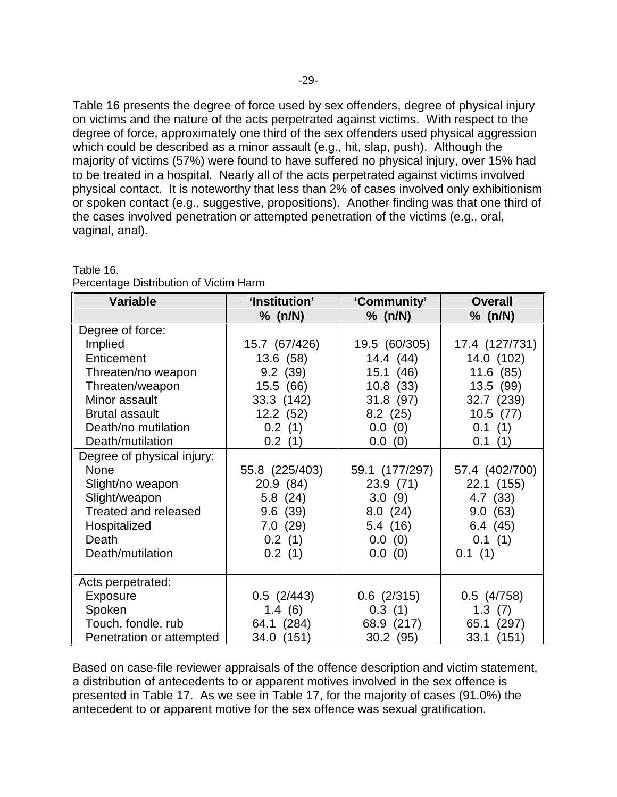Table 16 presents the degree of force used by sex offenders, degree of physical injury on victims and the nature of the acts perpetrated against victims. With respect to the degree of force, approximately one third of the sex offenders used physical aggression which could be described as a minor assault (e.g., hit, slap, push). Although the majority of victims (57%) were found to have suffered no physical injury, over 15% had to be treated in a hospital. Nearly all of the acts perpetrated against victims involved physical contact. It is noteworthy that less than 2% of cases involved only exhibitionism or spoken contact (e.g., suggestive, propositions). Another finding was that one third of the cases involved penetration or attempted penetration of the victims (e.g., oral, vaginal, anal).

| <b>Variable</b>             | 'Institution'   | 'Community'     | <b>Overall</b> |
|-----------------------------|-----------------|-----------------|----------------|
|                             | % (n/N)         | % (n/N)         | % (n/N)        |
| Degree of force:            |                 |                 |                |
| Implied                     | 15.7 (67/426)   | 19.5 (60/305)   | 17.4 (127/731) |
| Enticement                  | 13.6 (58)       | 14.4(44)        | 14.0 (102)     |
| Threaten/no weapon          | 9.2(39)         | 15.1(46)        | 11.6(85)       |
| Threaten/weapon             | 15.5 (66)       | 10.8(33)        | 13.5(99)       |
| Minor assault               | 33.3 (142)      | 31.8 (97)       | 32.7 (239)     |
| <b>Brutal assault</b>       | 12.2(52)        | 8.2(25)         | 10.5(77)       |
| Death/no mutilation         | 0.2(1)          | 0.0(0)          | 0.1(1)         |
| Death/mutilation            | 0.2(1)          | 0.0(0)          | 0.1(1)         |
| Degree of physical injury:  |                 |                 |                |
| None                        | 55.8 (225/403)  | 59.1 (177/297)  | 57.4 (402/700) |
| Slight/no weapon            | 20.9(84)        | 23.9(71)        | 22.1 (155)     |
| Slight/weapon               | 5.8(24)         | 3.0(9)          | 4.7 (33)       |
| <b>Treated and released</b> | 9.6(39)         | 8.0(24)         | 9.0(63)        |
| Hospitalized                | 7.0(29)         | 5.4(16)         | 6.4(45)        |
| Death                       | 0.2(1)          | 0.0(0)          | 0.1(1)         |
| Death/mutilation            | 0.2(1)          | 0.0(0)          | 0.1(1)         |
|                             |                 |                 |                |
| Acts perpetrated:           |                 |                 |                |
| Exposure                    | $0.5$ $(2/443)$ | $0.6$ $(2/315)$ | $0.5$ (4/758)  |
| Spoken                      | 1.4(6)          | 0.3(1)          | 1.3(7)         |
| Touch, fondle, rub          | 64.1 (284)      | 68.9 (217)      | 65.1 (297)     |
| Penetration or attempted    | 34.0 (151)      | 30.2(95)        | 33.1 (151)     |

#### Table 16.

Percentage Distribution of Victim Harm

Based on case-file reviewer appraisals of the offence description and victim statement, a distribution of antecedents to or apparent motives involved in the sex offence is presented in Table 17. As we see in Table 17, for the majority of cases (91.0%) the antecedent to or apparent motive for the sex offence was sexual gratification.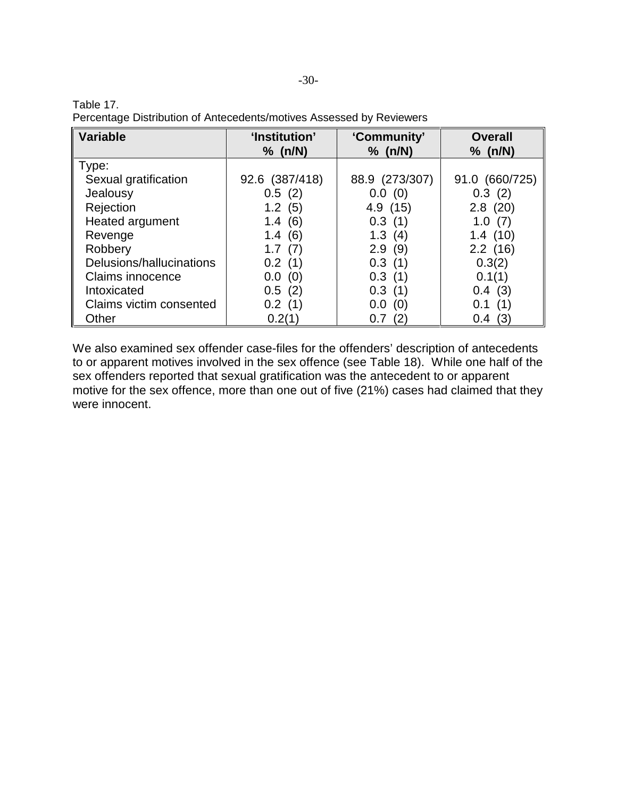| Table 17.                                                            |  |
|----------------------------------------------------------------------|--|
| Percentage Distribution of Antecedents/motives Assessed by Reviewers |  |

| <b>Variable</b>          | 'Institution'<br>% (n/N) | 'Community'<br>% (n/N) | <b>Overall</b><br>% (n/N) |
|--------------------------|--------------------------|------------------------|---------------------------|
| Type:                    |                          |                        |                           |
| Sexual gratification     | 92.6 (387/418)           | 88.9 (273/307)         | 91.0 (660/725)            |
| Jealousy                 | 0.5(2)                   | 0.0(0)                 | 0.3(2)                    |
| Rejection                | 1.2(5)                   | 4.9(15)                | 2.8(20)                   |
| Heated argument          | (6)<br>1.4               | 0.3(1)                 | 1.0(7)                    |
| Revenge                  | 1.4(6)                   | 1.3<br>(4)             | 1.4(10)                   |
| Robbery                  | 1.7<br>(7)               | 2.9<br>(9)             | 2.2(16)                   |
| Delusions/hallucinations | 0.2(1)                   | 0.3(1)                 | 0.3(2)                    |
| Claims innocence         | 0.0(0)                   | 0.3(1)                 | 0.1(1)                    |
| Intoxicated              | 0.5(2)                   | 0.3<br>(1)             | 0.4(3)                    |
| Claims victim consented  | 0.2(1)                   | 0.0<br>(0)             | (1)<br>0.1                |
| Other                    | 0.2(1)                   | (2)<br>0.7             | (3)<br>0.4                |

We also examined sex offender case-files for the offenders' description of antecedents to or apparent motives involved in the sex offence (see Table 18). While one half of the sex offenders reported that sexual gratification was the antecedent to or apparent motive for the sex offence, more than one out of five (21%) cases had claimed that they were innocent.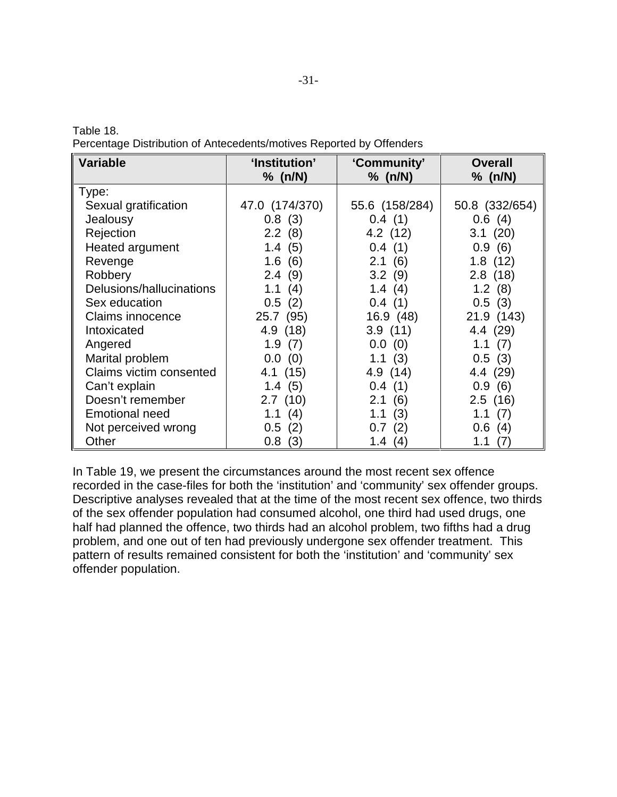| Percentage Distribution of Antecedents/motives Reported by Offenders |  |
|----------------------------------------------------------------------|--|
|----------------------------------------------------------------------|--|

Table 18.

| <b>Variable</b>          | 'Institution'  | 'Community'    | <b>Overall</b> |
|--------------------------|----------------|----------------|----------------|
|                          | % (n/N)        | % (n/N)        | % (n/N)        |
| Type:                    |                |                |                |
| Sexual gratification     | 47.0 (174/370) | 55.6 (158/284) | 50.8 (332/654) |
| Jealousy                 | 0.8(3)         | 0.4(1)         | 0.6(4)         |
| Rejection                | 2.2(8)         | 4.2 (12)       | 3.1(20)        |
| Heated argument          | 1.4(5)         | 0.4(1)         | 0.9(6)         |
| Revenge                  | 1.6<br>(6)     | 2.1(6)         | 1.8(12)        |
| Robbery                  | (9)<br>2.4     | 3.2(9)         | 2.8(18)        |
| Delusions/hallucinations | 1.1<br>(4)     | 1.4 $(4)$      | 1.2(8)         |
| Sex education            | $0.5\,$<br>(2) | 0.4(1)         | 0.5(3)         |
| <b>Claims innocence</b>  | 25.7 (95)      | 16.9(48)       | 21.9 (143)     |
| Intoxicated              | 4.9(18)        | 3.9(11)        | 4.4(29)        |
| Angered                  | 1.9(7)         | 0.0(0)         | 1.1(7)         |
| Marital problem          | $0.0\,$<br>(0) | 1.1(3)         | 0.5(3)         |
| Claims victim consented  | 4.1 (15)       | 4.9 (14)       | 4.4 (29)       |
| Can't explain            | 1.4(5)         | 0.4(1)         | 0.9(6)         |
| Doesn't remember         | 2.7(10)        | 2.1(6)         | 2.5(16)        |
| <b>Emotional need</b>    | 1.1(4)         | 1.1<br>(3)     | 1.1<br>(7)     |
| Not perceived wrong      | 0.5(2)         | (2)<br>0.7     | 0.6(4)         |
| Other                    | 0.8<br>(3)     | 1.4<br>(4)     | (7)<br>1.1     |

In Table 19, we present the circumstances around the most recent sex offence recorded in the case-files for both the 'institution' and 'community' sex offender groups. Descriptive analyses revealed that at the time of the most recent sex offence, two thirds of the sex offender population had consumed alcohol, one third had used drugs, one half had planned the offence, two thirds had an alcohol problem, two fifths had a drug problem, and one out of ten had previously undergone sex offender treatment. This pattern of results remained consistent for both the 'institution' and 'community' sex offender population.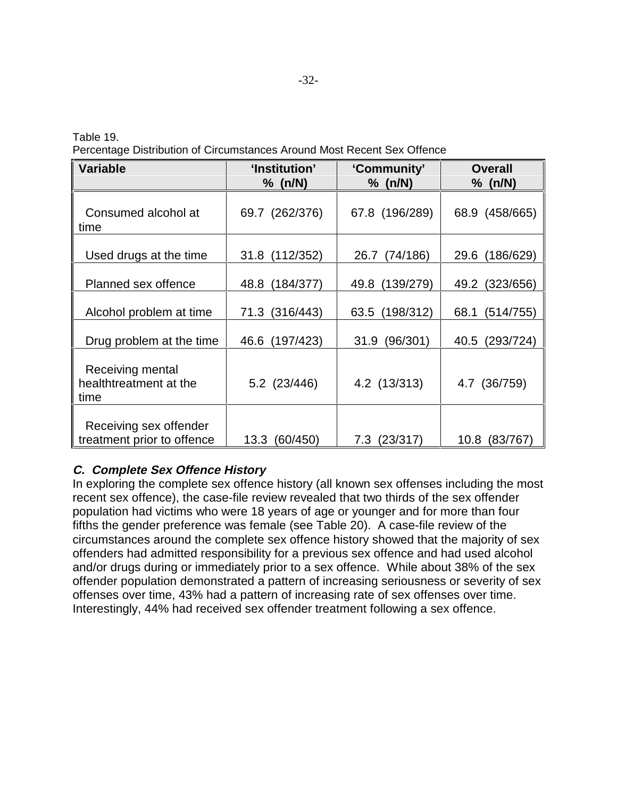Table 19. Percentage Distribution of Circumstances Around Most Recent Sex Offence

| <b>Variable</b>                                    | 'Institution'  | 'Community'    | <b>Overall</b> |
|----------------------------------------------------|----------------|----------------|----------------|
|                                                    | % (n/N)        | % (n/N)        | % (n/N)        |
| Consumed alcohol at<br>time                        | 69.7 (262/376) | 67.8 (196/289) | 68.9 (458/665) |
| Used drugs at the time                             | (112/352)      | (74/186)       | (186/629)      |
|                                                    | 31.8           | 26.7           | 29.6           |
| Planned sex offence                                | (184/377)      | (139/279)      | (323/656)      |
|                                                    | 48.8           | 49.8           | 49.2           |
| Alcohol problem at time                            | (316/443)      | (198/312)      | (514/755)      |
|                                                    | 71.3           | 63.5           | 68.1           |
| Drug problem at the time                           | (197/423)      | 31.9           | (293/724)      |
|                                                    | 46.6           | (96/301)       | 40.5           |
| Receiving mental<br>healthtreatment at the<br>time | 5.2 (23/446)   | 4.2 (13/313)   | 4.7 (36/759)   |
| Receiving sex offender                             | 13.3 (60/450)  | (23/317)       | 10.8           |
| treatment prior to offence                         |                | 7.3            | (83/767)       |

### **C. Complete Sex Offence History**

In exploring the complete sex offence history (all known sex offenses including the most recent sex offence), the case-file review revealed that two thirds of the sex offender population had victims who were 18 years of age or younger and for more than four fifths the gender preference was female (see Table 20). A case-file review of the circumstances around the complete sex offence history showed that the majority of sex offenders had admitted responsibility for a previous sex offence and had used alcohol and/or drugs during or immediately prior to a sex offence. While about 38% of the sex offender population demonstrated a pattern of increasing seriousness or severity of sex offenses over time, 43% had a pattern of increasing rate of sex offenses over time. Interestingly, 44% had received sex offender treatment following a sex offence.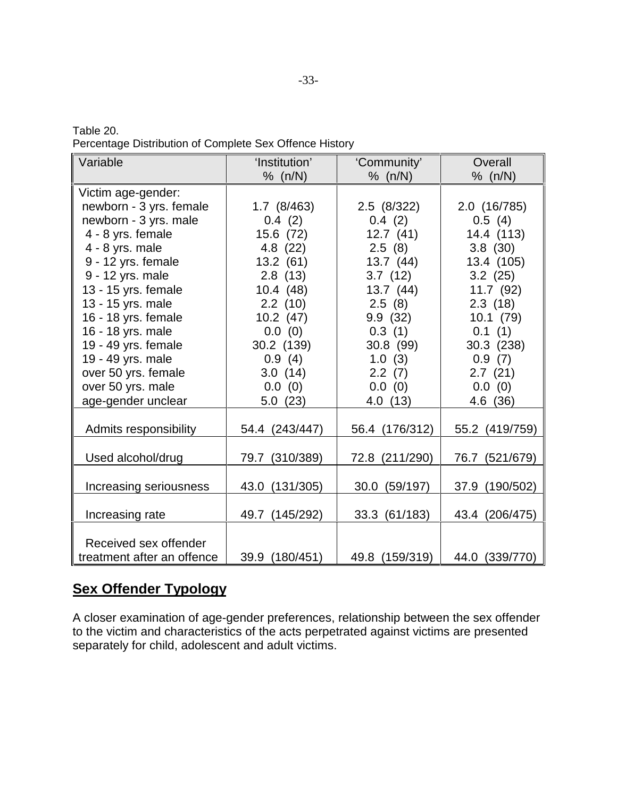| Table 20.                                               |  |  |
|---------------------------------------------------------|--|--|
| Percentage Distribution of Complete Sex Offence History |  |  |

| Variable                   | 'Institution'     | 'Community'    | Overall        |
|----------------------------|-------------------|----------------|----------------|
|                            | % (n/N)           | % (n/N)        | % (n/N)        |
| Victim age-gender:         |                   |                |                |
| newborn - 3 yrs. female    | $1.7$ (8/463)     | 2.5 (8/322)    | 2.0 (16/785)   |
| newborn - 3 yrs. male      | 0.4(2)            | 0.4(2)         | 0.5(4)         |
| 4 - 8 yrs. female          | 15.6 (72)         | 12.7(41)       | 14.4 (113)     |
| 4 - 8 yrs. male            | 4.8 (22)          | 2.5(8)         | 3.8(30)        |
| 9 - 12 yrs. female         | 13.2(61)          | 13.7(44)       | 13.4 (105)     |
| 9 - 12 yrs. male           | 2.8(13)           | 3.7(12)        | 3.2(25)        |
| 13 - 15 yrs. female        | 10.4(48)          | 13.7(44)       | 11.7(92)       |
| 13 - 15 yrs. male          | 2.2(10)           | 2.5(8)         | 2.3(18)        |
| 16 - 18 yrs. female        | 10.2(47)          | 9.9(32)        | 10.1(79)       |
| 16 - 18 yrs. male          | 0.0(0)            | 0.3(1)         | 0.1(1)         |
| 19 - 49 yrs. female        | 30.2 (139)        | 30.8 (99)      | 30.3 (238)     |
| 19 - 49 yrs. male          | 0.9(4)            | 1.0(3)         | 0.9(7)         |
| over 50 yrs. female        | 3.0(14)           | 2.2(7)         | 2.7(21)        |
| over 50 yrs. male          | 0.0(0)            | 0.0(0)         | 0.0(0)         |
| age-gender unclear         | 5.0(23)           | 4.0 (13)       | 4.6 (36)       |
|                            |                   |                |                |
| Admits responsibility      | 54.4 (243/447)    | 56.4 (176/312) | 55.2 (419/759) |
|                            |                   |                |                |
| Used alcohol/drug          | 79.7 (310/389)    | 72.8 (211/290) | 76.7 (521/679) |
|                            |                   |                |                |
| Increasing seriousness     | 43.0 (131/305)    | 30.0 (59/197)  | 37.9 (190/502) |
|                            |                   |                |                |
| Increasing rate            | (145/292)<br>49.7 | 33.3 (61/183)  | 43.4 (206/475) |
|                            |                   |                |                |
| Received sex offender      |                   |                |                |
| treatment after an offence | 39.9 (180/451)    | 49.8 (159/319) | 44.0 (339/770) |

## **Sex Offender Typology**

A closer examination of age-gender preferences, relationship between the sex offender to the victim and characteristics of the acts perpetrated against victims are presented separately for child, adolescent and adult victims.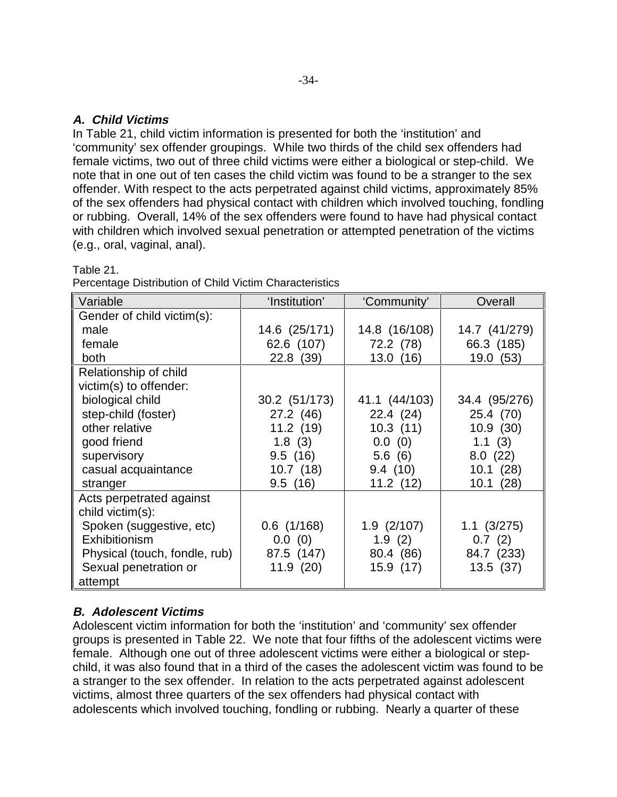#### **A. Child Victims**

In Table 21, child victim information is presented for both the 'institution' and 'community' sex offender groupings. While two thirds of the child sex offenders had female victims, two out of three child victims were either a biological or step-child. We note that in one out of ten cases the child victim was found to be a stranger to the sex offender. With respect to the acts perpetrated against child victims, approximately 85% of the sex offenders had physical contact with children which involved touching, fondling or rubbing. Overall, 14% of the sex offenders were found to have had physical contact with children which involved sexual penetration or attempted penetration of the victims (e.g., oral, vaginal, anal).

| Variable                      | 'Institution' | 'Community'     | Overall         |
|-------------------------------|---------------|-----------------|-----------------|
| Gender of child victim(s):    |               |                 |                 |
| male                          | 14.6 (25/171) | 14.8 (16/108)   | 14.7 (41/279)   |
| female                        | 62.6 (107)    | 72.2 (78)       | 66.3 (185)      |
| both                          | 22.8 (39)     | 13.0(16)        | 19.0 (53)       |
| Relationship of child         |               |                 |                 |
| victim(s) to offender:        |               |                 |                 |
| biological child              | 30.2 (51/173) | 41.1 (44/103)   | 34.4 (95/276)   |
| step-child (foster)           | 27.2 (46)     | 22.4(24)        | 25.4 (70)       |
| other relative                | 11.2(19)      | 10.3(11)        | 10.9(30)        |
| good friend                   | 1.8(3)        | 0.0(0)          | 1.1(3)          |
| supervisory                   | 9.5(16)       | 5.6(6)          | 8.0(22)         |
| casual acquaintance           | 10.7(18)      | 9.4(10)         | 10.1(28)        |
| stranger                      | 9.5(16)       | 11.2(12)        | 10.1(28)        |
| Acts perpetrated against      |               |                 |                 |
| child victim(s):              |               |                 |                 |
| Spoken (suggestive, etc)      | $0.6$ (1/168) | $1.9$ $(2/107)$ | $1.1 \ (3/275)$ |
| Exhibitionism                 | 0.0(0)        | 1.9(2)          | 0.7(2)          |
| Physical (touch, fondle, rub) | 87.5 (147)    | 80.4 (86)       | 84.7 (233)      |
| Sexual penetration or         | 11.9(20)      | 15.9 (17)       | 13.5(37)        |
| attempt                       |               |                 |                 |

Table 21.

| Percentage Distribution of Child Victim Characteristics |  |  |  |  |
|---------------------------------------------------------|--|--|--|--|
|---------------------------------------------------------|--|--|--|--|

### **B. Adolescent Victims**

Adolescent victim information for both the 'institution' and 'community' sex offender groups is presented in Table 22. We note that four fifths of the adolescent victims were female. Although one out of three adolescent victims were either a biological or stepchild, it was also found that in a third of the cases the adolescent victim was found to be a stranger to the sex offender. In relation to the acts perpetrated against adolescent victims, almost three quarters of the sex offenders had physical contact with adolescents which involved touching, fondling or rubbing. Nearly a quarter of these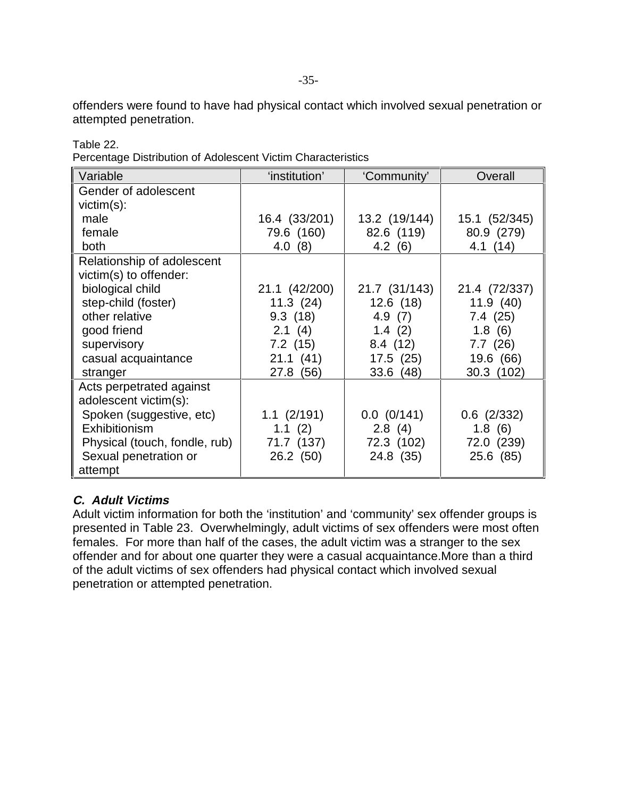offenders were found to have had physical contact which involved sexual penetration or attempted penetration.

| Variable                      | 'institution'   | 'Community'   | Overall         |
|-------------------------------|-----------------|---------------|-----------------|
| Gender of adolescent          |                 |               |                 |
| $victim(s)$ :                 |                 |               |                 |
| male                          | 16.4 (33/201)   | 13.2 (19/144) | 15.1 (52/345)   |
| female                        | 79.6 (160)      | 82.6 (119)    | 80.9 (279)      |
| both                          | 4.0(8)          | 4.2(6)        | 4.1(14)         |
| Relationship of adolescent    |                 |               |                 |
| victim(s) to offender:        |                 |               |                 |
| biological child              | 21.1 (42/200)   | 21.7 (31/143) | 21.4 (72/337)   |
| step-child (foster)           | 11.3(24)        | 12.6(18)      | 11.9(40)        |
| other relative                | 9.3(18)         | 4.9 $(7)$     | 7.4(25)         |
| good friend                   | 2.1(4)          | 1.4(2)        | 1.8(6)          |
| supervisory                   | 7.2(15)         | 8.4(12)       | 7.7(26)         |
| casual acquaintance           | 21.1(41)        | 17.5(25)      | 19.6 (66)       |
| stranger                      | 27.8 (56)       | 33.6(48)      | 30.3 (102)      |
| Acts perpetrated against      |                 |               |                 |
| adolescent victim(s):         |                 |               |                 |
| Spoken (suggestive, etc)      | $1.1 \ (2/191)$ | 0.0 (0/141)   | $0.6$ $(2/332)$ |
| Exhibitionism                 | 1.1 $(2)$       | 2.8(4)        | 1.8(6)          |
| Physical (touch, fondle, rub) | 71.7 (137)      | 72.3 (102)    | 72.0 (239)      |
| Sexual penetration or         | 26.2 (50)       | 24.8 (35)     | 25.6 (85)       |
| attempt                       |                 |               |                 |

Table 22. Percentage Distribution of Adolescent Victim Characteristics

### **C. Adult Victims**

Adult victim information for both the 'institution' and 'community' sex offender groups is presented in Table 23. Overwhelmingly, adult victims of sex offenders were most often females. For more than half of the cases, the adult victim was a stranger to the sex offender and for about one quarter they were a casual acquaintance.More than a third of the adult victims of sex offenders had physical contact which involved sexual penetration or attempted penetration.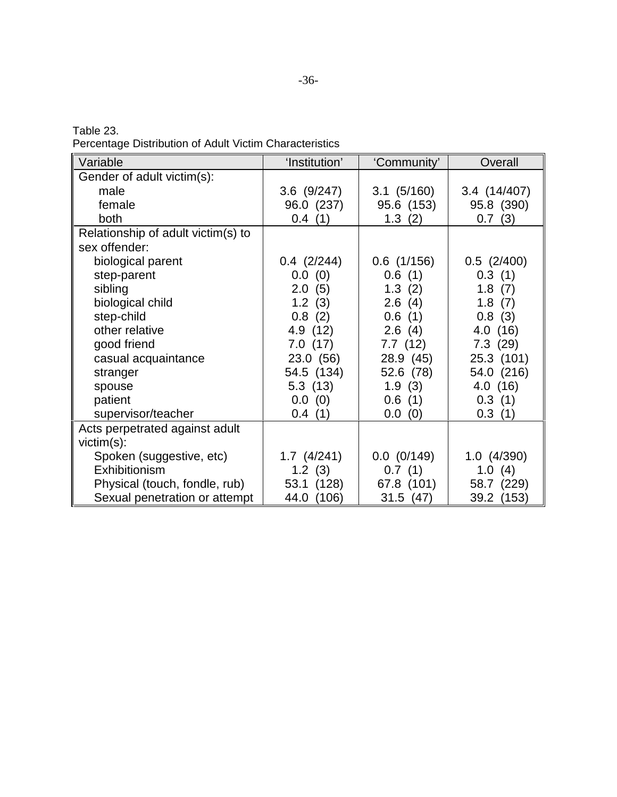| Table 23.                                               |  |  |  |
|---------------------------------------------------------|--|--|--|
| Percentage Distribution of Adult Victim Characteristics |  |  |  |

| Variable                           | 'Institution'   | 'Community'     | Overall         |
|------------------------------------|-----------------|-----------------|-----------------|
| Gender of adult victim(s):         |                 |                 |                 |
| male                               | $3.6$ (9/247)   | $3.1 \ (5/160)$ | 3.4 (14/407)    |
| female                             | 96.0 (237)      | 95.6 (153)      | 95.8 (390)      |
| both                               | 0.4(1)          | 1.3(2)          | 0.7(3)          |
| Relationship of adult victim(s) to |                 |                 |                 |
| sex offender:                      |                 |                 |                 |
| biological parent                  | $0.4$ $(2/244)$ | $0.6$ (1/156)   | $0.5$ (2/400)   |
| step-parent                        | 0.0(0)          | 0.6(1)          | 0.3(1)          |
| sibling                            | 2.0(5)          | 1.3(2)          | 1.8(7)          |
| biological child                   | 1.2(3)          | 2.6(4)          | 1.8(7)          |
| step-child                         | 0.8(2)          | 0.6(1)          | 0.8(3)          |
| other relative                     | 4.9 (12)        | 2.6(4)          | 4.0(16)         |
| good friend                        | 7.0(17)         | 7.7(12)         | 7.3(29)         |
| casual acquaintance                | 23.0 (56)       | 28.9 (45)       | 25.3 (101)      |
| stranger                           | 54.5 (134)      | 52.6 (78)       | 54.0 (216)      |
| spouse                             | 5.3(13)         | 1.9(3)          | 4.0(16)         |
| patient                            | 0.0(0)          | 0.6(1)          | 0.3(1)          |
| supervisor/teacher                 | 0.4(1)          | 0.0(0)          | 0.3(1)          |
| Acts perpetrated against adult     |                 |                 |                 |
| $victim(s)$ :                      |                 |                 |                 |
| Spoken (suggestive, etc)           | $1.7$ $(4/241)$ | 0.0 (0/149)     | $1.0$ $(4/390)$ |
| Exhibitionism                      | 1.2(3)          | 0.7(1)          | 1.0(4)          |
| Physical (touch, fondle, rub)      | 53.1 (128)      | 67.8 (101)      | 58.7 (229)      |
| Sexual penetration or attempt      | 44.0<br>(106)   | 31.5(47)        | 39.2 (153)      |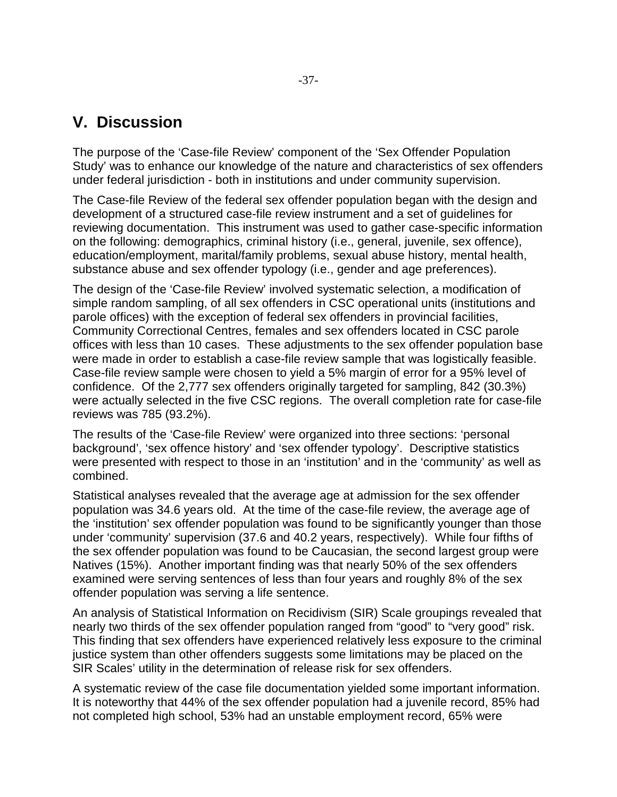## **V. Discussion**

The purpose of the 'Case-file Review' component of the 'Sex Offender Population Study' was to enhance our knowledge of the nature and characteristics of sex offenders under federal jurisdiction - both in institutions and under community supervision.

The Case-file Review of the federal sex offender population began with the design and development of a structured case-file review instrument and a set of guidelines for reviewing documentation. This instrument was used to gather case-specific information on the following: demographics, criminal history (i.e., general, juvenile, sex offence), education/employment, marital/family problems, sexual abuse history, mental health, substance abuse and sex offender typology (i.e., gender and age preferences).

The design of the 'Case-file Review' involved systematic selection, a modification of simple random sampling, of all sex offenders in CSC operational units (institutions and parole offices) with the exception of federal sex offenders in provincial facilities, Community Correctional Centres, females and sex offenders located in CSC parole offices with less than 10 cases. These adjustments to the sex offender population base were made in order to establish a case-file review sample that was logistically feasible. Case-file review sample were chosen to yield a 5% margin of error for a 95% level of confidence. Of the 2,777 sex offenders originally targeted for sampling, 842 (30.3%) were actually selected in the five CSC regions. The overall completion rate for case-file reviews was 785 (93.2%).

The results of the 'Case-file Review' were organized into three sections: 'personal background', 'sex offence history' and 'sex offender typology'. Descriptive statistics were presented with respect to those in an 'institution' and in the 'community' as well as combined.

Statistical analyses revealed that the average age at admission for the sex offender population was 34.6 years old. At the time of the case-file review, the average age of the 'institution' sex offender population was found to be significantly younger than those under 'community' supervision (37.6 and 40.2 years, respectively). While four fifths of the sex offender population was found to be Caucasian, the second largest group were Natives (15%). Another important finding was that nearly 50% of the sex offenders examined were serving sentences of less than four years and roughly 8% of the sex offender population was serving a life sentence.

An analysis of Statistical Information on Recidivism (SIR) Scale groupings revealed that nearly two thirds of the sex offender population ranged from "good" to "very good" risk. This finding that sex offenders have experienced relatively less exposure to the criminal justice system than other offenders suggests some limitations may be placed on the SIR Scales' utility in the determination of release risk for sex offenders.

A systematic review of the case file documentation yielded some important information. It is noteworthy that 44% of the sex offender population had a juvenile record, 85% had not completed high school, 53% had an unstable employment record, 65% were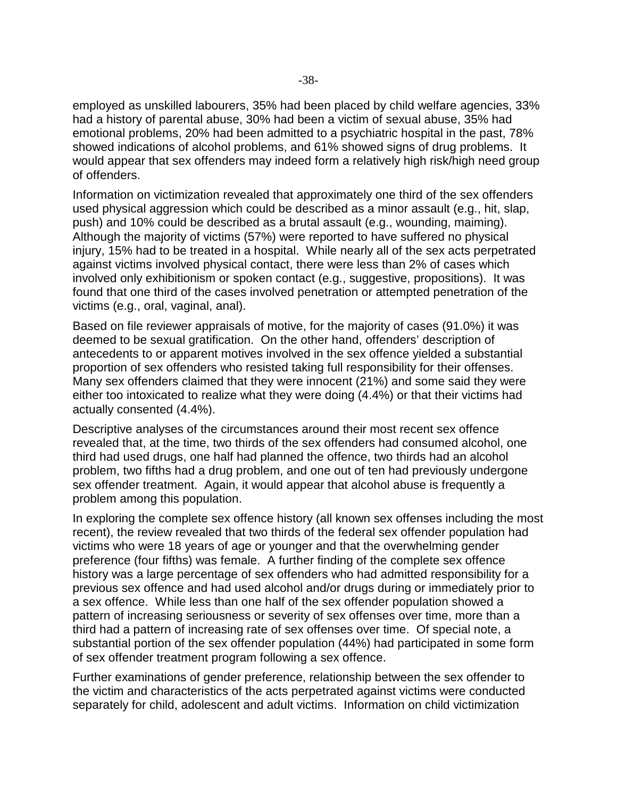employed as unskilled labourers, 35% had been placed by child welfare agencies, 33% had a history of parental abuse, 30% had been a victim of sexual abuse, 35% had emotional problems, 20% had been admitted to a psychiatric hospital in the past, 78% showed indications of alcohol problems, and 61% showed signs of drug problems. It would appear that sex offenders may indeed form a relatively high risk/high need group of offenders.

Information on victimization revealed that approximately one third of the sex offenders used physical aggression which could be described as a minor assault (e.g., hit, slap, push) and 10% could be described as a brutal assault (e.g., wounding, maiming). Although the majority of victims (57%) were reported to have suffered no physical injury, 15% had to be treated in a hospital. While nearly all of the sex acts perpetrated against victims involved physical contact, there were less than 2% of cases which involved only exhibitionism or spoken contact (e.g., suggestive, propositions). It was found that one third of the cases involved penetration or attempted penetration of the victims (e.g., oral, vaginal, anal).

Based on file reviewer appraisals of motive, for the majority of cases (91.0%) it was deemed to be sexual gratification. On the other hand, offenders' description of antecedents to or apparent motives involved in the sex offence yielded a substantial proportion of sex offenders who resisted taking full responsibility for their offenses. Many sex offenders claimed that they were innocent (21%) and some said they were either too intoxicated to realize what they were doing (4.4%) or that their victims had actually consented (4.4%).

Descriptive analyses of the circumstances around their most recent sex offence revealed that, at the time, two thirds of the sex offenders had consumed alcohol, one third had used drugs, one half had planned the offence, two thirds had an alcohol problem, two fifths had a drug problem, and one out of ten had previously undergone sex offender treatment. Again, it would appear that alcohol abuse is frequently a problem among this population.

In exploring the complete sex offence history (all known sex offenses including the most recent), the review revealed that two thirds of the federal sex offender population had victims who were 18 years of age or younger and that the overwhelming gender preference (four fifths) was female. A further finding of the complete sex offence history was a large percentage of sex offenders who had admitted responsibility for a previous sex offence and had used alcohol and/or drugs during or immediately prior to a sex offence. While less than one half of the sex offender population showed a pattern of increasing seriousness or severity of sex offenses over time, more than a third had a pattern of increasing rate of sex offenses over time. Of special note, a substantial portion of the sex offender population (44%) had participated in some form of sex offender treatment program following a sex offence.

Further examinations of gender preference, relationship between the sex offender to the victim and characteristics of the acts perpetrated against victims were conducted separately for child, adolescent and adult victims. Information on child victimization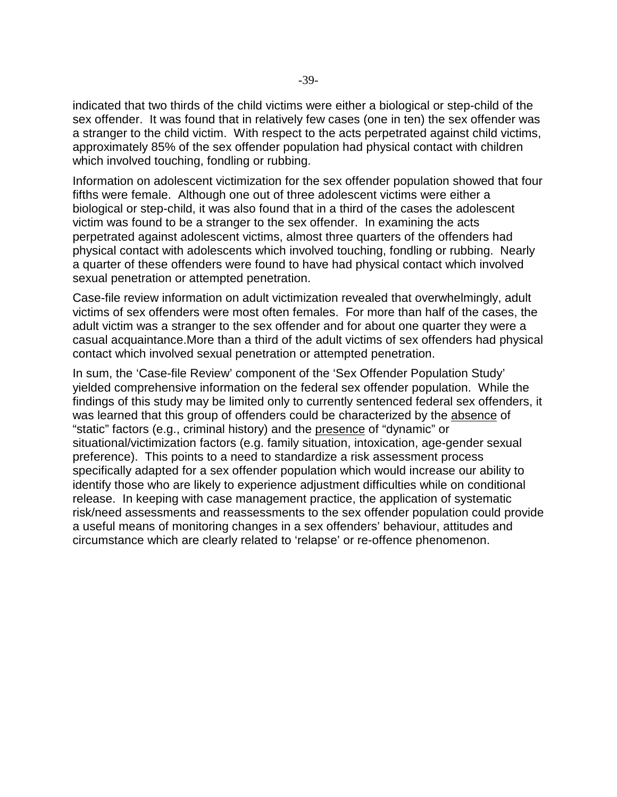indicated that two thirds of the child victims were either a biological or step-child of the sex offender. It was found that in relatively few cases (one in ten) the sex offender was a stranger to the child victim. With respect to the acts perpetrated against child victims, approximately 85% of the sex offender population had physical contact with children which involved touching, fondling or rubbing.

Information on adolescent victimization for the sex offender population showed that four fifths were female. Although one out of three adolescent victims were either a biological or step-child, it was also found that in a third of the cases the adolescent victim was found to be a stranger to the sex offender. In examining the acts perpetrated against adolescent victims, almost three quarters of the offenders had physical contact with adolescents which involved touching, fondling or rubbing. Nearly a quarter of these offenders were found to have had physical contact which involved sexual penetration or attempted penetration.

Case-file review information on adult victimization revealed that overwhelmingly, adult victims of sex offenders were most often females. For more than half of the cases, the adult victim was a stranger to the sex offender and for about one quarter they were a casual acquaintance.More than a third of the adult victims of sex offenders had physical contact which involved sexual penetration or attempted penetration.

In sum, the 'Case-file Review' component of the 'Sex Offender Population Study' yielded comprehensive information on the federal sex offender population. While the findings of this study may be limited only to currently sentenced federal sex offenders, it was learned that this group of offenders could be characterized by the absence of "static" factors (e.g., criminal history) and the presence of "dynamic" or situational/victimization factors (e.g. family situation, intoxication, age-gender sexual preference). This points to a need to standardize a risk assessment process specifically adapted for a sex offender population which would increase our ability to identify those who are likely to experience adjustment difficulties while on conditional release. In keeping with case management practice, the application of systematic risk/need assessments and reassessments to the sex offender population could provide a useful means of monitoring changes in a sex offenders' behaviour, attitudes and circumstance which are clearly related to 'relapse' or re-offence phenomenon.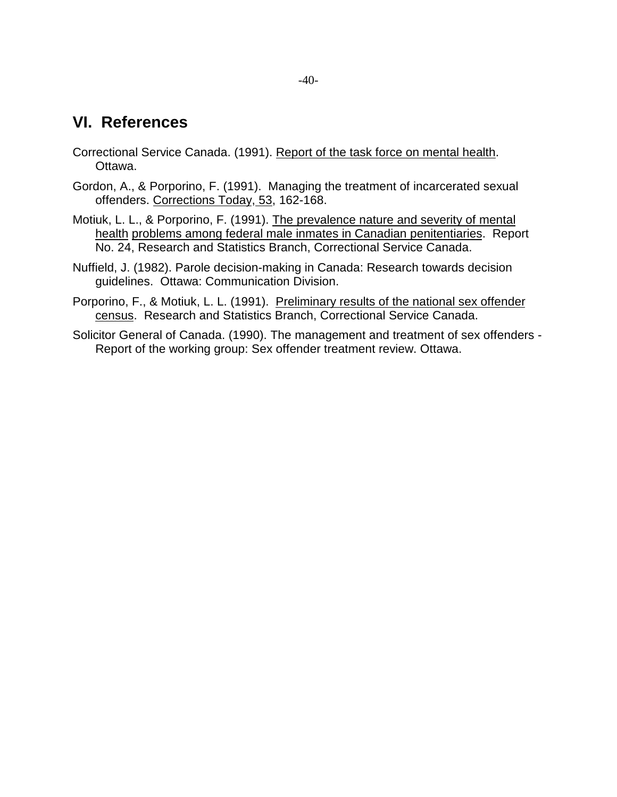### **VI. References**

- Correctional Service Canada. (1991). Report of the task force on mental health. Ottawa.
- Gordon, A., & Porporino, F. (1991). Managing the treatment of incarcerated sexual offenders. Corrections Today, 53, 162-168.
- Motiuk, L. L., & Porporino, F. (1991). The prevalence nature and severity of mental health problems among federal male inmates in Canadian penitentiaries. Report No. 24, Research and Statistics Branch, Correctional Service Canada.
- Nuffield, J. (1982). Parole decision-making in Canada: Research towards decision guidelines. Ottawa: Communication Division.
- Porporino, F., & Motiuk, L. L. (1991). Preliminary results of the national sex offender census. Research and Statistics Branch, Correctional Service Canada.
- Solicitor General of Canada. (1990). The management and treatment of sex offenders Report of the working group: Sex offender treatment review. Ottawa.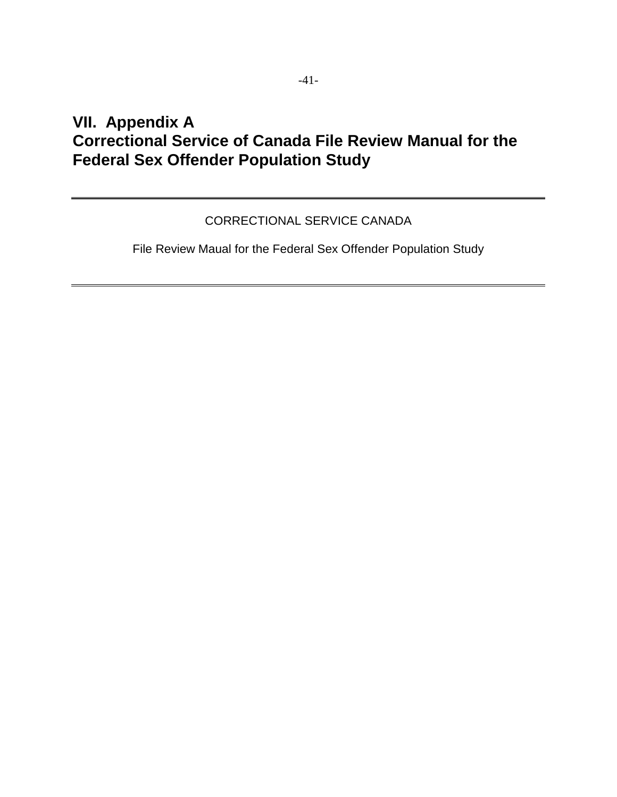# **VII. Appendix A Correctional Service of Canada File Review Manual for the Federal Sex Offender Population Study**

#### CORRECTIONAL SERVICE CANADA

File Review Maual for the Federal Sex Offender Population Study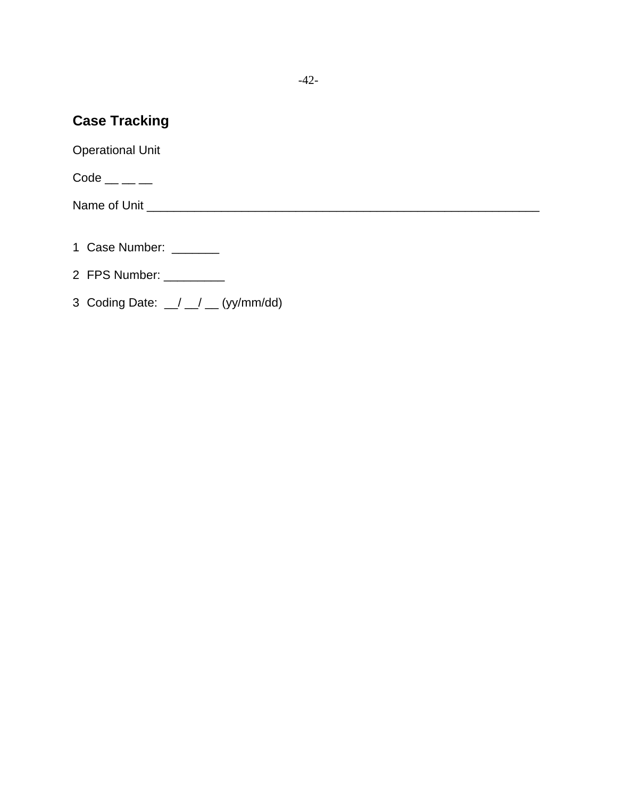### **Case Tracking**

Operational Unit

 $Code \_\_\_\_\_\_\_\_\_$ 

Name of Unit \_\_\_\_\_\_\_\_\_\_\_\_\_\_\_\_\_\_\_\_\_\_\_\_\_\_\_\_\_\_\_\_\_\_\_\_\_\_\_\_\_\_\_\_\_\_\_\_\_\_\_\_\_\_\_\_\_\_

- 1 Case Number: \_\_\_\_\_\_\_
- 2 FPS Number: \_\_\_\_\_\_\_\_\_
- 3 Coding Date:  $\angle$   $\angle$   $\angle$   $\angle$  (yy/mm/dd)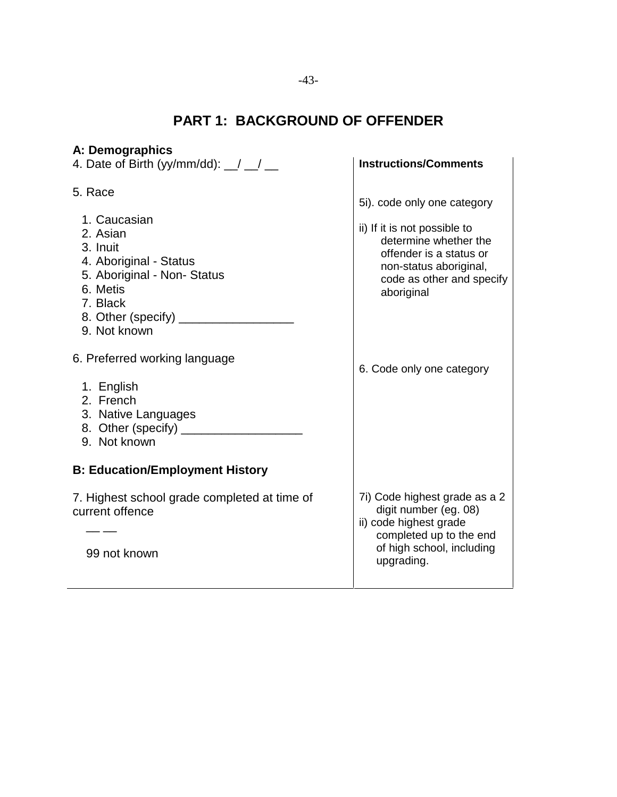# **PART 1: BACKGROUND OF OFFENDER**

| A: Demographics                                                                                                                   |                                                                                                                                                        |
|-----------------------------------------------------------------------------------------------------------------------------------|--------------------------------------------------------------------------------------------------------------------------------------------------------|
| 4. Date of Birth (yy/mm/dd): $\angle$ $\angle$                                                                                    | <b>Instructions/Comments</b>                                                                                                                           |
| 5. Race<br>1. Caucasian<br>2. Asian<br>3. Inuit                                                                                   | 5i). code only one category<br>ii) If it is not possible to<br>determine whether the                                                                   |
| 4. Aboriginal - Status<br>5. Aboriginal - Non- Status<br>6. Metis<br>7. Black<br>8. Other (specify) _____________<br>9. Not known | offender is a status or<br>non-status aboriginal,<br>code as other and specify<br>aboriginal                                                           |
| 6. Preferred working language<br>1. English<br>2. French<br>3. Native Languages<br>9. Not known                                   | 6. Code only one category                                                                                                                              |
| <b>B: Education/Employment History</b>                                                                                            |                                                                                                                                                        |
| 7. Highest school grade completed at time of<br>current offence<br>99 not known                                                   | 7i) Code highest grade as a 2<br>digit number (eg. 08)<br>ii) code highest grade<br>completed up to the end<br>of high school, including<br>upgrading. |
|                                                                                                                                   |                                                                                                                                                        |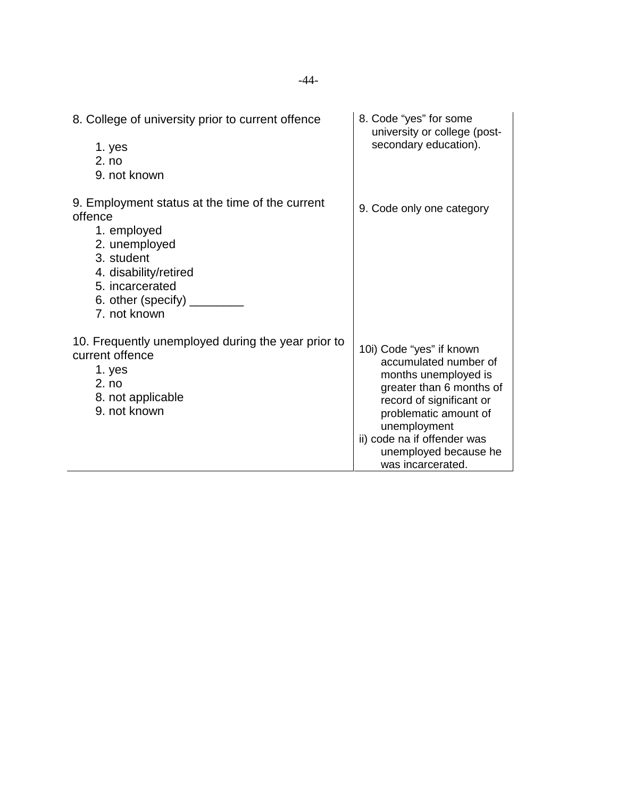| 8. College of university prior to current offence<br>1. yes<br>2. no<br>9. not known                                                                                                              | 8. Code "yes" for some<br>university or college (post-<br>secondary education).                                                                                                                                                                         |
|---------------------------------------------------------------------------------------------------------------------------------------------------------------------------------------------------|---------------------------------------------------------------------------------------------------------------------------------------------------------------------------------------------------------------------------------------------------------|
| 9. Employment status at the time of the current<br>offence<br>1. employed<br>2. unemployed<br>3. student<br>4. disability/retired<br>5. incarcerated<br>6. other (specify) $_{-}$<br>7. not known | 9. Code only one category                                                                                                                                                                                                                               |
| 10. Frequently unemployed during the year prior to<br>current offence<br>1. yes<br>2. no<br>8. not applicable<br>9. not known                                                                     | 10i) Code "yes" if known<br>accumulated number of<br>months unemployed is<br>greater than 6 months of<br>record of significant or<br>problematic amount of<br>unemployment<br>ii) code na if offender was<br>unemployed because he<br>was incarcerated. |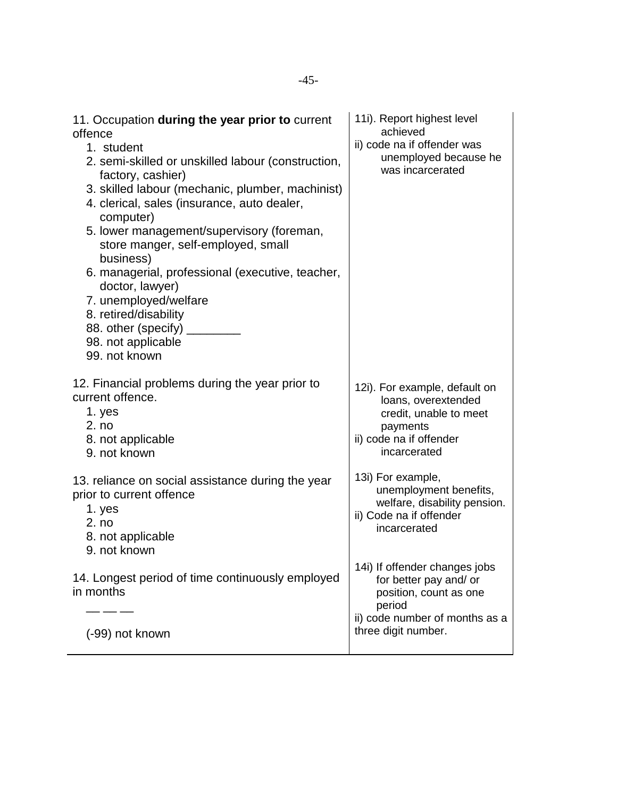| 11. Occupation during the year prior to current<br>offence<br>1. student<br>2. semi-skilled or unskilled labour (construction,<br>factory, cashier)<br>3. skilled labour (mechanic, plumber, machinist)<br>4. clerical, sales (insurance, auto dealer,<br>computer)<br>5. lower management/supervisory (foreman,<br>store manger, self-employed, small<br>business)<br>6. managerial, professional (executive, teacher,<br>doctor, lawyer)<br>7. unemployed/welfare<br>8. retired/disability<br>88. other (specify)<br>98. not applicable<br>99. not known | achieved<br>ii) code na if offender was<br>unemployed because he<br>was incarcerated                                                                 |
|------------------------------------------------------------------------------------------------------------------------------------------------------------------------------------------------------------------------------------------------------------------------------------------------------------------------------------------------------------------------------------------------------------------------------------------------------------------------------------------------------------------------------------------------------------|------------------------------------------------------------------------------------------------------------------------------------------------------|
| 12. Financial problems during the year prior to<br>current offence.<br>1. yes<br>2. no<br>8. not applicable<br>9. not known                                                                                                                                                                                                                                                                                                                                                                                                                                | 12i). For example, default on<br>loans, overextended<br>credit, unable to meet<br>payments<br>ii) code na if offender<br>incarcerated                |
| 13. reliance on social assistance during the year<br>prior to current offence<br>1. yes<br>2. no<br>8. not applicable<br>9. not known                                                                                                                                                                                                                                                                                                                                                                                                                      | 13i) For example,<br>unemployment benefits,<br>welfare, disability pension.<br>ii) Code na if offender<br>incarcerated                               |
| 14. Longest period of time continuously employed<br>in months<br>(-99) not known                                                                                                                                                                                                                                                                                                                                                                                                                                                                           | 14i) If offender changes jobs<br>for better pay and/ or<br>position, count as one<br>period<br>ii) code number of months as a<br>three digit number. |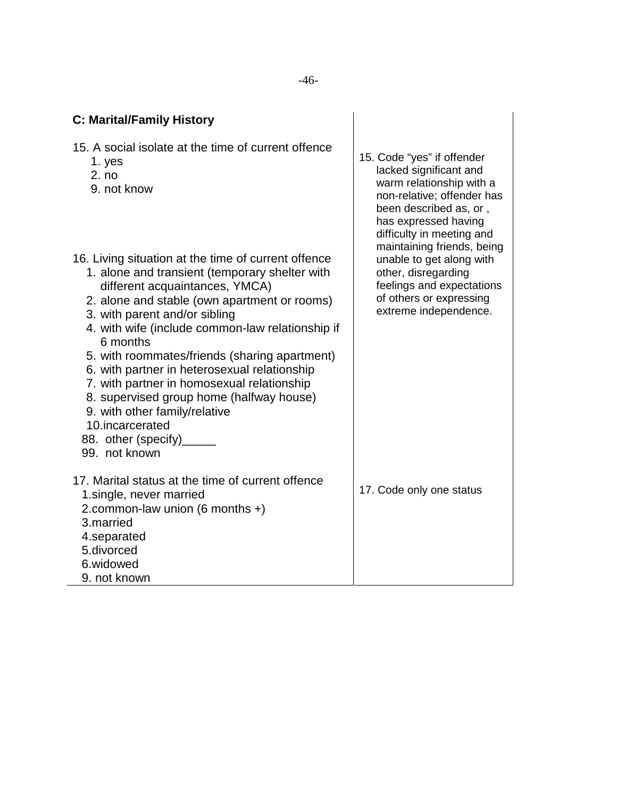| <b>C: Marital/Family History</b>                                                                                                                                                                                                                                                                                                                                                                                                                                                                                                                                                     |                                                                                                                                                                                             |
|--------------------------------------------------------------------------------------------------------------------------------------------------------------------------------------------------------------------------------------------------------------------------------------------------------------------------------------------------------------------------------------------------------------------------------------------------------------------------------------------------------------------------------------------------------------------------------------|---------------------------------------------------------------------------------------------------------------------------------------------------------------------------------------------|
| 15. A social isolate at the time of current offence<br>1. yes<br>2. no<br>9. not know                                                                                                                                                                                                                                                                                                                                                                                                                                                                                                | 15. Code "yes" if offender<br>lacked significant and<br>warm relationship with a<br>non-relative; offender has<br>been described as, or,<br>has expressed having                            |
| 16. Living situation at the time of current offence<br>1. alone and transient (temporary shelter with<br>different acquaintances, YMCA)<br>2. alone and stable (own apartment or rooms)<br>3. with parent and/or sibling<br>4. with wife (include common-law relationship if<br>6 months<br>5. with roommates/friends (sharing apartment)<br>6. with partner in heterosexual relationship<br>7. with partner in homosexual relationship<br>8. supervised group home (halfway house)<br>9. with other family/relative<br>10.incarcerated<br>88. other (specify)_____<br>99. not known | difficulty in meeting and<br>maintaining friends, being<br>unable to get along with<br>other, disregarding<br>feelings and expectations<br>of others or expressing<br>extreme independence. |
| 17. Marital status at the time of current offence<br>1. single, never married<br>2.common-law union (6 months +)<br>3. married<br>4.separated<br>5.divorced<br>6.widowed<br>9. not known                                                                                                                                                                                                                                                                                                                                                                                             | 17. Code only one status                                                                                                                                                                    |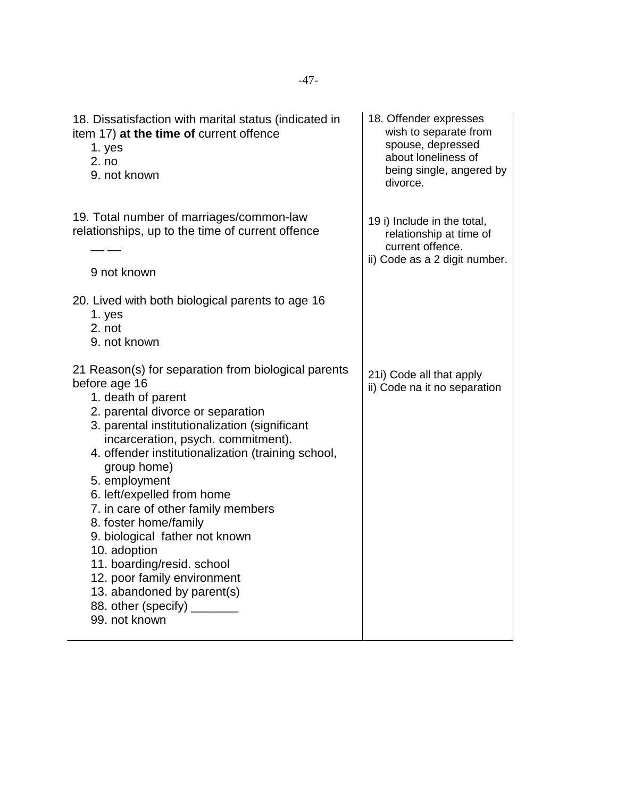| 18. Dissatisfaction with marital status (indicated in<br>item 17) at the time of current offence<br>1. yes<br>2. no<br>9. not known                                                                                                                                                                                                                                                                                                                                                                                                                                                                     | 18. Offender expresses<br>wish to separate from<br>spouse, depressed<br>about loneliness of<br>being single, angered by<br>divorce. |
|---------------------------------------------------------------------------------------------------------------------------------------------------------------------------------------------------------------------------------------------------------------------------------------------------------------------------------------------------------------------------------------------------------------------------------------------------------------------------------------------------------------------------------------------------------------------------------------------------------|-------------------------------------------------------------------------------------------------------------------------------------|
| 19. Total number of marriages/common-law<br>relationships, up to the time of current offence<br>9 not known                                                                                                                                                                                                                                                                                                                                                                                                                                                                                             | 19 i) Include in the total,<br>relationship at time of<br>current offence.<br>ii) Code as a 2 digit number.                         |
| 20. Lived with both biological parents to age 16<br>1. yes<br>2. not<br>9. not known                                                                                                                                                                                                                                                                                                                                                                                                                                                                                                                    |                                                                                                                                     |
| 21 Reason(s) for separation from biological parents<br>before age 16<br>1. death of parent<br>2. parental divorce or separation<br>3. parental institutionalization (significant<br>incarceration, psych. commitment).<br>4. offender institutionalization (training school,<br>group home)<br>5. employment<br>6. left/expelled from home<br>7. in care of other family members<br>8. foster home/family<br>9. biological father not known<br>10. adoption<br>11. boarding/resid. school<br>12. poor family environment<br>13. abandoned by parent(s)<br>88. other (specify) ________<br>99. not known | 21i) Code all that apply<br>ii) Code na it no separation                                                                            |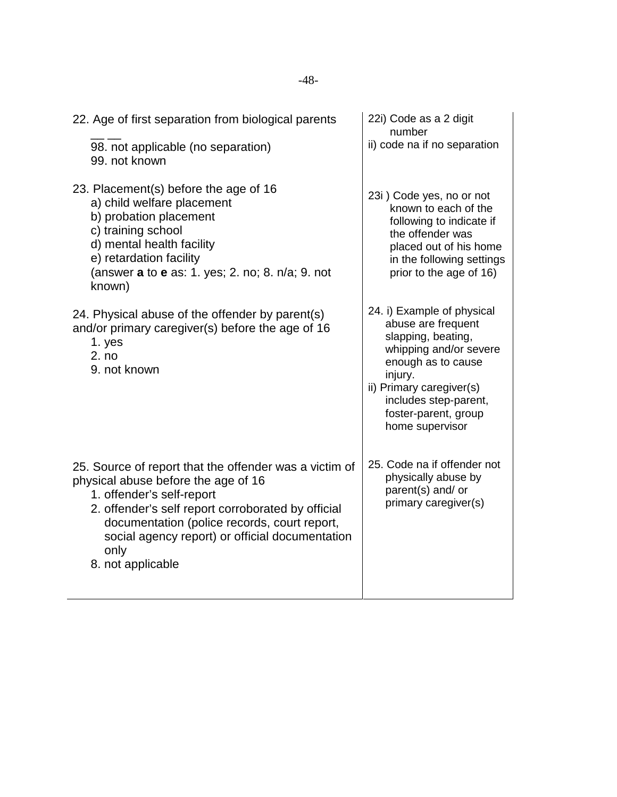| 22. Age of first separation from biological parents<br>98. not applicable (no separation)                                                                                                                                                                                                                        | 22i) Code as a 2 digit<br>number<br>ii) code na if no separation                                                                                                                                                                  |
|------------------------------------------------------------------------------------------------------------------------------------------------------------------------------------------------------------------------------------------------------------------------------------------------------------------|-----------------------------------------------------------------------------------------------------------------------------------------------------------------------------------------------------------------------------------|
| 99. not known                                                                                                                                                                                                                                                                                                    |                                                                                                                                                                                                                                   |
| 23. Placement(s) before the age of 16<br>a) child welfare placement<br>b) probation placement<br>c) training school<br>d) mental health facility<br>e) retardation facility<br>(answer a to e as: 1. yes; 2. no; 8. n/a; 9. not<br>known)                                                                        | 23i) Code yes, no or not<br>known to each of the<br>following to indicate if<br>the offender was<br>placed out of his home<br>in the following settings<br>prior to the age of 16)                                                |
| 24. Physical abuse of the offender by parent(s)<br>and/or primary caregiver(s) before the age of 16<br>1. yes<br>2. no<br>9. not known                                                                                                                                                                           | 24. i) Example of physical<br>abuse are frequent<br>slapping, beating,<br>whipping and/or severe<br>enough as to cause<br>injury.<br>ii) Primary caregiver(s)<br>includes step-parent,<br>foster-parent, group<br>home supervisor |
| 25. Source of report that the offender was a victim of<br>physical abuse before the age of 16<br>1. offender's self-report<br>2. offender's self report corroborated by official<br>documentation (police records, court report,<br>social agency report) or official documentation<br>only<br>8. not applicable | 25. Code na if offender not<br>physically abuse by<br>parent(s) and/ or<br>primary caregiver(s)                                                                                                                                   |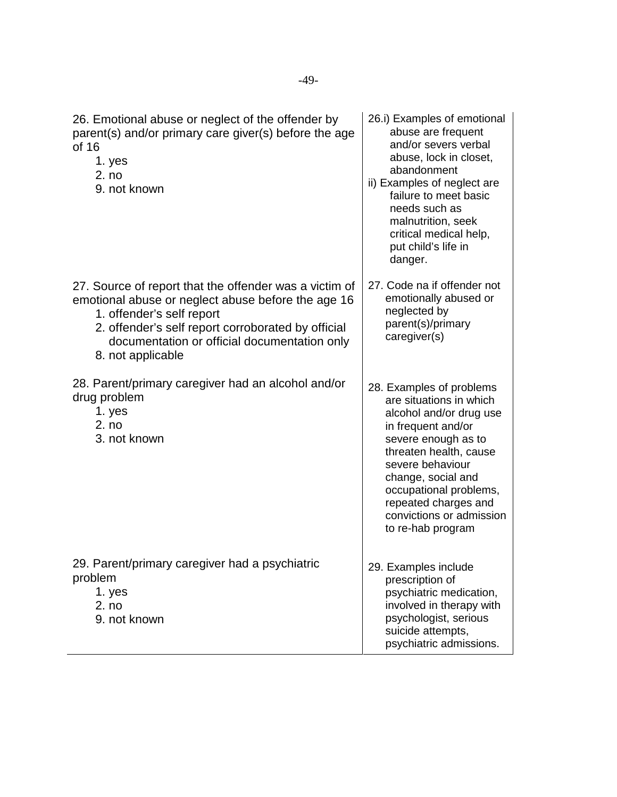| 26. Emotional abuse or neglect of the offender by<br>parent(s) and/or primary care giver(s) before the age<br>of 16<br>1. yes<br>2. no<br>9. not known                                                                                                               | 26.i) Examples of emotional<br>abuse are frequent<br>and/or severs verbal<br>abuse, lock in closet,<br>abandonment<br>ii) Examples of neglect are<br>failure to meet basic<br>needs such as<br>malnutrition, seek<br>critical medical help,<br>put child's life in<br>danger.                      |
|----------------------------------------------------------------------------------------------------------------------------------------------------------------------------------------------------------------------------------------------------------------------|----------------------------------------------------------------------------------------------------------------------------------------------------------------------------------------------------------------------------------------------------------------------------------------------------|
| 27. Source of report that the offender was a victim of<br>emotional abuse or neglect abuse before the age 16<br>1. offender's self report<br>2. offender's self report corroborated by official<br>documentation or official documentation only<br>8. not applicable | 27. Code na if offender not<br>emotionally abused or<br>neglected by<br>parent(s)/primary<br>caregiver(s)                                                                                                                                                                                          |
| 28. Parent/primary caregiver had an alcohol and/or<br>drug problem<br>1. yes<br>2. no<br>3. not known                                                                                                                                                                | 28. Examples of problems<br>are situations in which<br>alcohol and/or drug use<br>in frequent and/or<br>severe enough as to<br>threaten health, cause<br>severe behaviour<br>change, social and<br>occupational problems,<br>repeated charges and<br>convictions or admission<br>to re-hab program |
| 29. Parent/primary caregiver had a psychiatric<br>problem<br>1. yes<br>2. no<br>9. not known                                                                                                                                                                         | 29. Examples include<br>prescription of<br>psychiatric medication,<br>involved in therapy with<br>psychologist, serious<br>suicide attempts,<br>psychiatric admissions.                                                                                                                            |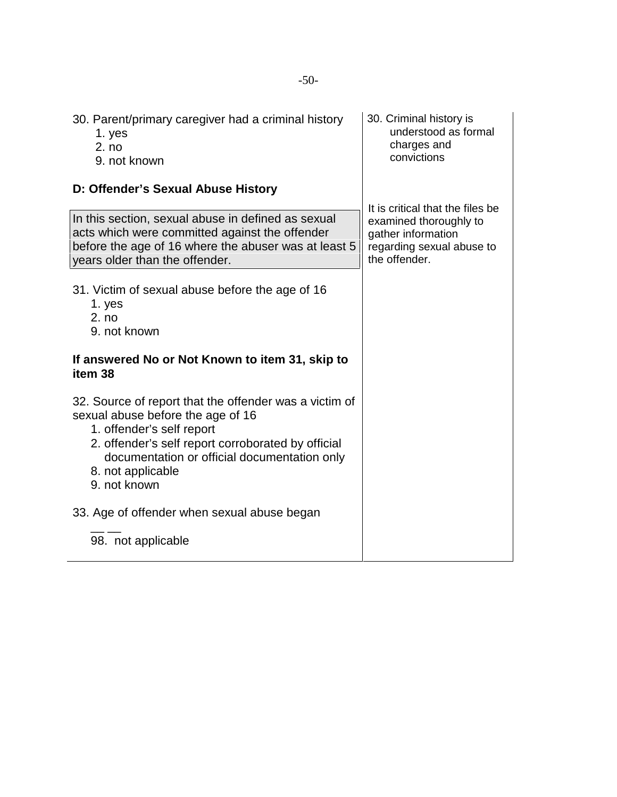| 30. Parent/primary caregiver had a criminal history<br>1. yes<br>2. no<br>9. not known                                                                                                                                                                              | 30. Criminal history is<br>understood as formal<br>charges and<br>convictions                                                  |
|---------------------------------------------------------------------------------------------------------------------------------------------------------------------------------------------------------------------------------------------------------------------|--------------------------------------------------------------------------------------------------------------------------------|
| D: Offender's Sexual Abuse History                                                                                                                                                                                                                                  |                                                                                                                                |
| In this section, sexual abuse in defined as sexual<br>acts which were committed against the offender<br>before the age of 16 where the abuser was at least 5<br>years older than the offender.                                                                      | It is critical that the files be<br>examined thoroughly to<br>gather information<br>regarding sexual abuse to<br>the offender. |
| 31. Victim of sexual abuse before the age of 16<br>1. yes<br>2. no<br>9. not known                                                                                                                                                                                  |                                                                                                                                |
| If answered No or Not Known to item 31, skip to<br>item 38                                                                                                                                                                                                          |                                                                                                                                |
| 32. Source of report that the offender was a victim of<br>sexual abuse before the age of 16<br>1. offender's self report<br>2. offender's self report corroborated by official<br>documentation or official documentation only<br>8. not applicable<br>9. not known |                                                                                                                                |
| 33. Age of offender when sexual abuse began                                                                                                                                                                                                                         |                                                                                                                                |
| 98. not applicable                                                                                                                                                                                                                                                  |                                                                                                                                |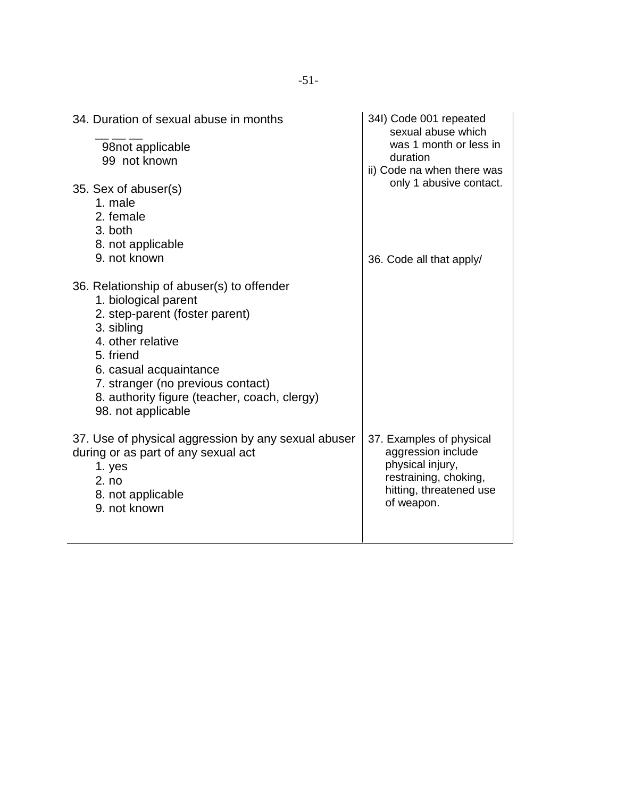| 34. Duration of sexual abuse in months                                                                                                                                                                                                                                                   | 34I) Code 001 repeated<br>sexual abuse which                                                                                         |
|------------------------------------------------------------------------------------------------------------------------------------------------------------------------------------------------------------------------------------------------------------------------------------------|--------------------------------------------------------------------------------------------------------------------------------------|
| 98not applicable<br>99 not known                                                                                                                                                                                                                                                         | was 1 month or less in<br>duration                                                                                                   |
| 35. Sex of abuser(s)                                                                                                                                                                                                                                                                     | ii) Code na when there was<br>only 1 abusive contact.                                                                                |
| 1. male<br>2. female                                                                                                                                                                                                                                                                     |                                                                                                                                      |
| 3. both<br>8. not applicable                                                                                                                                                                                                                                                             |                                                                                                                                      |
| 9. not known                                                                                                                                                                                                                                                                             | 36. Code all that apply/                                                                                                             |
| 36. Relationship of abuser(s) to offender<br>1. biological parent<br>2. step-parent (foster parent)<br>3. sibling<br>4. other relative<br>5. friend<br>6. casual acquaintance<br>7. stranger (no previous contact)<br>8. authority figure (teacher, coach, clergy)<br>98. not applicable |                                                                                                                                      |
| 37. Use of physical aggression by any sexual abuser<br>during or as part of any sexual act<br>1. yes<br>2. no<br>8. not applicable<br>9. not known                                                                                                                                       | 37. Examples of physical<br>aggression include<br>physical injury,<br>restraining, choking,<br>hitting, threatened use<br>of weapon. |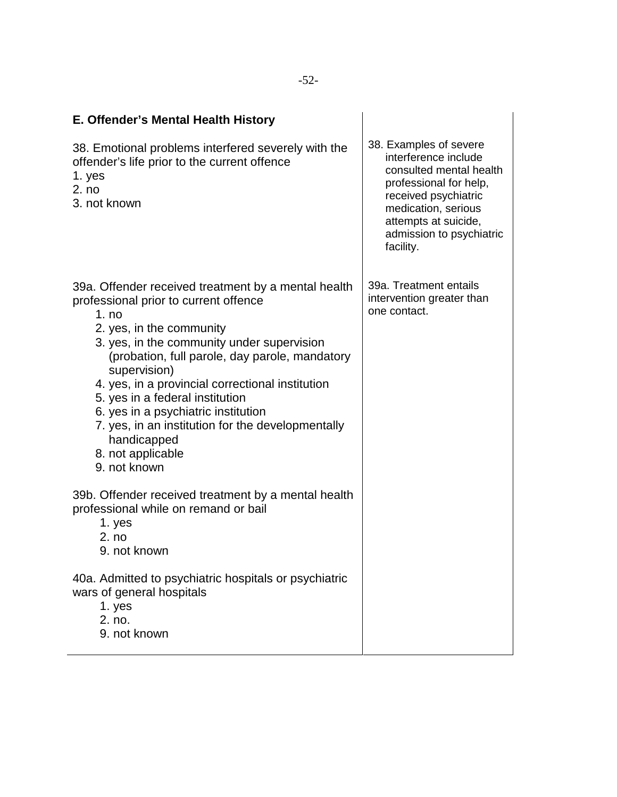| E. Offender's Mental Health History                                                                                                                                                                                                                                                                                                                                                                                                                                                      |                                                                                                                                                                                                                     |
|------------------------------------------------------------------------------------------------------------------------------------------------------------------------------------------------------------------------------------------------------------------------------------------------------------------------------------------------------------------------------------------------------------------------------------------------------------------------------------------|---------------------------------------------------------------------------------------------------------------------------------------------------------------------------------------------------------------------|
| 38. Emotional problems interfered severely with the<br>offender's life prior to the current offence<br>1. yes<br>2. no<br>3. not known                                                                                                                                                                                                                                                                                                                                                   | 38. Examples of severe<br>interference include<br>consulted mental health<br>professional for help,<br>received psychiatric<br>medication, serious<br>attempts at suicide,<br>admission to psychiatric<br>facility. |
| 39a. Offender received treatment by a mental health<br>professional prior to current offence<br>1. no<br>2. yes, in the community<br>3. yes, in the community under supervision<br>(probation, full parole, day parole, mandatory<br>supervision)<br>4. yes, in a provincial correctional institution<br>5. yes in a federal institution<br>6. yes in a psychiatric institution<br>7. yes, in an institution for the developmentally<br>handicapped<br>8. not applicable<br>9. not known | 39a. Treatment entails<br>intervention greater than<br>one contact.                                                                                                                                                 |
| 39b. Offender received treatment by a mental health<br>professional while on remand or bail<br>1. yes<br>2. no<br>9. not known                                                                                                                                                                                                                                                                                                                                                           |                                                                                                                                                                                                                     |
| 40a. Admitted to psychiatric hospitals or psychiatric<br>wars of general hospitals<br>1. yes<br>2. no.<br>9. not known                                                                                                                                                                                                                                                                                                                                                                   |                                                                                                                                                                                                                     |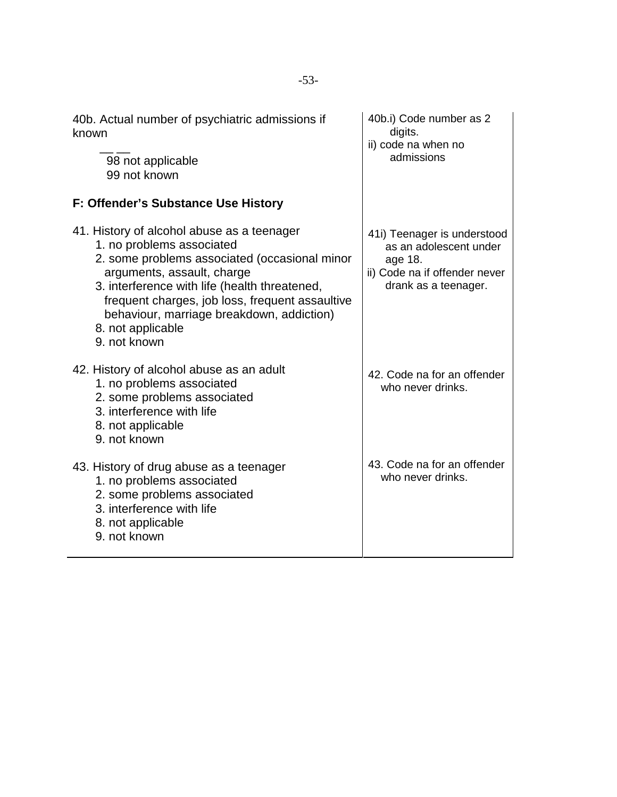| 40b. Actual number of psychiatric admissions if<br>known                                                                                                                                                                                                                                                                                     | 40b.i) Code number as 2<br>digits.<br>ii) code na when no<br>admissions                                                   |
|----------------------------------------------------------------------------------------------------------------------------------------------------------------------------------------------------------------------------------------------------------------------------------------------------------------------------------------------|---------------------------------------------------------------------------------------------------------------------------|
| 98 not applicable<br>99 not known                                                                                                                                                                                                                                                                                                            |                                                                                                                           |
| F: Offender's Substance Use History                                                                                                                                                                                                                                                                                                          |                                                                                                                           |
| 41. History of alcohol abuse as a teenager<br>1. no problems associated<br>2. some problems associated (occasional minor<br>arguments, assault, charge<br>3. interference with life (health threatened,<br>frequent charges, job loss, frequent assaultive<br>behaviour, marriage breakdown, addiction)<br>8. not applicable<br>9. not known | 41i) Teenager is understood<br>as an adolescent under<br>age 18.<br>ii) Code na if offender never<br>drank as a teenager. |
| 42. History of alcohol abuse as an adult<br>1. no problems associated<br>2. some problems associated<br>3. interference with life<br>8. not applicable<br>9. not known                                                                                                                                                                       | 42. Code na for an offender<br>who never drinks.                                                                          |
| 43. History of drug abuse as a teenager<br>1. no problems associated<br>2. some problems associated<br>3. interference with life<br>8. not applicable<br>9. not known                                                                                                                                                                        | 43. Code na for an offender<br>who never drinks.                                                                          |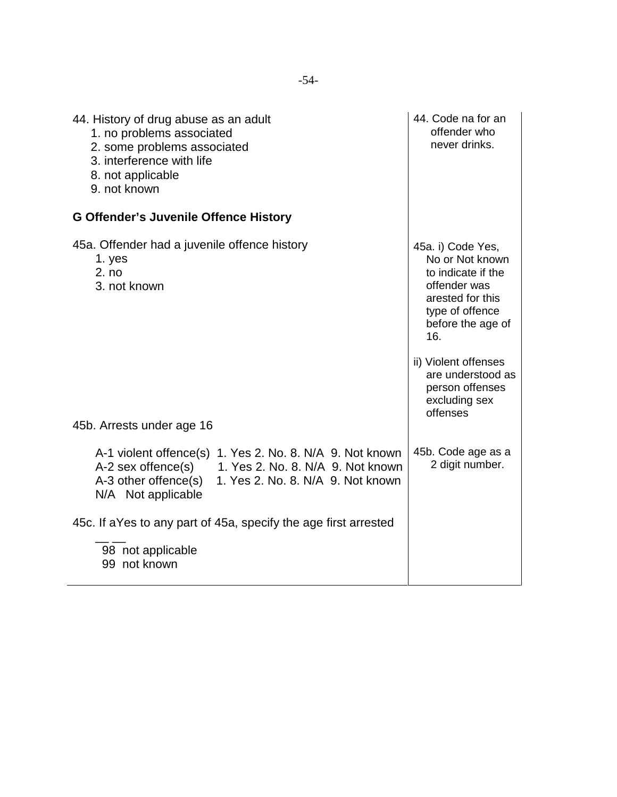| 44. History of drug abuse as an adult<br>1. no problems associated<br>2. some problems associated<br>3. interference with life<br>8. not applicable<br>9. not known                                    | 44. Code na for an<br>offender who<br>never drinks.                                                                                                                                                                                        |
|--------------------------------------------------------------------------------------------------------------------------------------------------------------------------------------------------------|--------------------------------------------------------------------------------------------------------------------------------------------------------------------------------------------------------------------------------------------|
| <b>G Offender's Juvenile Offence History</b>                                                                                                                                                           |                                                                                                                                                                                                                                            |
| 45a. Offender had a juvenile offence history<br>1. yes<br>2. no<br>3. not known                                                                                                                        | 45a. i) Code Yes,<br>No or Not known<br>to indicate if the<br>offender was<br>arested for this<br>type of offence<br>before the age of<br>16.<br>ii) Violent offenses<br>are understood as<br>person offenses<br>excluding sex<br>offenses |
| 45b. Arrests under age 16                                                                                                                                                                              |                                                                                                                                                                                                                                            |
| A-1 violent offence(s) 1. Yes 2. No. 8. N/A 9. Not known<br>A-2 sex offence(s)<br>1. Yes 2. No. 8. N/A 9. Not known<br>A-3 other offence(s)<br>1. Yes 2. No. 8. N/A 9. Not known<br>N/A Not applicable | 45b. Code age as a<br>2 digit number.                                                                                                                                                                                                      |
| 45c. If a Yes to any part of 45a, specify the age first arrested                                                                                                                                       |                                                                                                                                                                                                                                            |
| 98 not applicable<br>99 not known                                                                                                                                                                      |                                                                                                                                                                                                                                            |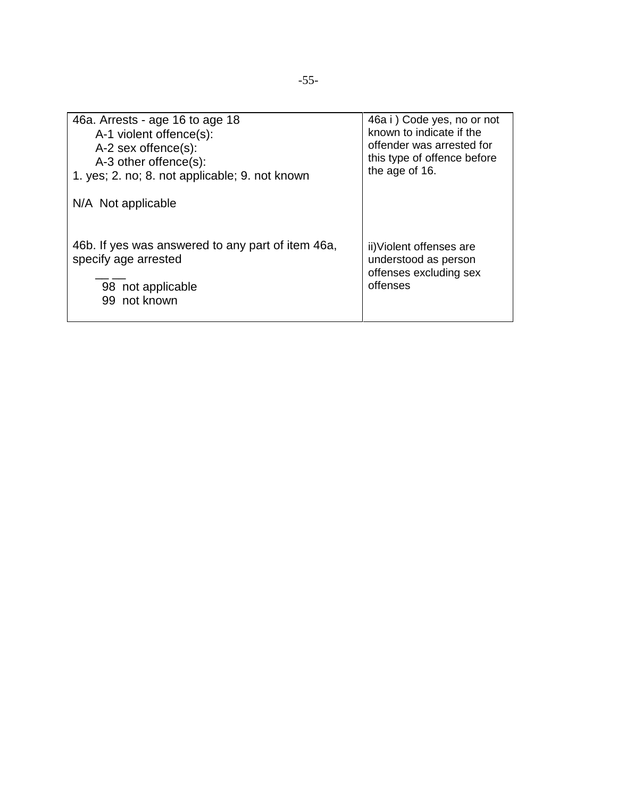| 46a. Arrests - age 16 to age 18                   | 46a i ) Code yes, no or not |
|---------------------------------------------------|-----------------------------|
| A-1 violent offence(s):                           | known to indicate if the    |
| A-2 sex offence(s):                               | offender was arrested for   |
| A-3 other offence(s):                             | this type of offence before |
| 1. yes; 2. no; 8. not applicable; 9. not known    | the age of 16.              |
| N/A Not applicable                                |                             |
| 46b. If yes was answered to any part of item 46a, | ii) Violent offenses are    |
| specify age arrested                              | understood as person        |
| 98 not applicable                                 | offenses excluding sex      |
| 99 not known                                      | offenses                    |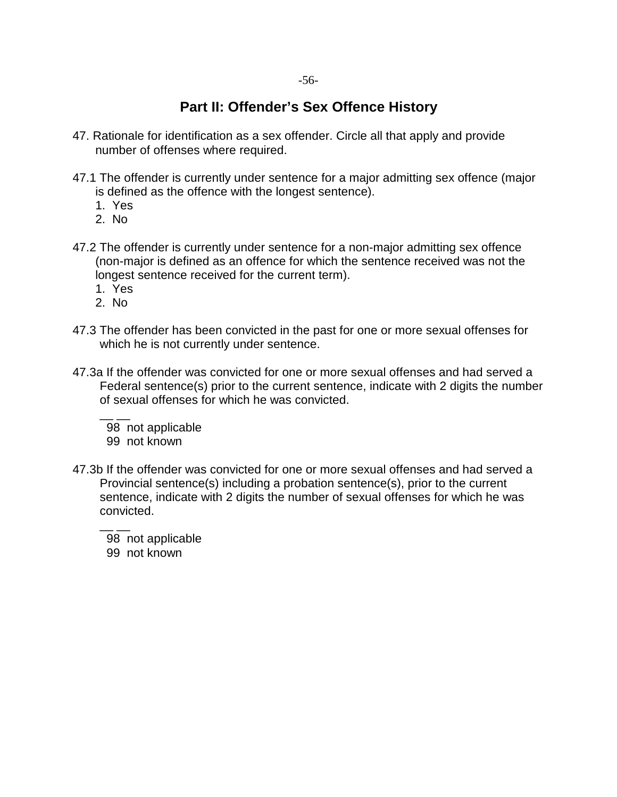#### **Part II: Offender's Sex Offence History**

- 47. Rationale for identification as a sex offender. Circle all that apply and provide number of offenses where required.
- 47.1 The offender is currently under sentence for a major admitting sex offence (major is defined as the offence with the longest sentence).
	- 1. Yes
	- 2. No
- 47.2 The offender is currently under sentence for a non-major admitting sex offence (non-major is defined as an offence for which the sentence received was not the longest sentence received for the current term).
	- 1. Yes
	- 2. No
- 47.3 The offender has been convicted in the past for one or more sexual offenses for which he is not currently under sentence.
- 47.3a If the offender was convicted for one or more sexual offenses and had served a Federal sentence(s) prior to the current sentence, indicate with 2 digits the number of sexual offenses for which he was convicted.

 $\overline{\phantom{a}}$  98 not applicable 99 not known

47.3b If the offender was convicted for one or more sexual offenses and had served a Provincial sentence(s) including a probation sentence(s), prior to the current sentence, indicate with 2 digits the number of sexual offenses for which he was convicted.

 $\overline{\phantom{a}}$  98 not applicable 99 not known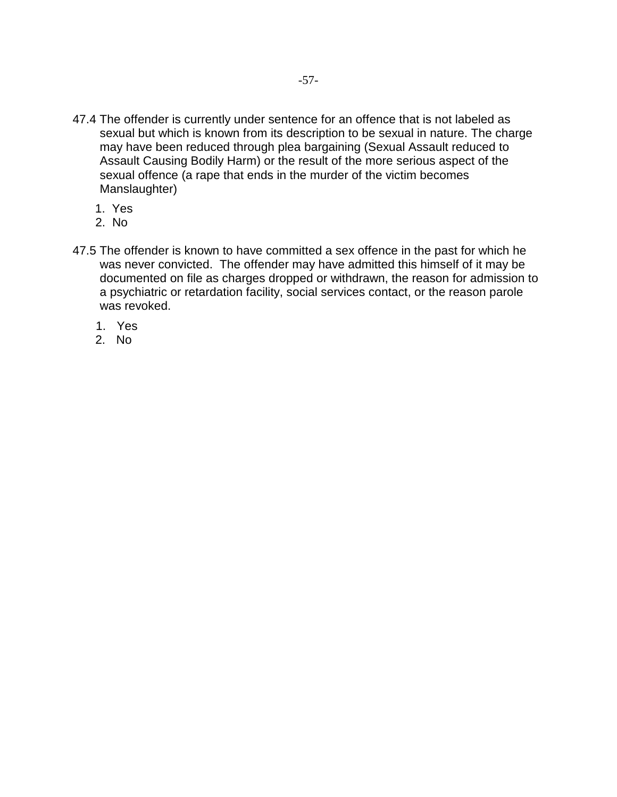- 47.4 The offender is currently under sentence for an offence that is not labeled as sexual but which is known from its description to be sexual in nature. The charge may have been reduced through plea bargaining (Sexual Assault reduced to Assault Causing Bodily Harm) or the result of the more serious aspect of the sexual offence (a rape that ends in the murder of the victim becomes Manslaughter)
	- 1. Yes
	- 2. No
- 47.5 The offender is known to have committed a sex offence in the past for which he was never convicted. The offender may have admitted this himself of it may be documented on file as charges dropped or withdrawn, the reason for admission to a psychiatric or retardation facility, social services contact, or the reason parole was revoked.
	- 1. Yes
	- 2. No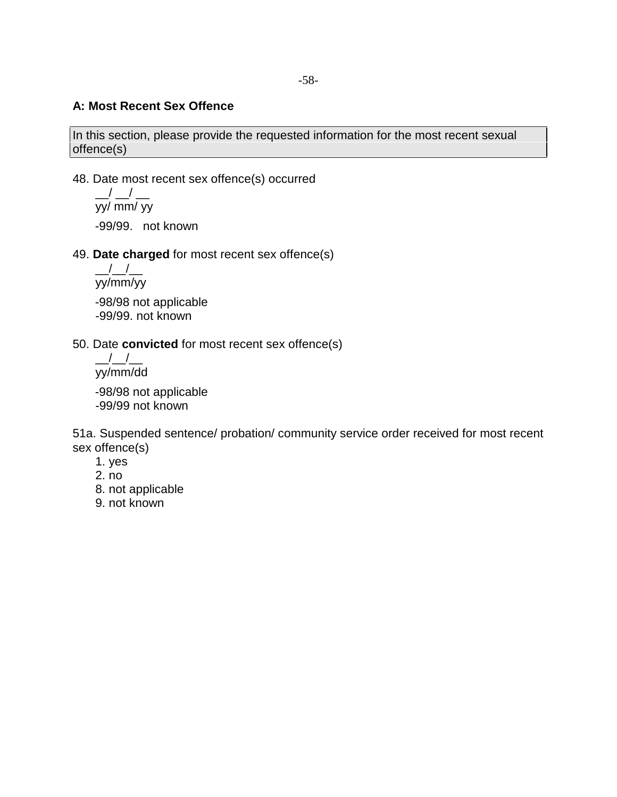#### **A: Most Recent Sex Offence**

In this section, please provide the requested information for the most recent sexual offence(s)

48. Date most recent sex offence(s) occurred

 $\_$ / $\_$ / $\_$ yy/ mm/ yy -99/99. not known

49. **Date charged** for most recent sex offence(s)

 $\frac{\frac{1}{2}}{\frac{1}{2}}$ yy/mm/yy -98/98 not applicable -99/99. not known

50. Date **convicted** for most recent sex offence(s)

 $\frac{\Delta}{\Delta}$ yy/mm/dd

-98/98 not applicable -99/99 not known

51a. Suspended sentence/ probation/ community service order received for most recent sex offence(s)

- 1. yes
- 2. no
- 8. not applicable
- 9. not known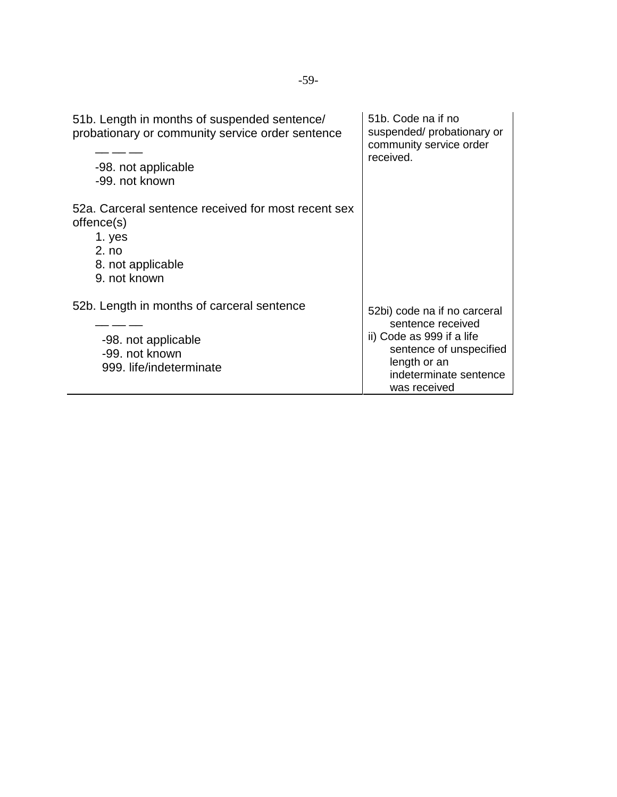| 51b. Length in months of suspended sentence/<br>probationary or community service order sentence<br>-98. not applicable<br>-99. not known | 51b. Code na if no<br>suspended/probationary or<br>community service order<br>received.                                                                             |
|-------------------------------------------------------------------------------------------------------------------------------------------|---------------------------------------------------------------------------------------------------------------------------------------------------------------------|
| 52a. Carceral sentence received for most recent sex<br>offence(s)<br>1. yes<br>2. no<br>8. not applicable<br>9. not known                 |                                                                                                                                                                     |
| 52b. Length in months of carceral sentence<br>-98. not applicable<br>-99. not known<br>999. life/indeterminate                            | 52bi) code na if no carceral<br>sentence received<br>ii) Code as 999 if a life<br>sentence of unspecified<br>length or an<br>indeterminate sentence<br>was received |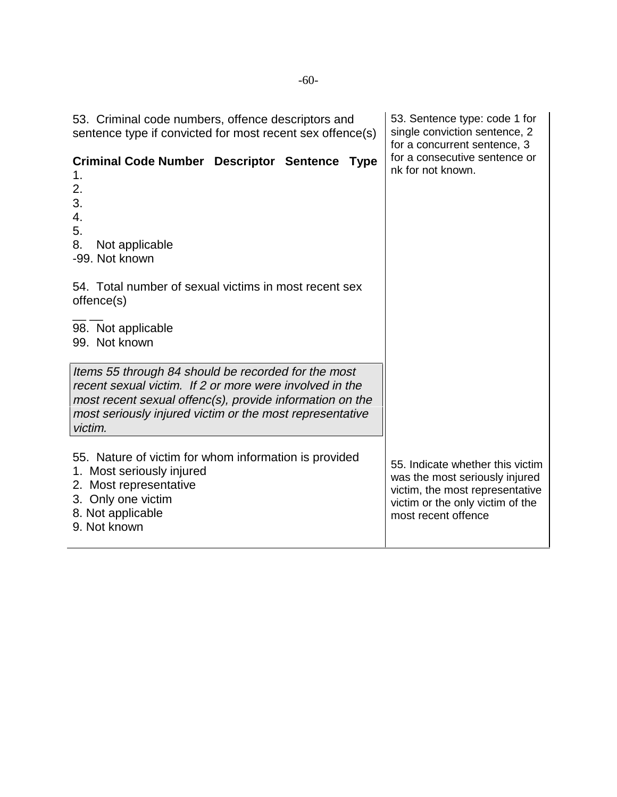| 53. Criminal code numbers, offence descriptors and<br>sentence type if convicted for most recent sex offence(s)                                                                                                                                   | 53. Sentence type: code 1 for<br>single conviction sentence, 2<br>for a concurrent sentence, 3                                                                   |
|---------------------------------------------------------------------------------------------------------------------------------------------------------------------------------------------------------------------------------------------------|------------------------------------------------------------------------------------------------------------------------------------------------------------------|
| <b>Criminal Code Number Descriptor Sentence Type</b><br>1.<br>2.<br>3.<br>4.<br>5.<br>8.<br>Not applicable<br>-99. Not known                                                                                                                      | for a consecutive sentence or<br>nk for not known.                                                                                                               |
| 54. Total number of sexual victims in most recent sex<br>offence(s)                                                                                                                                                                               |                                                                                                                                                                  |
| 98. Not applicable<br>99. Not known                                                                                                                                                                                                               |                                                                                                                                                                  |
| Items 55 through 84 should be recorded for the most<br>recent sexual victim. If 2 or more were involved in the<br>most recent sexual offenc(s), provide information on the<br>most seriously injured victim or the most representative<br>victim. |                                                                                                                                                                  |
| 55. Nature of victim for whom information is provided<br>1. Most seriously injured<br>2. Most representative<br>3. Only one victim<br>8. Not applicable<br>9. Not known                                                                           | 55. Indicate whether this victim<br>was the most seriously injured<br>victim, the most representative<br>victim or the only victim of the<br>most recent offence |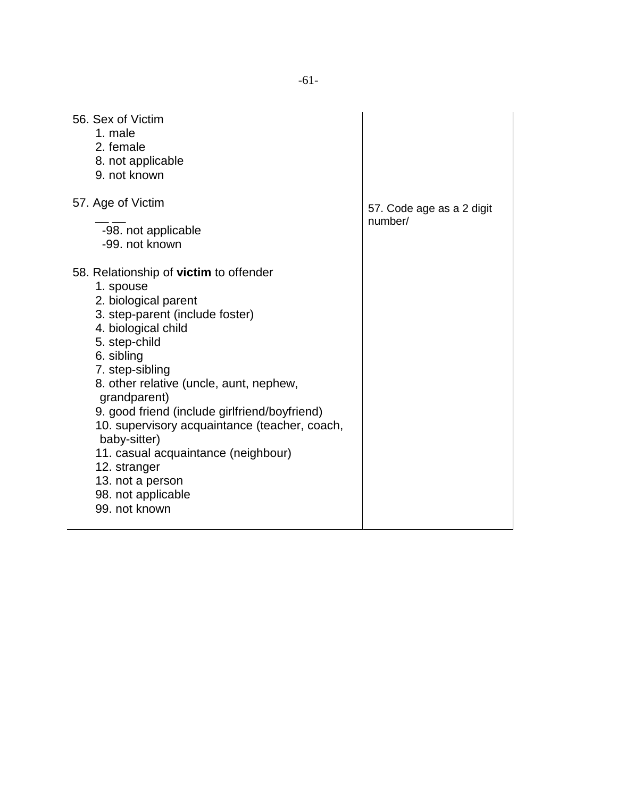| 56. Sex of Victim<br>1. male<br>2. female<br>8. not applicable<br>9. not known                                                                                                                                                                     |                           |
|----------------------------------------------------------------------------------------------------------------------------------------------------------------------------------------------------------------------------------------------------|---------------------------|
| 57. Age of Victim                                                                                                                                                                                                                                  | 57. Code age as a 2 digit |
| -98. not applicable<br>-99. not known                                                                                                                                                                                                              | number/                   |
| 58. Relationship of victim to offender<br>1. spouse<br>2. biological parent<br>3. step-parent (include foster)<br>4. biological child<br>5. step-child<br>6. sibling<br>7. step-sibling<br>8. other relative (uncle, aunt, nephew,<br>grandparent) |                           |
| 9. good friend (include girlfriend/boyfriend)<br>10. supervisory acquaintance (teacher, coach,<br>baby-sitter)<br>11. casual acquaintance (neighbour)<br>12. stranger<br>13. not a person<br>98. not applicable<br>99. not known                   |                           |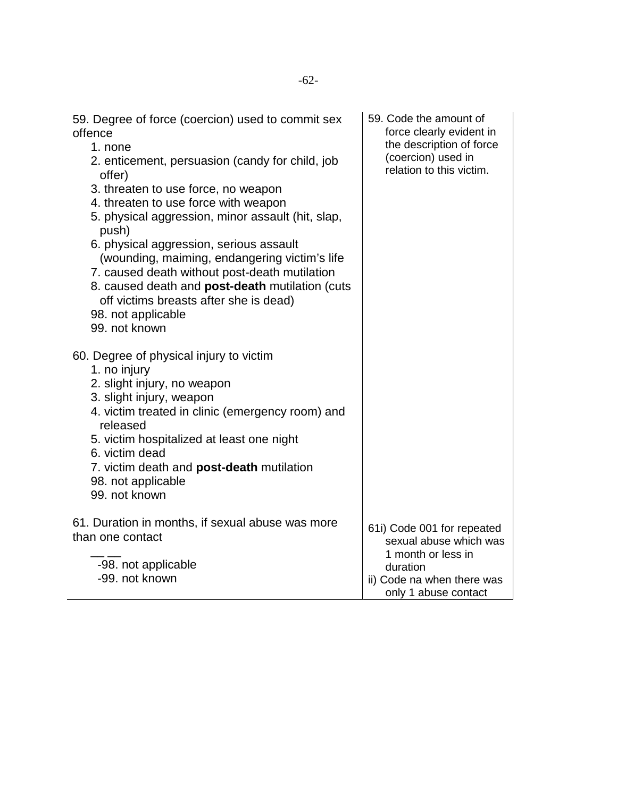| 59. Degree of force (coercion) used to commit sex<br>offence<br>1. none<br>2. enticement, persuasion (candy for child, job<br>offer)<br>3. threaten to use force, no weapon<br>4. threaten to use force with weapon<br>5. physical aggression, minor assault (hit, slap,<br>push)<br>6. physical aggression, serious assault<br>(wounding, maiming, endangering victim's life<br>7. caused death without post-death mutilation<br>8. caused death and post-death mutilation (cuts<br>off victims breasts after she is dead)<br>98. not applicable<br>99. not known | 59. Code the amount of<br>force clearly evident in<br>the description of force<br>(coercion) used in<br>relation to this victim.             |
|--------------------------------------------------------------------------------------------------------------------------------------------------------------------------------------------------------------------------------------------------------------------------------------------------------------------------------------------------------------------------------------------------------------------------------------------------------------------------------------------------------------------------------------------------------------------|----------------------------------------------------------------------------------------------------------------------------------------------|
| 60. Degree of physical injury to victim<br>1. no injury<br>2. slight injury, no weapon<br>3. slight injury, weapon<br>4. victim treated in clinic (emergency room) and<br>released<br>5. victim hospitalized at least one night<br>6. victim dead<br>7. victim death and post-death mutilation<br>98. not applicable<br>99. not known                                                                                                                                                                                                                              |                                                                                                                                              |
| 61. Duration in months, if sexual abuse was more<br>than one contact<br>-98. not applicable<br>-99. not known                                                                                                                                                                                                                                                                                                                                                                                                                                                      | 61i) Code 001 for repeated<br>sexual abuse which was<br>1 month or less in<br>duration<br>ii) Code na when there was<br>only 1 abuse contact |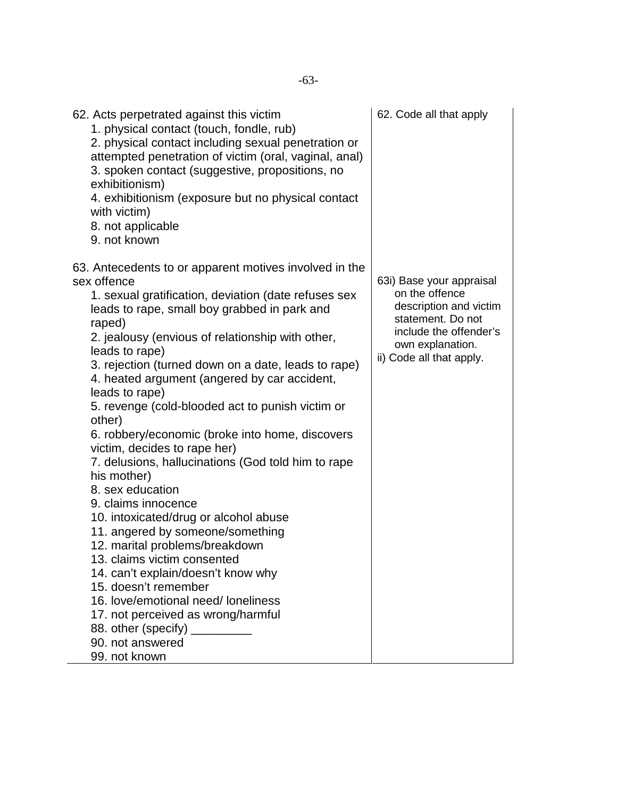| 62. Acts perpetrated against this victim<br>1. physical contact (touch, fondle, rub)<br>2. physical contact including sexual penetration or<br>attempted penetration of victim (oral, vaginal, anal)<br>3. spoken contact (suggestive, propositions, no<br>exhibitionism)<br>4. exhibitionism (exposure but no physical contact<br>with victim)<br>8. not applicable<br>9. not known                                                                                                                                                                                                                                                                                                                                                                                                                                                                                                                                                                                                                        | 62. Code all that apply                                                                                                                                             |
|-------------------------------------------------------------------------------------------------------------------------------------------------------------------------------------------------------------------------------------------------------------------------------------------------------------------------------------------------------------------------------------------------------------------------------------------------------------------------------------------------------------------------------------------------------------------------------------------------------------------------------------------------------------------------------------------------------------------------------------------------------------------------------------------------------------------------------------------------------------------------------------------------------------------------------------------------------------------------------------------------------------|---------------------------------------------------------------------------------------------------------------------------------------------------------------------|
| 63. Antecedents to or apparent motives involved in the<br>sex offence<br>1. sexual gratification, deviation (date refuses sex<br>leads to rape, small boy grabbed in park and<br>raped)<br>2. jealousy (envious of relationship with other,<br>leads to rape)<br>3. rejection (turned down on a date, leads to rape)<br>4. heated argument (angered by car accident,<br>leads to rape)<br>5. revenge (cold-blooded act to punish victim or<br>other)<br>6. robbery/economic (broke into home, discovers<br>victim, decides to rape her)<br>7. delusions, hallucinations (God told him to rape<br>his mother)<br>8. sex education<br>9. claims innocence<br>10. intoxicated/drug or alcohol abuse<br>11. angered by someone/something<br>12. marital problems/breakdown<br>13. claims victim consented<br>14. can't explain/doesn't know why<br>15. doesn't remember<br>16. love/emotional need/loneliness<br>17. not perceived as wrong/harmful<br>88. other (specify)<br>90. not answered<br>99. not known | 63i) Base your appraisal<br>on the offence<br>description and victim<br>statement. Do not<br>include the offender's<br>own explanation.<br>ii) Code all that apply. |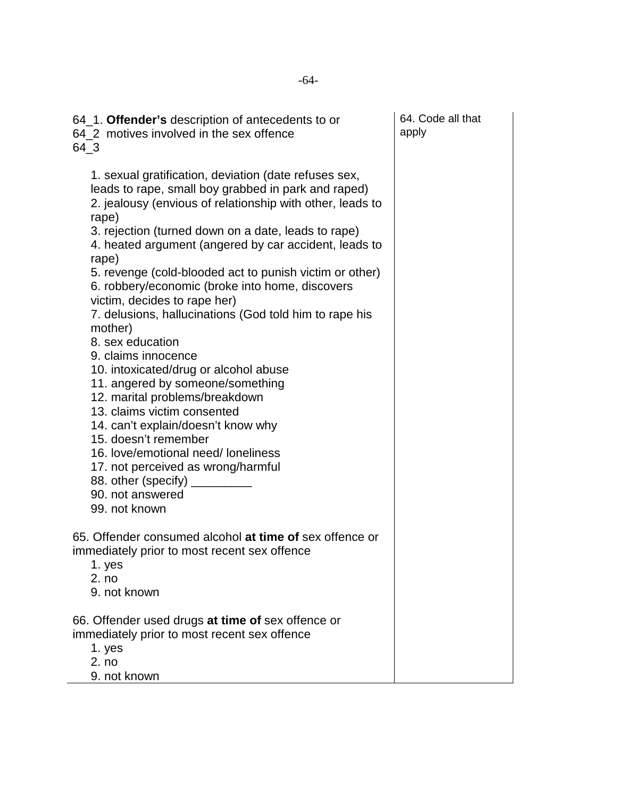| 64_1. Offender's description of antecedents to or<br>64 2 motives involved in the sex offence<br>64_3                                                                                                                                                                                                                                                                                                                                                                                                                                                                                                                                                                                                                                                                                                                                                                                                                                    | 64. Code all that<br>apply |
|------------------------------------------------------------------------------------------------------------------------------------------------------------------------------------------------------------------------------------------------------------------------------------------------------------------------------------------------------------------------------------------------------------------------------------------------------------------------------------------------------------------------------------------------------------------------------------------------------------------------------------------------------------------------------------------------------------------------------------------------------------------------------------------------------------------------------------------------------------------------------------------------------------------------------------------|----------------------------|
| 1. sexual gratification, deviation (date refuses sex,<br>leads to rape, small boy grabbed in park and raped)<br>2. jealousy (envious of relationship with other, leads to<br>rape)<br>3. rejection (turned down on a date, leads to rape)<br>4. heated argument (angered by car accident, leads to<br>rape)<br>5. revenge (cold-blooded act to punish victim or other)<br>6. robbery/economic (broke into home, discovers<br>victim, decides to rape her)<br>7. delusions, hallucinations (God told him to rape his<br>mother)<br>8. sex education<br>9. claims innocence<br>10. intoxicated/drug or alcohol abuse<br>11. angered by someone/something<br>12. marital problems/breakdown<br>13. claims victim consented<br>14. can't explain/doesn't know why<br>15. doesn't remember<br>16. love/emotional need/ loneliness<br>17. not perceived as wrong/harmful<br>88. other (specify) _________<br>90. not answered<br>99. not known |                            |
| 65. Offender consumed alcohol at time of sex offence or<br>immediately prior to most recent sex offence<br>1. yes<br>2. no<br>9. not known                                                                                                                                                                                                                                                                                                                                                                                                                                                                                                                                                                                                                                                                                                                                                                                               |                            |
| 66. Offender used drugs at time of sex offence or<br>immediately prior to most recent sex offence<br>1. yes<br>2. no<br>9. not known                                                                                                                                                                                                                                                                                                                                                                                                                                                                                                                                                                                                                                                                                                                                                                                                     |                            |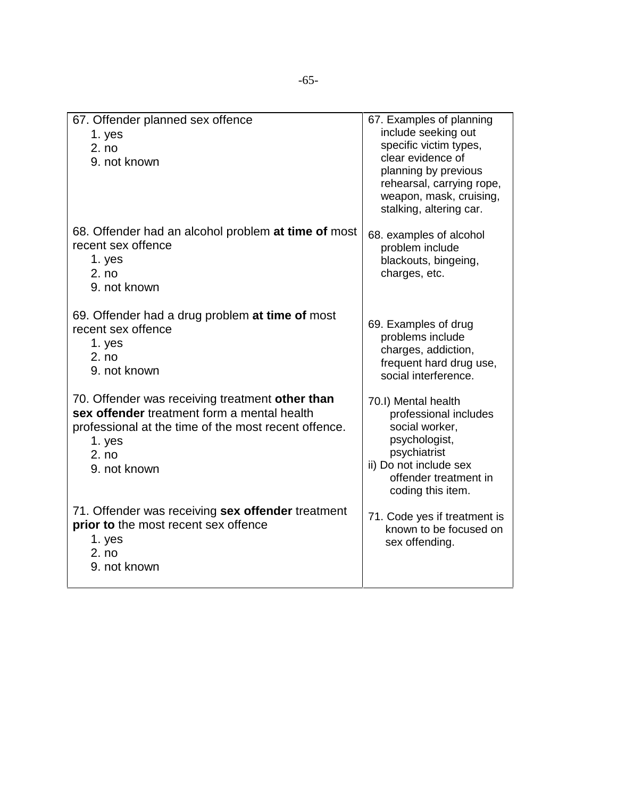| 67. Offender planned sex offence<br>1. yes<br>2. no<br>9. not known                                                                                                                       | 67. Examples of planning<br>include seeking out<br>specific victim types,<br>clear evidence of<br>planning by previous<br>rehearsal, carrying rope,<br>weapon, mask, cruising,<br>stalking, altering car. |
|-------------------------------------------------------------------------------------------------------------------------------------------------------------------------------------------|-----------------------------------------------------------------------------------------------------------------------------------------------------------------------------------------------------------|
| 68. Offender had an alcohol problem at time of most<br>recent sex offence<br>1. yes<br>2. no<br>9. not known                                                                              | 68. examples of alcohol<br>problem include<br>blackouts, bingeing,<br>charges, etc.                                                                                                                       |
| 69. Offender had a drug problem at time of most<br>recent sex offence<br>1. yes<br>2. no<br>9. not known                                                                                  | 69. Examples of drug<br>problems include<br>charges, addiction,<br>frequent hard drug use,<br>social interference.                                                                                        |
| 70. Offender was receiving treatment other than<br>sex offender treatment form a mental health<br>professional at the time of the most recent offence.<br>1. yes<br>2. no<br>9. not known | 70.I) Mental health<br>professional includes<br>social worker.<br>psychologist,<br>psychiatrist<br>ii) Do not include sex<br>offender treatment in<br>coding this item.                                   |
| 71. Offender was receiving sex offender treatment<br>prior to the most recent sex offence<br>1. yes<br>2. no<br>9. not known                                                              | 71. Code yes if treatment is<br>known to be focused on<br>sex offending.                                                                                                                                  |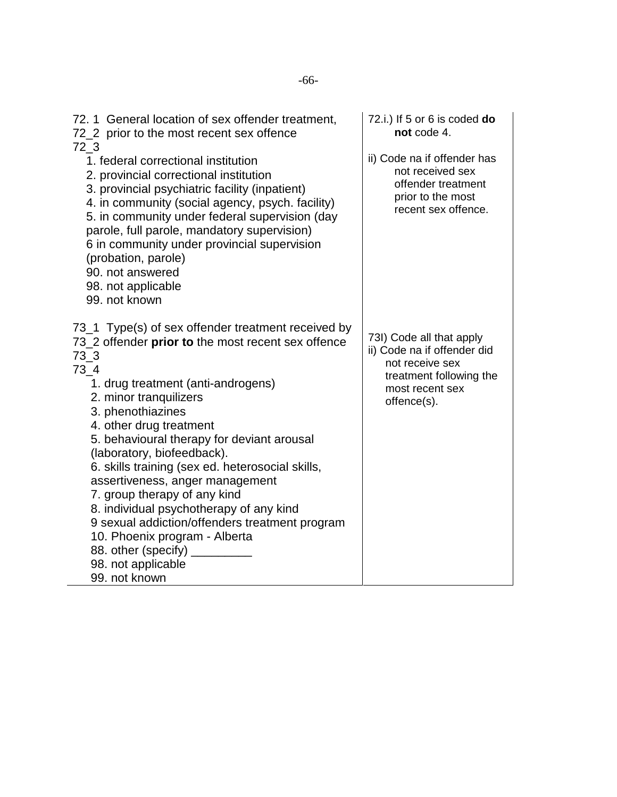| 72.1 General location of sex offender treatment,<br>72_2 prior to the most recent sex offence                                                                                                                                                                                                                                                                                                                                                                                                                                                                                                                                               | 72.i.) If 5 or 6 is coded do<br>not code 4.                                                                                             |
|---------------------------------------------------------------------------------------------------------------------------------------------------------------------------------------------------------------------------------------------------------------------------------------------------------------------------------------------------------------------------------------------------------------------------------------------------------------------------------------------------------------------------------------------------------------------------------------------------------------------------------------------|-----------------------------------------------------------------------------------------------------------------------------------------|
| $72-3$<br>1. federal correctional institution<br>2. provincial correctional institution<br>3. provincial psychiatric facility (inpatient)<br>4. in community (social agency, psych. facility)<br>5. in community under federal supervision (day<br>parole, full parole, mandatory supervision)<br>6 in community under provincial supervision<br>(probation, parole)<br>90. not answered<br>98. not applicable<br>99. not known                                                                                                                                                                                                             | ii) Code na if offender has<br>not received sex<br>offender treatment<br>prior to the most<br>recent sex offence.                       |
| 73_1 Type(s) of sex offender treatment received by<br>73_2 offender prior to the most recent sex offence<br>$73-3$<br>$73_4$<br>1. drug treatment (anti-androgens)<br>2. minor tranquilizers<br>3. phenothiazines<br>4. other drug treatment<br>5. behavioural therapy for deviant arousal<br>(laboratory, biofeedback).<br>6. skills training (sex ed. heterosocial skills,<br>assertiveness, anger management<br>7. group therapy of any kind<br>8. individual psychotherapy of any kind<br>9 sexual addiction/offenders treatment program<br>10. Phoenix program - Alberta<br>88. other (specify)<br>98. not applicable<br>99. not known | 73I) Code all that apply<br>ii) Code na if offender did<br>not receive sex<br>treatment following the<br>most recent sex<br>offence(s). |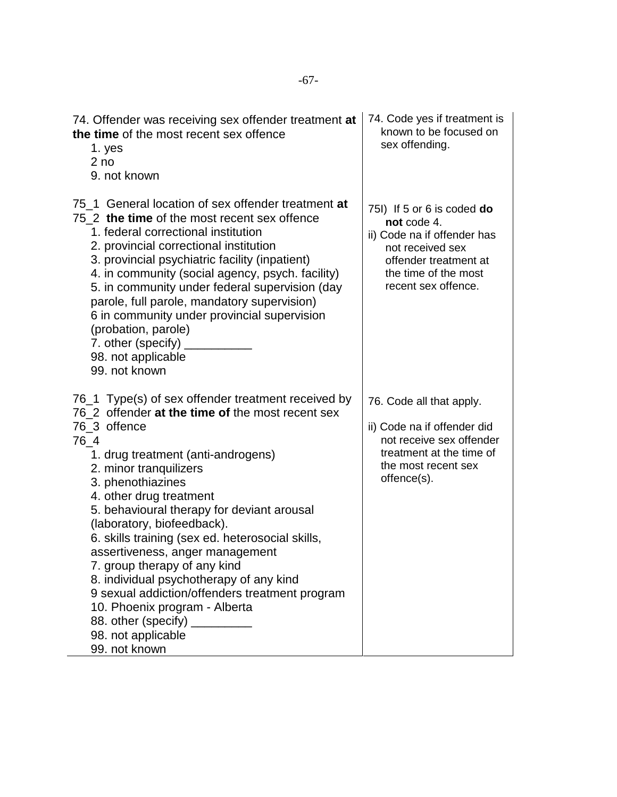| 74. Offender was receiving sex offender treatment at<br>the time of the most recent sex offence<br>1. yes<br>2 <sub>no</sub><br>9. not known                                                                                                                                                                                                                                                                                                                                                                                                                                                                                                               | 74. Code yes if treatment is<br>known to be focused on<br>sex offending.                                                                                             |
|------------------------------------------------------------------------------------------------------------------------------------------------------------------------------------------------------------------------------------------------------------------------------------------------------------------------------------------------------------------------------------------------------------------------------------------------------------------------------------------------------------------------------------------------------------------------------------------------------------------------------------------------------------|----------------------------------------------------------------------------------------------------------------------------------------------------------------------|
| 75 1 General location of sex offender treatment at<br>75 2 the time of the most recent sex offence<br>1. federal correctional institution<br>2. provincial correctional institution<br>3. provincial psychiatric facility (inpatient)<br>4. in community (social agency, psych. facility)<br>5. in community under federal supervision (day<br>parole, full parole, mandatory supervision)<br>6 in community under provincial supervision<br>(probation, parole)<br>7. other (specify)<br>98. not applicable<br>99. not known                                                                                                                              | 75I) If 5 or 6 is coded do<br>not code 4.<br>ii) Code na if offender has<br>not received sex<br>offender treatment at<br>the time of the most<br>recent sex offence. |
| 76_1 Type(s) of sex offender treatment received by<br>76 2 offender at the time of the most recent sex<br>76 3 offence<br>$76_4$<br>1. drug treatment (anti-androgens)<br>2. minor tranquilizers<br>3. phenothiazines<br>4. other drug treatment<br>5. behavioural therapy for deviant arousal<br>(laboratory, biofeedback).<br>6. skills training (sex ed. heterosocial skills,<br>assertiveness, anger management<br>7. group therapy of any kind<br>8. individual psychotherapy of any kind<br>9 sexual addiction/offenders treatment program<br>10. Phoenix program - Alberta<br>88. other (specify) __________<br>98. not applicable<br>99. not known | 76. Code all that apply.<br>ii) Code na if offender did<br>not receive sex offender<br>treatment at the time of<br>the most recent sex<br>offence(s).                |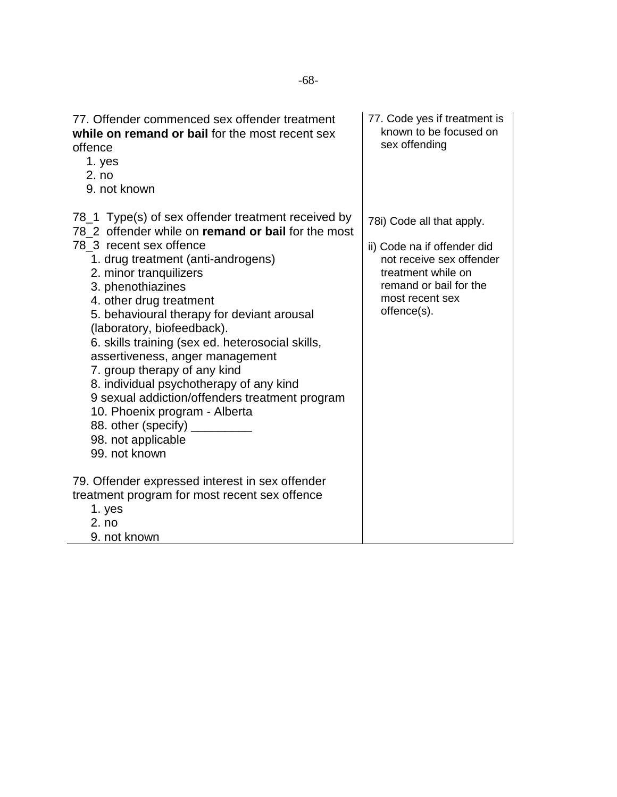| 77. Offender commenced sex offender treatment<br>while on remand or bail for the most recent sex<br>offence<br>1. yes<br>2. no<br>9. not known                                                                                                                                                                                                                                                                                                                                                                                                                                                                                                     | 77. Code yes if treatment is<br>known to be focused on<br>sex offending                                                                                                |
|----------------------------------------------------------------------------------------------------------------------------------------------------------------------------------------------------------------------------------------------------------------------------------------------------------------------------------------------------------------------------------------------------------------------------------------------------------------------------------------------------------------------------------------------------------------------------------------------------------------------------------------------------|------------------------------------------------------------------------------------------------------------------------------------------------------------------------|
| 78_1 Type(s) of sex offender treatment received by<br>78 2 offender while on remand or bail for the most<br>78 3 recent sex offence<br>1. drug treatment (anti-androgens)<br>2. minor tranquilizers<br>3. phenothiazines<br>4. other drug treatment<br>5. behavioural therapy for deviant arousal<br>(laboratory, biofeedback).<br>6. skills training (sex ed. heterosocial skills,<br>assertiveness, anger management<br>7. group therapy of any kind<br>8. individual psychotherapy of any kind<br>9 sexual addiction/offenders treatment program<br>10. Phoenix program - Alberta<br>88. other (specify)<br>98. not applicable<br>99. not known | 78i) Code all that apply.<br>ii) Code na if offender did<br>not receive sex offender<br>treatment while on<br>remand or bail for the<br>most recent sex<br>offence(s). |
| 79. Offender expressed interest in sex offender<br>treatment program for most recent sex offence<br>1. yes<br>2. no<br>9. not known                                                                                                                                                                                                                                                                                                                                                                                                                                                                                                                |                                                                                                                                                                        |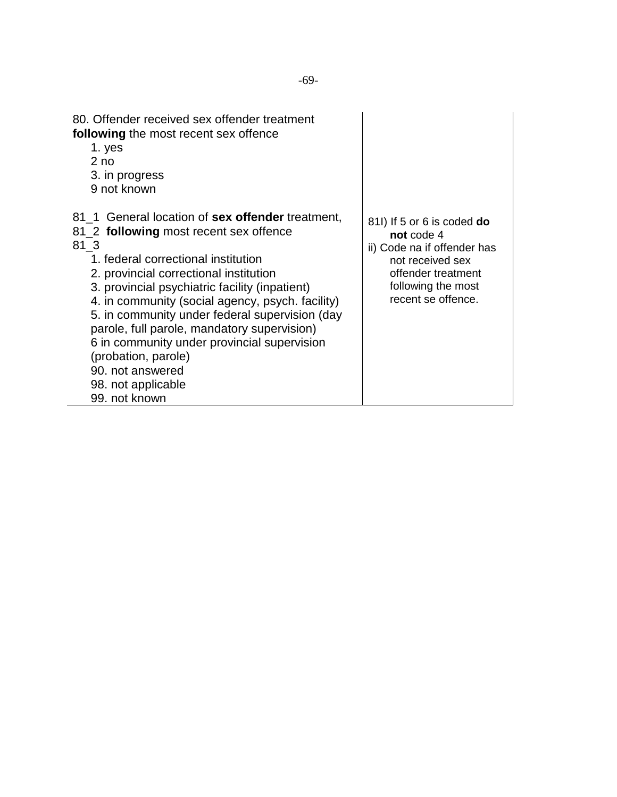| 80. Offender received sex offender treatment<br>following the most recent sex offence<br>1. yes<br>2 <sub>no</sub><br>3. in progress<br>9 not known                                                                                                                                                                                                                                                                                                                                                                         |                                                                                                                                                               |
|-----------------------------------------------------------------------------------------------------------------------------------------------------------------------------------------------------------------------------------------------------------------------------------------------------------------------------------------------------------------------------------------------------------------------------------------------------------------------------------------------------------------------------|---------------------------------------------------------------------------------------------------------------------------------------------------------------|
| 81_1 General location of sex offender treatment,<br>81_2 following most recent sex offence<br>81 3<br>1. federal correctional institution<br>2. provincial correctional institution<br>3. provincial psychiatric facility (inpatient)<br>4. in community (social agency, psych. facility)<br>5. in community under federal supervision (day<br>parole, full parole, mandatory supervision)<br>6 in community under provincial supervision<br>(probation, parole)<br>90. not answered<br>98. not applicable<br>99. not known | 81I) If 5 or 6 is coded do<br>not code 4<br>ii) Code na if offender has<br>not received sex<br>offender treatment<br>following the most<br>recent se offence. |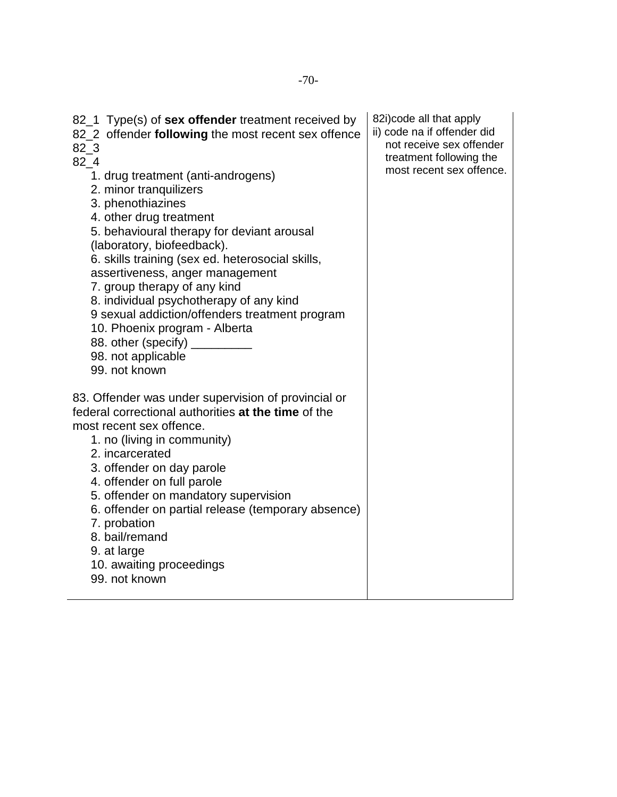| 82_1 Type(s) of <b>sex offender</b> treatment received by<br>82_2 offender following the most recent sex offence<br>$82-3$<br>$82 - 4$<br>1. drug treatment (anti-androgens)<br>2. minor tranquilizers<br>3. phenothiazines<br>4. other drug treatment<br>5. behavioural therapy for deviant arousal<br>(laboratory, biofeedback).<br>6. skills training (sex ed. heterosocial skills,<br>assertiveness, anger management<br>7. group therapy of any kind<br>8. individual psychotherapy of any kind<br>9 sexual addiction/offenders treatment program<br>10. Phoenix program - Alberta<br>88. other (specify)<br>98. not applicable<br>99. not known | 82i) code all that apply<br>ii) code na if offender did<br>not receive sex offender<br>treatment following the<br>most recent sex offence. |
|-------------------------------------------------------------------------------------------------------------------------------------------------------------------------------------------------------------------------------------------------------------------------------------------------------------------------------------------------------------------------------------------------------------------------------------------------------------------------------------------------------------------------------------------------------------------------------------------------------------------------------------------------------|--------------------------------------------------------------------------------------------------------------------------------------------|
| 83. Offender was under supervision of provincial or<br>federal correctional authorities at the time of the<br>most recent sex offence.<br>1. no (living in community)<br>2. incarcerated<br>3. offender on day parole<br>4. offender on full parole<br>5. offender on mandatory supervision<br>6. offender on partial release (temporary absence)<br>7. probation<br>8. bail/remand<br>9. at large<br>10. awaiting proceedings<br>99. not known                                                                                                                                                                                                       |                                                                                                                                            |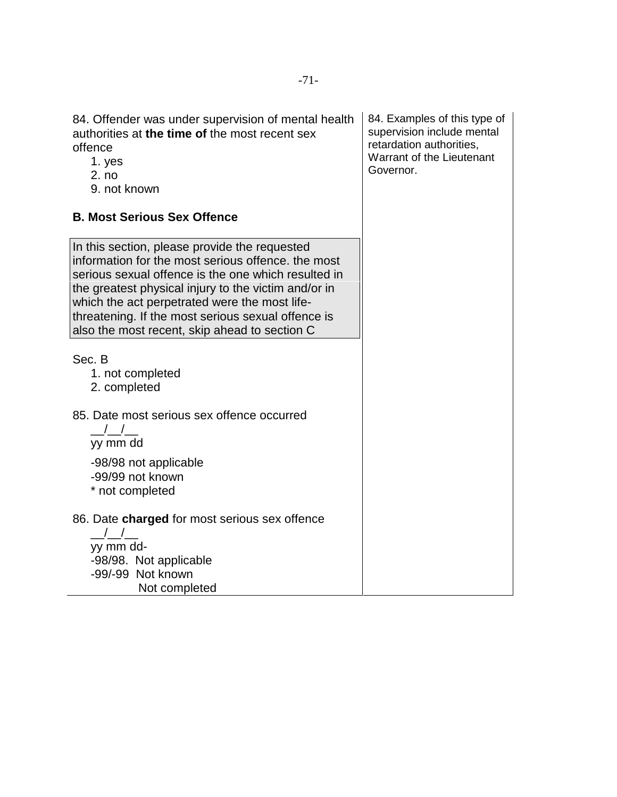| 84. Offender was under supervision of mental health<br>authorities at the time of the most recent sex<br>offence<br>1. yes<br>2. no<br>9. not known                                                                                                                                                                                                                        | 84. Examples of this type of<br>supervision include mental<br>retardation authorities,<br><b>Warrant of the Lieutenant</b><br>Governor. |
|----------------------------------------------------------------------------------------------------------------------------------------------------------------------------------------------------------------------------------------------------------------------------------------------------------------------------------------------------------------------------|-----------------------------------------------------------------------------------------------------------------------------------------|
| <b>B. Most Serious Sex Offence</b>                                                                                                                                                                                                                                                                                                                                         |                                                                                                                                         |
| In this section, please provide the requested<br>information for the most serious offence, the most<br>serious sexual offence is the one which resulted in<br>the greatest physical injury to the victim and/or in<br>which the act perpetrated were the most life-<br>threatening. If the most serious sexual offence is<br>also the most recent, skip ahead to section C |                                                                                                                                         |
| Sec. B<br>1. not completed<br>2. completed                                                                                                                                                                                                                                                                                                                                 |                                                                                                                                         |
| 85. Date most serious sex offence occurred<br>$\frac{1}{2}$<br>yy mm dd                                                                                                                                                                                                                                                                                                    |                                                                                                                                         |
| -98/98 not applicable<br>-99/99 not known<br>* not completed                                                                                                                                                                                                                                                                                                               |                                                                                                                                         |
| 86. Date charged for most serious sex offence                                                                                                                                                                                                                                                                                                                              |                                                                                                                                         |
| yy mm dd-                                                                                                                                                                                                                                                                                                                                                                  |                                                                                                                                         |
| -98/98. Not applicable                                                                                                                                                                                                                                                                                                                                                     |                                                                                                                                         |
| -99/-99 Not known<br>Not completed                                                                                                                                                                                                                                                                                                                                         |                                                                                                                                         |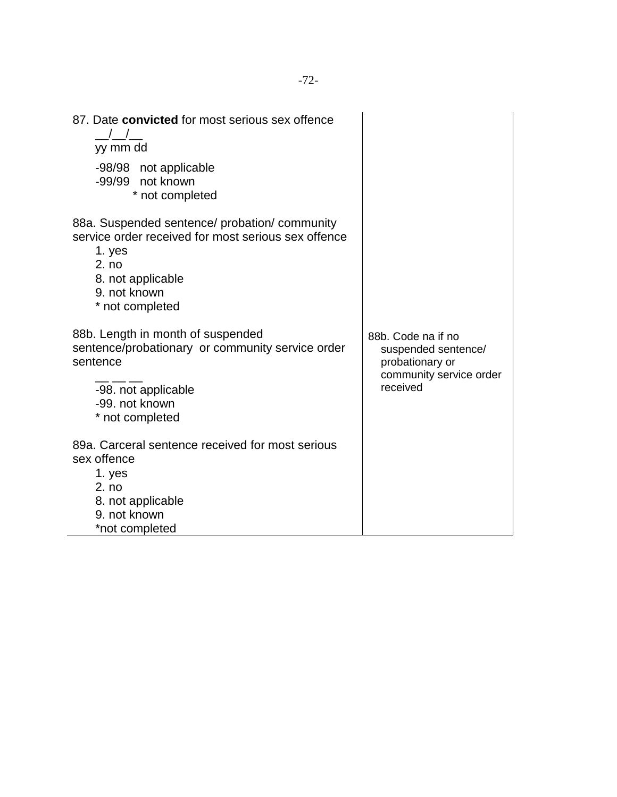| 87. Date convicted for most serious sex offence<br>yy mm dd<br>-98/98 not applicable<br>-99/99 not known<br>* not completed                                                     |                                                                                                     |
|---------------------------------------------------------------------------------------------------------------------------------------------------------------------------------|-----------------------------------------------------------------------------------------------------|
| 88a. Suspended sentence/ probation/ community<br>service order received for most serious sex offence<br>1. yes<br>2. no<br>8. not applicable<br>9. not known<br>* not completed |                                                                                                     |
| 88b. Length in month of suspended<br>sentence/probationary or community service order<br>sentence<br>-98. not applicable<br>-99. not known<br>* not completed                   | 88b. Code na if no<br>suspended sentence/<br>probationary or<br>community service order<br>received |
| 89a. Carceral sentence received for most serious<br>sex offence<br>1. yes<br>2. no<br>8. not applicable<br>9. not known<br>*not completed                                       |                                                                                                     |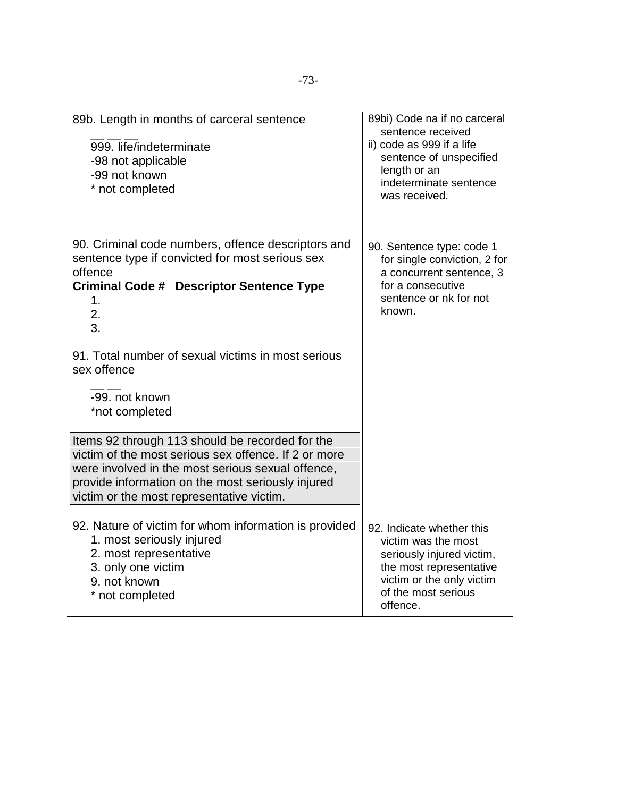| 89b. Length in months of carceral sentence<br>999. life/indeterminate<br>-98 not applicable<br>-99 not known<br>* not completed                                                                                                                                                  | 89bi) Code na if no carceral<br>sentence received<br>ii) code as 999 if a life<br>sentence of unspecified<br>length or an<br>indeterminate sentence<br>was received.     |
|----------------------------------------------------------------------------------------------------------------------------------------------------------------------------------------------------------------------------------------------------------------------------------|--------------------------------------------------------------------------------------------------------------------------------------------------------------------------|
| 90. Criminal code numbers, offence descriptors and<br>sentence type if convicted for most serious sex<br>offence<br><b>Criminal Code # Descriptor Sentence Type</b><br>1.<br>2.<br>3.                                                                                            | 90. Sentence type: code 1<br>for single conviction, 2 for<br>a concurrent sentence, 3<br>for a consecutive<br>sentence or nk for not<br>known.                           |
| 91. Total number of sexual victims in most serious<br>sex offence<br>-99. not known                                                                                                                                                                                              |                                                                                                                                                                          |
| *not completed<br>Items 92 through 113 should be recorded for the<br>victim of the most serious sex offence. If 2 or more<br>were involved in the most serious sexual offence,<br>provide information on the most seriously injured<br>victim or the most representative victim. |                                                                                                                                                                          |
| 92. Nature of victim for whom information is provided<br>1. most seriously injured<br>2. most representative<br>3. only one victim<br>9. not known<br>* not completed                                                                                                            | 92. Indicate whether this<br>victim was the most<br>seriously injured victim,<br>the most representative<br>victim or the only victim<br>of the most serious<br>offence. |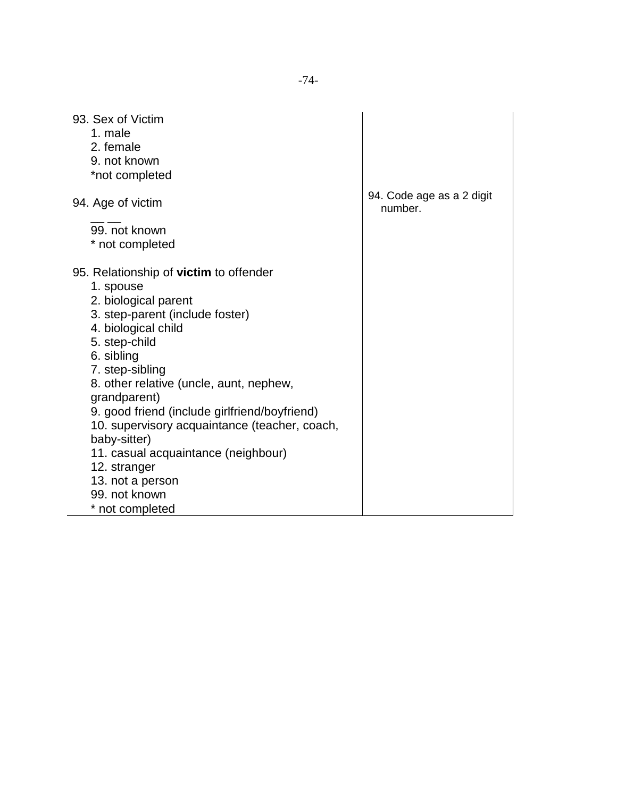| 1. male<br>2. female<br>9. not known<br>*not completed<br>94. Code age as a 2 digit<br>94. Age of victim<br>number.<br>99. not known<br>* not completed<br>95. Relationship of <b>victim</b> to offender<br>1. spouse<br>2. biological parent<br>3. step-parent (include foster)<br>4. biological child<br>5. step-child<br>6. sibling<br>7. step-sibling<br>8. other relative (uncle, aunt, nephew,<br>grandparent)<br>9. good friend (include girlfriend/boyfriend)<br>10. supervisory acquaintance (teacher, coach,<br>baby-sitter)<br>11. casual acquaintance (neighbour)<br>12. stranger<br>13. not a person<br>99. not known | 93. Sex of Victim |  |
|------------------------------------------------------------------------------------------------------------------------------------------------------------------------------------------------------------------------------------------------------------------------------------------------------------------------------------------------------------------------------------------------------------------------------------------------------------------------------------------------------------------------------------------------------------------------------------------------------------------------------------|-------------------|--|
|                                                                                                                                                                                                                                                                                                                                                                                                                                                                                                                                                                                                                                    |                   |  |
|                                                                                                                                                                                                                                                                                                                                                                                                                                                                                                                                                                                                                                    |                   |  |
|                                                                                                                                                                                                                                                                                                                                                                                                                                                                                                                                                                                                                                    |                   |  |
|                                                                                                                                                                                                                                                                                                                                                                                                                                                                                                                                                                                                                                    |                   |  |
|                                                                                                                                                                                                                                                                                                                                                                                                                                                                                                                                                                                                                                    |                   |  |
|                                                                                                                                                                                                                                                                                                                                                                                                                                                                                                                                                                                                                                    |                   |  |
|                                                                                                                                                                                                                                                                                                                                                                                                                                                                                                                                                                                                                                    |                   |  |
|                                                                                                                                                                                                                                                                                                                                                                                                                                                                                                                                                                                                                                    |                   |  |
|                                                                                                                                                                                                                                                                                                                                                                                                                                                                                                                                                                                                                                    |                   |  |
|                                                                                                                                                                                                                                                                                                                                                                                                                                                                                                                                                                                                                                    |                   |  |
|                                                                                                                                                                                                                                                                                                                                                                                                                                                                                                                                                                                                                                    |                   |  |
|                                                                                                                                                                                                                                                                                                                                                                                                                                                                                                                                                                                                                                    |                   |  |
|                                                                                                                                                                                                                                                                                                                                                                                                                                                                                                                                                                                                                                    |                   |  |
|                                                                                                                                                                                                                                                                                                                                                                                                                                                                                                                                                                                                                                    |                   |  |
|                                                                                                                                                                                                                                                                                                                                                                                                                                                                                                                                                                                                                                    |                   |  |
|                                                                                                                                                                                                                                                                                                                                                                                                                                                                                                                                                                                                                                    |                   |  |
|                                                                                                                                                                                                                                                                                                                                                                                                                                                                                                                                                                                                                                    |                   |  |
|                                                                                                                                                                                                                                                                                                                                                                                                                                                                                                                                                                                                                                    |                   |  |
|                                                                                                                                                                                                                                                                                                                                                                                                                                                                                                                                                                                                                                    |                   |  |
|                                                                                                                                                                                                                                                                                                                                                                                                                                                                                                                                                                                                                                    |                   |  |
|                                                                                                                                                                                                                                                                                                                                                                                                                                                                                                                                                                                                                                    |                   |  |
|                                                                                                                                                                                                                                                                                                                                                                                                                                                                                                                                                                                                                                    |                   |  |
|                                                                                                                                                                                                                                                                                                                                                                                                                                                                                                                                                                                                                                    |                   |  |
|                                                                                                                                                                                                                                                                                                                                                                                                                                                                                                                                                                                                                                    |                   |  |
|                                                                                                                                                                                                                                                                                                                                                                                                                                                                                                                                                                                                                                    | * not completed   |  |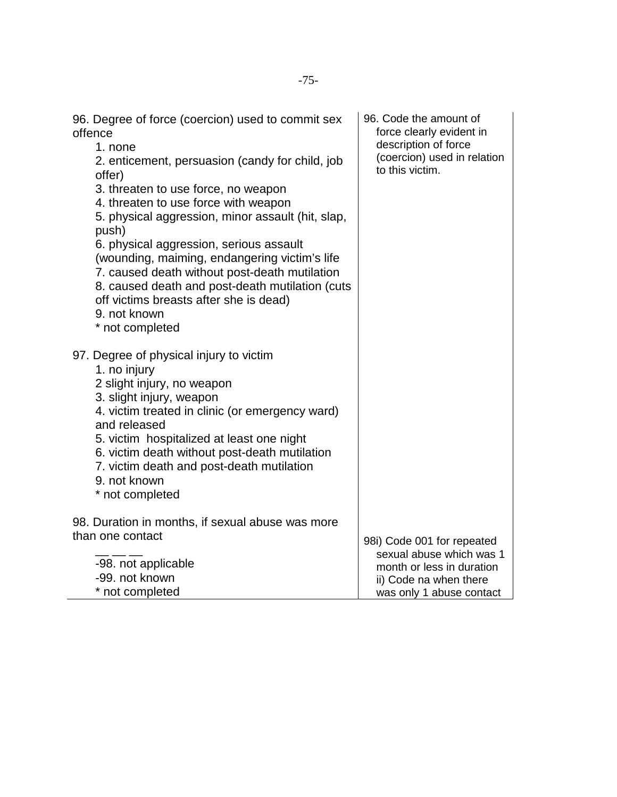| 96. Degree of force (coercion) used to commit sex<br>offence<br>1. none<br>2. enticement, persuasion (candy for child, job<br>offer)<br>3. threaten to use force, no weapon<br>4. threaten to use force with weapon<br>5. physical aggression, minor assault (hit, slap,<br>push)<br>6. physical aggression, serious assault<br>(wounding, maiming, endangering victim's life<br>7. caused death without post-death mutilation<br>8. caused death and post-death mutilation (cuts<br>off victims breasts after she is dead)<br>9. not known<br>* not completed | 96. Code the amount of<br>force clearly evident in<br>description of force<br>(coercion) used in relation<br>to this victim. |
|----------------------------------------------------------------------------------------------------------------------------------------------------------------------------------------------------------------------------------------------------------------------------------------------------------------------------------------------------------------------------------------------------------------------------------------------------------------------------------------------------------------------------------------------------------------|------------------------------------------------------------------------------------------------------------------------------|
| 97. Degree of physical injury to victim<br>1. no injury                                                                                                                                                                                                                                                                                                                                                                                                                                                                                                        |                                                                                                                              |
| 2 slight injury, no weapon                                                                                                                                                                                                                                                                                                                                                                                                                                                                                                                                     |                                                                                                                              |
| 3. slight injury, weapon                                                                                                                                                                                                                                                                                                                                                                                                                                                                                                                                       |                                                                                                                              |
| 4. victim treated in clinic (or emergency ward)<br>and released                                                                                                                                                                                                                                                                                                                                                                                                                                                                                                |                                                                                                                              |
| 5. victim hospitalized at least one night                                                                                                                                                                                                                                                                                                                                                                                                                                                                                                                      |                                                                                                                              |
| 6. victim death without post-death mutilation                                                                                                                                                                                                                                                                                                                                                                                                                                                                                                                  |                                                                                                                              |
| 7. victim death and post-death mutilation<br>9. not known                                                                                                                                                                                                                                                                                                                                                                                                                                                                                                      |                                                                                                                              |
| * not completed                                                                                                                                                                                                                                                                                                                                                                                                                                                                                                                                                |                                                                                                                              |
| 98. Duration in months, if sexual abuse was more                                                                                                                                                                                                                                                                                                                                                                                                                                                                                                               |                                                                                                                              |
| than one contact                                                                                                                                                                                                                                                                                                                                                                                                                                                                                                                                               | 98i) Code 001 for repeated                                                                                                   |
| -98. not applicable                                                                                                                                                                                                                                                                                                                                                                                                                                                                                                                                            | sexual abuse which was 1                                                                                                     |
| -99. not known                                                                                                                                                                                                                                                                                                                                                                                                                                                                                                                                                 | month or less in duration<br>ii) Code na when there                                                                          |
| * not completed                                                                                                                                                                                                                                                                                                                                                                                                                                                                                                                                                | was only 1 abuse contact                                                                                                     |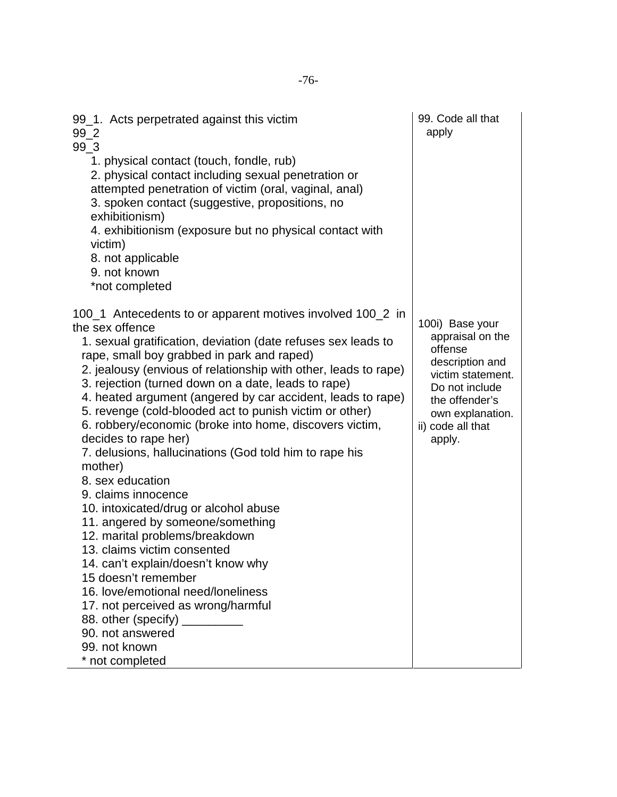| 99_1. Acts perpetrated against this victim<br>99 2<br>$99_3$                                                                                                                                                                                                                                                                                                                                                                                                                                                                                                                                                                                                                                                                                                                                                                                                                                                                                                                                                              | 99. Code all that<br>apply                                                                                                                                                    |
|---------------------------------------------------------------------------------------------------------------------------------------------------------------------------------------------------------------------------------------------------------------------------------------------------------------------------------------------------------------------------------------------------------------------------------------------------------------------------------------------------------------------------------------------------------------------------------------------------------------------------------------------------------------------------------------------------------------------------------------------------------------------------------------------------------------------------------------------------------------------------------------------------------------------------------------------------------------------------------------------------------------------------|-------------------------------------------------------------------------------------------------------------------------------------------------------------------------------|
| 1. physical contact (touch, fondle, rub)<br>2. physical contact including sexual penetration or<br>attempted penetration of victim (oral, vaginal, anal)<br>3. spoken contact (suggestive, propositions, no<br>exhibitionism)<br>4. exhibitionism (exposure but no physical contact with<br>victim)<br>8. not applicable<br>9. not known<br>*not completed                                                                                                                                                                                                                                                                                                                                                                                                                                                                                                                                                                                                                                                                |                                                                                                                                                                               |
| 100_1 Antecedents to or apparent motives involved 100_2 in<br>the sex offence<br>1. sexual gratification, deviation (date refuses sex leads to<br>rape, small boy grabbed in park and raped)<br>2. jealousy (envious of relationship with other, leads to rape)<br>3. rejection (turned down on a date, leads to rape)<br>4. heated argument (angered by car accident, leads to rape)<br>5. revenge (cold-blooded act to punish victim or other)<br>6. robbery/economic (broke into home, discovers victim,<br>decides to rape her)<br>7. delusions, hallucinations (God told him to rape his<br>mother)<br>8. sex education<br>9. claims innocence<br>10. intoxicated/drug or alcohol abuse<br>11. angered by someone/something<br>12. marital problems/breakdown<br>13. claims victim consented<br>14. can't explain/doesn't know why<br>15 doesn't remember<br>16. love/emotional need/loneliness<br>17. not perceived as wrong/harmful<br>88. other (specify)<br>90. not answered<br>99. not known<br>* not completed | 100i) Base your<br>appraisal on the<br>offense<br>description and<br>victim statement.<br>Do not include<br>the offender's<br>own explanation.<br>ii) code all that<br>apply. |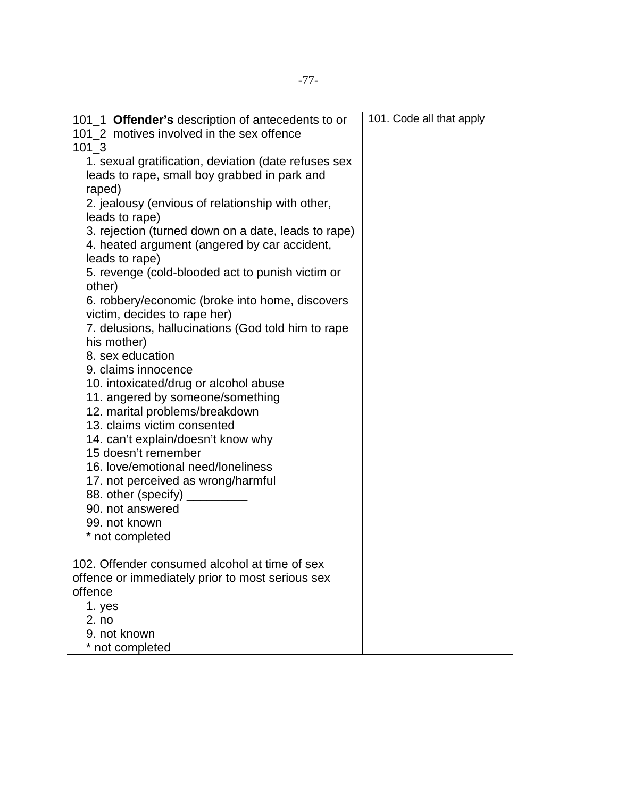| 101_1 Offender's description of antecedents to or<br>101 2 motives involved in the sex offence<br>101 3               | 101. Code all that apply |
|-----------------------------------------------------------------------------------------------------------------------|--------------------------|
| 1. sexual gratification, deviation (date refuses sex<br>leads to rape, small boy grabbed in park and<br>raped)        |                          |
| 2. jealousy (envious of relationship with other,<br>leads to rape)                                                    |                          |
| 3. rejection (turned down on a date, leads to rape)<br>4. heated argument (angered by car accident,<br>leads to rape) |                          |
| 5. revenge (cold-blooded act to punish victim or<br>other)                                                            |                          |
| 6. robbery/economic (broke into home, discovers<br>victim, decides to rape her)                                       |                          |
| 7. delusions, hallucinations (God told him to rape<br>his mother)                                                     |                          |
| 8. sex education<br>9. claims innocence                                                                               |                          |
| 10. intoxicated/drug or alcohol abuse                                                                                 |                          |
| 11. angered by someone/something<br>12. marital problems/breakdown                                                    |                          |
| 13. claims victim consented                                                                                           |                          |
| 14. can't explain/doesn't know why<br>15 doesn't remember                                                             |                          |
| 16. love/emotional need/loneliness<br>17. not perceived as wrong/harmful                                              |                          |
| 88. other (specify)                                                                                                   |                          |
| 90. not answered<br>99. not known                                                                                     |                          |
| * not completed                                                                                                       |                          |
| 102. Offender consumed alcohol at time of sex                                                                         |                          |
| offence or immediately prior to most serious sex<br>offence                                                           |                          |
| 1. yes                                                                                                                |                          |
| 2. no<br>9. not known                                                                                                 |                          |
| * not completed                                                                                                       |                          |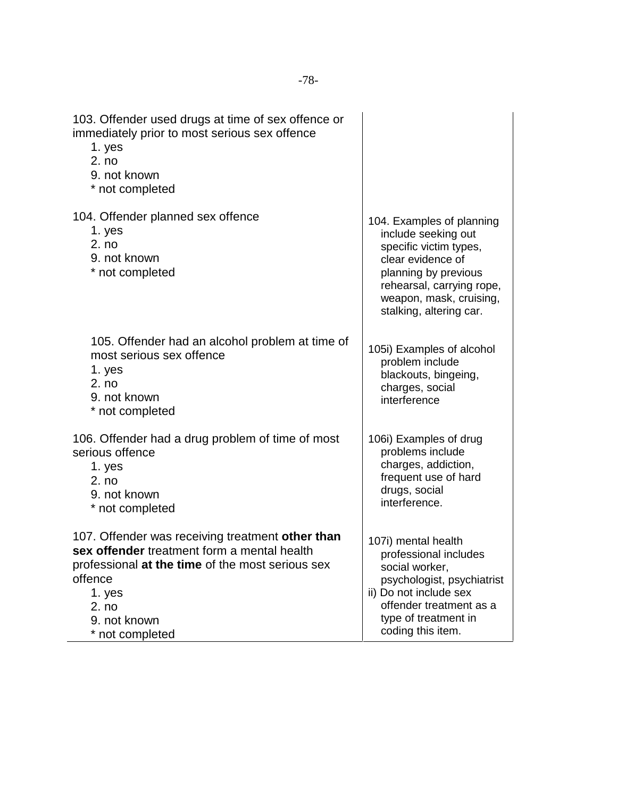| 103. Offender used drugs at time of sex offence or<br>immediately prior to most serious sex offence<br>1. yes<br>2. no<br>9. not known<br>* not completed                                                            |                                                                                                                                                                                                            |
|----------------------------------------------------------------------------------------------------------------------------------------------------------------------------------------------------------------------|------------------------------------------------------------------------------------------------------------------------------------------------------------------------------------------------------------|
| 104. Offender planned sex offence<br>1. yes<br>2. no<br>9. not known<br>* not completed                                                                                                                              | 104. Examples of planning<br>include seeking out<br>specific victim types,<br>clear evidence of<br>planning by previous<br>rehearsal, carrying rope,<br>weapon, mask, cruising,<br>stalking, altering car. |
| 105. Offender had an alcohol problem at time of<br>most serious sex offence<br>1. yes<br>2. no<br>9. not known<br>* not completed                                                                                    | 105i) Examples of alcohol<br>problem include<br>blackouts, bingeing,<br>charges, social<br>interference                                                                                                    |
| 106. Offender had a drug problem of time of most<br>serious offence<br>1. yes<br>2. no<br>9. not known<br>* not completed                                                                                            | 106i) Examples of drug<br>problems include<br>charges, addiction,<br>frequent use of hard<br>drugs, social<br>interference.                                                                                |
| 107. Offender was receiving treatment other than<br>sex offender treatment form a mental health<br>professional at the time of the most serious sex<br>offence<br>1. yes<br>2. no<br>9. not known<br>* not completed | 107i) mental health<br>professional includes<br>social worker,<br>psychologist, psychiatrist<br>ii) Do not include sex<br>offender treatment as a<br>type of treatment in<br>coding this item.             |

 $\overline{a}$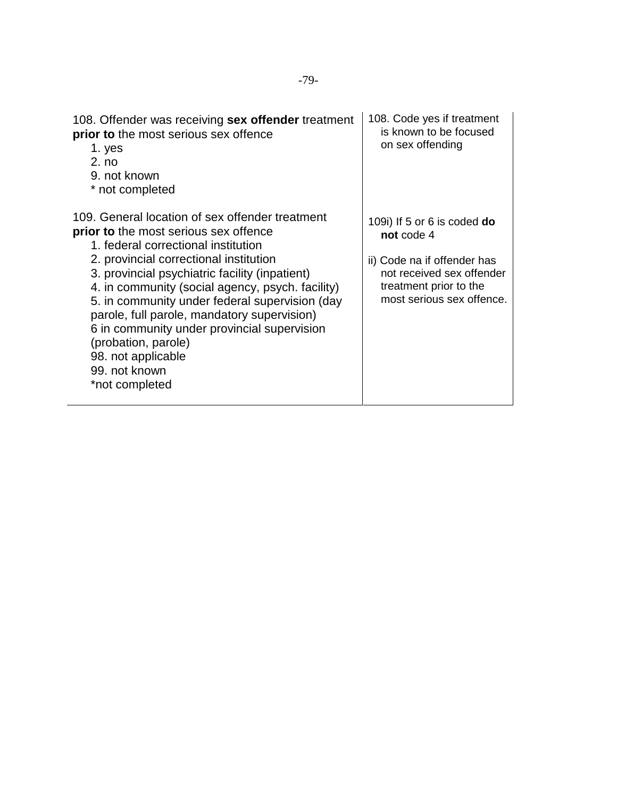| 108. Offender was receiving sex offender treatment<br>prior to the most serious sex offence<br>1. yes<br>2. no<br>9. not known<br>* not completed                                                                                                                                                                                                                                                                                                                                                                      | 108. Code yes if treatment<br>is known to be focused<br>on sex offending                                                                                       |
|------------------------------------------------------------------------------------------------------------------------------------------------------------------------------------------------------------------------------------------------------------------------------------------------------------------------------------------------------------------------------------------------------------------------------------------------------------------------------------------------------------------------|----------------------------------------------------------------------------------------------------------------------------------------------------------------|
| 109. General location of sex offender treatment<br><b>prior to</b> the most serious sex offence<br>1. federal correctional institution<br>2. provincial correctional institution<br>3. provincial psychiatric facility (inpatient)<br>4. in community (social agency, psych. facility)<br>5. in community under federal supervision (day<br>parole, full parole, mandatory supervision)<br>6 in community under provincial supervision<br>(probation, parole)<br>98. not applicable<br>99. not known<br>*not completed | 109i) If 5 or 6 is coded $do$<br>not code 4<br>ii) Code na if offender has<br>not received sex offender<br>treatment prior to the<br>most serious sex offence. |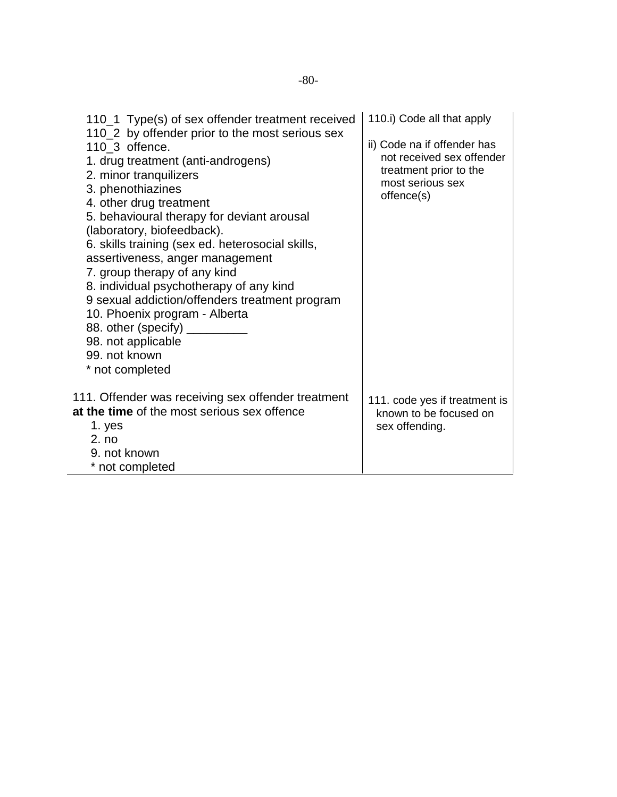| 110_1 Type(s) of sex offender treatment received<br>110_2 by offender prior to the most serious sex<br>$110_3$ offence.<br>1. drug treatment (anti-androgens)<br>2. minor tranquilizers<br>3. phenothiazines<br>4. other drug treatment<br>5. behavioural therapy for deviant arousal<br>(laboratory, biofeedback).<br>6. skills training (sex ed. heterosocial skills,<br>assertiveness, anger management<br>7. group therapy of any kind<br>8. individual psychotherapy of any kind<br>9 sexual addiction/offenders treatment program<br>10. Phoenix program - Alberta | 110.i) Code all that apply<br>ii) Code na if offender has<br>not received sex offender<br>treatment prior to the<br>most serious sex<br>offence(s) |
|--------------------------------------------------------------------------------------------------------------------------------------------------------------------------------------------------------------------------------------------------------------------------------------------------------------------------------------------------------------------------------------------------------------------------------------------------------------------------------------------------------------------------------------------------------------------------|----------------------------------------------------------------------------------------------------------------------------------------------------|
| 88. other (specify) ____<br>98. not applicable<br>99. not known<br>* not completed                                                                                                                                                                                                                                                                                                                                                                                                                                                                                       |                                                                                                                                                    |
| 111. Offender was receiving sex offender treatment<br>at the time of the most serious sex offence<br>1. yes<br>2. no<br>9. not known<br>* not completed                                                                                                                                                                                                                                                                                                                                                                                                                  | 111. code yes if treatment is<br>known to be focused on<br>sex offending.                                                                          |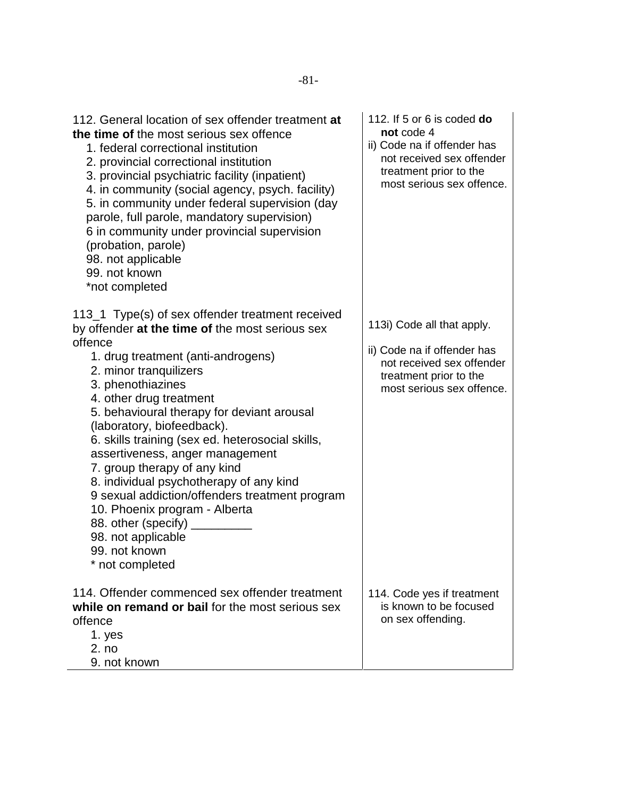| 112. General location of sex offender treatment at<br>the time of the most serious sex offence<br>1. federal correctional institution<br>2. provincial correctional institution<br>3. provincial psychiatric facility (inpatient)<br>4. in community (social agency, psych. facility)<br>5. in community under federal supervision (day<br>parole, full parole, mandatory supervision)<br>6 in community under provincial supervision<br>(probation, parole)<br>98. not applicable<br>99. not known<br>*not completed                   | 112. If 5 or 6 is coded do<br>not code 4<br>ii) Code na if offender has<br>not received sex offender<br>treatment prior to the<br>most serious sex offence. |
|-----------------------------------------------------------------------------------------------------------------------------------------------------------------------------------------------------------------------------------------------------------------------------------------------------------------------------------------------------------------------------------------------------------------------------------------------------------------------------------------------------------------------------------------|-------------------------------------------------------------------------------------------------------------------------------------------------------------|
| 113_1 Type(s) of sex offender treatment received<br>by offender at the time of the most serious sex                                                                                                                                                                                                                                                                                                                                                                                                                                     | 113i) Code all that apply.                                                                                                                                  |
| offence<br>1. drug treatment (anti-androgens)<br>2. minor tranquilizers<br>3. phenothiazines<br>4. other drug treatment<br>5. behavioural therapy for deviant arousal<br>(laboratory, biofeedback).<br>6. skills training (sex ed. heterosocial skills,<br>assertiveness, anger management<br>7. group therapy of any kind<br>8. individual psychotherapy of any kind<br>9 sexual addiction/offenders treatment program<br>10. Phoenix program - Alberta<br>88. other (specify)<br>98. not applicable<br>99. not known<br>not completed | ii) Code na if offender has<br>not received sex offender<br>treatment prior to the<br>most serious sex offence.                                             |
| 114. Offender commenced sex offender treatment<br>while on remand or bail for the most serious sex<br>offence<br>1. yes<br>2. no                                                                                                                                                                                                                                                                                                                                                                                                        | 114. Code yes if treatment<br>is known to be focused<br>on sex offending.                                                                                   |
| 9. not known                                                                                                                                                                                                                                                                                                                                                                                                                                                                                                                            |                                                                                                                                                             |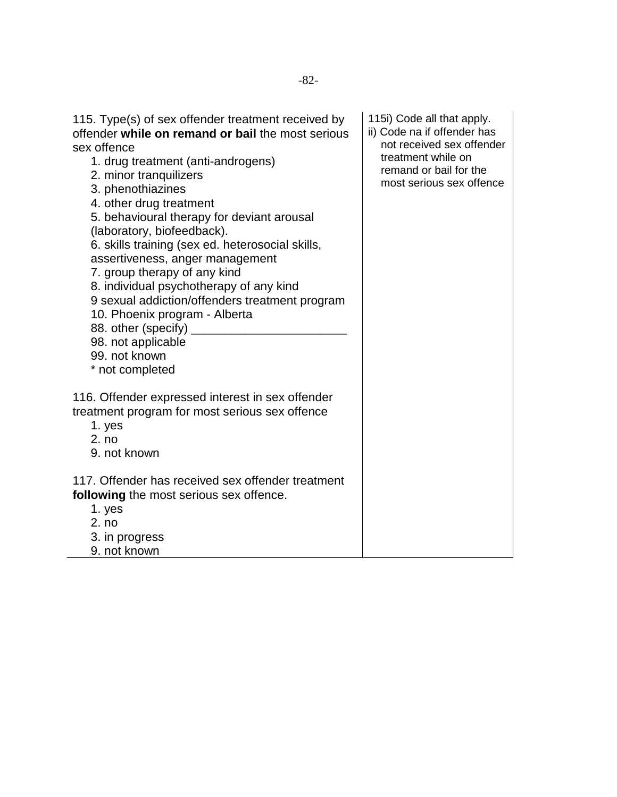| 115. Type(s) of sex offender treatment received by<br>offender while on remand or bail the most serious<br>sex offence<br>1. drug treatment (anti-androgens)<br>2. minor tranquilizers<br>3. phenothiazines<br>4. other drug treatment<br>5. behavioural therapy for deviant arousal<br>(laboratory, biofeedback).<br>6. skills training (sex ed. heterosocial skills,<br>assertiveness, anger management<br>7. group therapy of any kind<br>8. individual psychotherapy of any kind<br>9 sexual addiction/offenders treatment program<br>10. Phoenix program - Alberta<br>88. other (specify)<br>98. not applicable<br>99. not known<br>* not completed | 115i) Code all that apply.<br>ii) Code na if offender has<br>not received sex offender<br>treatment while on<br>remand or bail for the<br>most serious sex offence |
|----------------------------------------------------------------------------------------------------------------------------------------------------------------------------------------------------------------------------------------------------------------------------------------------------------------------------------------------------------------------------------------------------------------------------------------------------------------------------------------------------------------------------------------------------------------------------------------------------------------------------------------------------------|--------------------------------------------------------------------------------------------------------------------------------------------------------------------|
| 116. Offender expressed interest in sex offender<br>treatment program for most serious sex offence<br>1. yes<br>2. no<br>9. not known                                                                                                                                                                                                                                                                                                                                                                                                                                                                                                                    |                                                                                                                                                                    |
| 117. Offender has received sex offender treatment<br>following the most serious sex offence.<br>1. yes<br>2. no<br>3. in progress<br>9. not known                                                                                                                                                                                                                                                                                                                                                                                                                                                                                                        |                                                                                                                                                                    |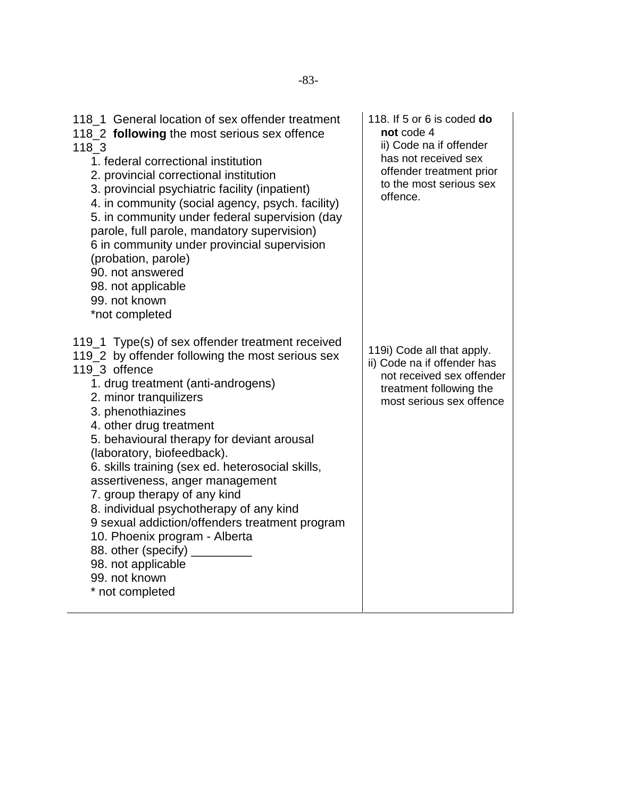| 118_1 General location of sex offender treatment<br>118_2 following the most serious sex offence<br>118 3<br>1. federal correctional institution<br>2. provincial correctional institution<br>3. provincial psychiatric facility (inpatient)<br>4. in community (social agency, psych. facility)<br>5. in community under federal supervision (day<br>parole, full parole, mandatory supervision)<br>6 in community under provincial supervision<br>(probation, parole)<br>90. not answered<br>98. not applicable<br>99. not known<br>*not completed                                                                                                    | 118. If 5 or 6 is coded do<br>not code 4<br>ii) Code na if offender<br>has not received sex<br>offender treatment prior<br>to the most serious sex<br>offence. |
|---------------------------------------------------------------------------------------------------------------------------------------------------------------------------------------------------------------------------------------------------------------------------------------------------------------------------------------------------------------------------------------------------------------------------------------------------------------------------------------------------------------------------------------------------------------------------------------------------------------------------------------------------------|----------------------------------------------------------------------------------------------------------------------------------------------------------------|
| 119_1 Type(s) of sex offender treatment received<br>119_2 by offender following the most serious sex<br>119 3 offence<br>1. drug treatment (anti-androgens)<br>2. minor tranquilizers<br>3. phenothiazines<br>4. other drug treatment<br>5. behavioural therapy for deviant arousal<br>(laboratory, biofeedback).<br>6. skills training (sex ed. heterosocial skills,<br>assertiveness, anger management<br>7. group therapy of any kind<br>8. individual psychotherapy of any kind<br>9 sexual addiction/offenders treatment program<br>10. Phoenix program - Alberta<br>88. other (specify)<br>98. not applicable<br>99. not known<br>* not completed | 119i) Code all that apply.<br>ii) Code na if offender has<br>not received sex offender<br>treatment following the<br>most serious sex offence                  |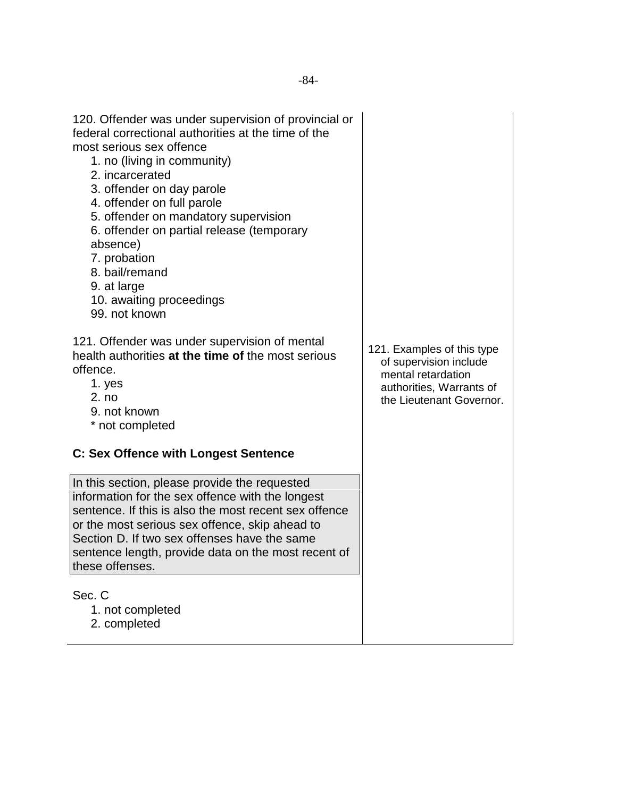| 120. Offender was under supervision of provincial or<br>federal correctional authorities at the time of the<br>most serious sex offence<br>1. no (living in community)<br>2. incarcerated<br>3. offender on day parole<br>4. offender on full parole<br>5. offender on mandatory supervision<br>6. offender on partial release (temporary<br>absence)<br>7. probation<br>8. bail/remand<br>9. at large<br>10. awaiting proceedings<br>99. not known |                                                                                                                                    |
|-----------------------------------------------------------------------------------------------------------------------------------------------------------------------------------------------------------------------------------------------------------------------------------------------------------------------------------------------------------------------------------------------------------------------------------------------------|------------------------------------------------------------------------------------------------------------------------------------|
| 121. Offender was under supervision of mental<br>health authorities at the time of the most serious<br>offence.<br>1. yes<br>2. no<br>9. not known<br>* not completed                                                                                                                                                                                                                                                                               | 121. Examples of this type<br>of supervision include<br>mental retardation<br>authorities, Warrants of<br>the Lieutenant Governor. |
| <b>C: Sex Offence with Longest Sentence</b>                                                                                                                                                                                                                                                                                                                                                                                                         |                                                                                                                                    |
| In this section, please provide the requested<br>information for the sex offence with the longest<br>sentence. If this is also the most recent sex offence<br>or the most serious sex offence, skip ahead to<br>Section D. If two sex offenses have the same<br>sentence length, provide data on the most recent of<br>these offenses.                                                                                                              |                                                                                                                                    |
| Sec. C<br>1. not completed<br>2. completed                                                                                                                                                                                                                                                                                                                                                                                                          |                                                                                                                                    |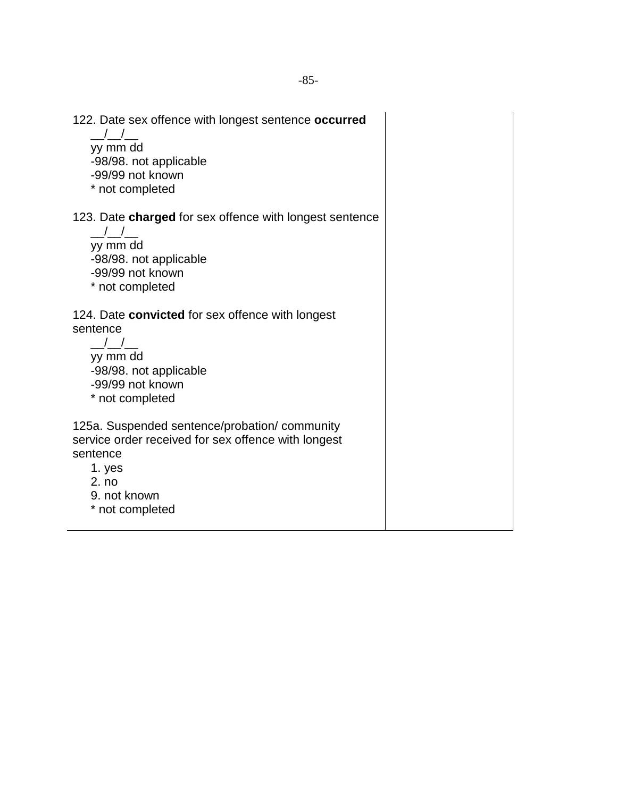122. Date sex offence with longest sentence **occurred**  $\frac{\mu}{\sigma}$ yy mm dd -98/98. not applicable -99/99 not known \* not completed 123. Date **charged** for sex offence with longest sentence  $\_$ / $\_$ / $\_$ yy mm dd -98/98. not applicable -99/99 not known \* not completed 124. Date **convicted** for sex offence with longest sentence  $\_$ / $\_$ / $\_$ yy mm dd -98/98. not applicable -99/99 not known \* not completed 125a. Suspended sentence/probation/ community service order received for sex offence with longest sentence 1. yes 2. no 9. not known \* not completed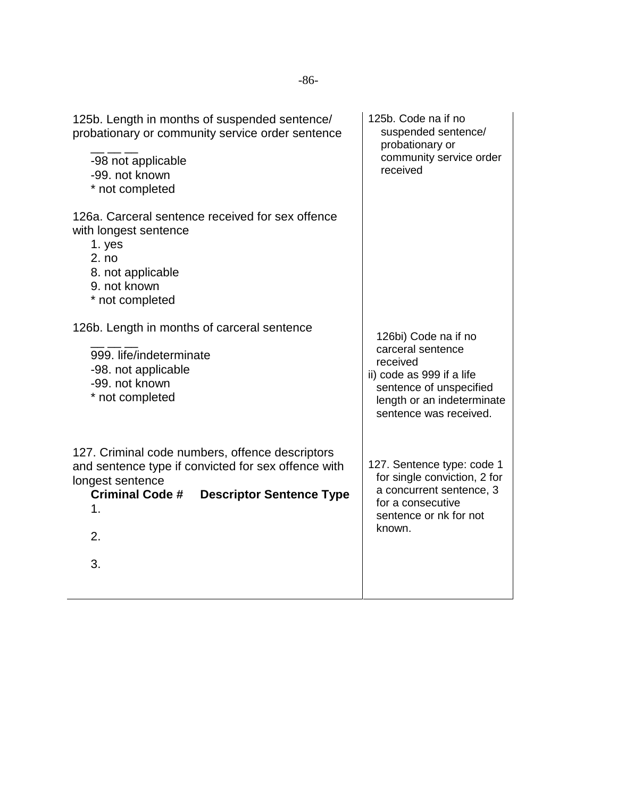| 125b. Length in months of suspended sentence/<br>probationary or community service order sentence<br>-98 not applicable<br>-99. not known<br>* not completed                                              | 125b. Code na if no<br>suspended sentence/<br>probationary or<br>community service order<br>received                                                                  |
|-----------------------------------------------------------------------------------------------------------------------------------------------------------------------------------------------------------|-----------------------------------------------------------------------------------------------------------------------------------------------------------------------|
| 126a. Carceral sentence received for sex offence<br>with longest sentence<br>1. yes<br>2. no<br>8. not applicable<br>9. not known<br>* not completed                                                      |                                                                                                                                                                       |
| 126b. Length in months of carceral sentence<br>999. life/indeterminate<br>-98. not applicable<br>-99. not known<br>* not completed                                                                        | 126bi) Code na if no<br>carceral sentence<br>received<br>ii) code as 999 if a life<br>sentence of unspecified<br>length or an indeterminate<br>sentence was received. |
| 127. Criminal code numbers, offence descriptors<br>and sentence type if convicted for sex offence with<br>longest sentence<br><b>Criminal Code #</b><br><b>Descriptor Sentence Type</b><br>1.<br>2.<br>3. | 127. Sentence type: code 1<br>for single conviction, 2 for<br>a concurrent sentence, 3<br>for a consecutive<br>sentence or nk for not<br>known.                       |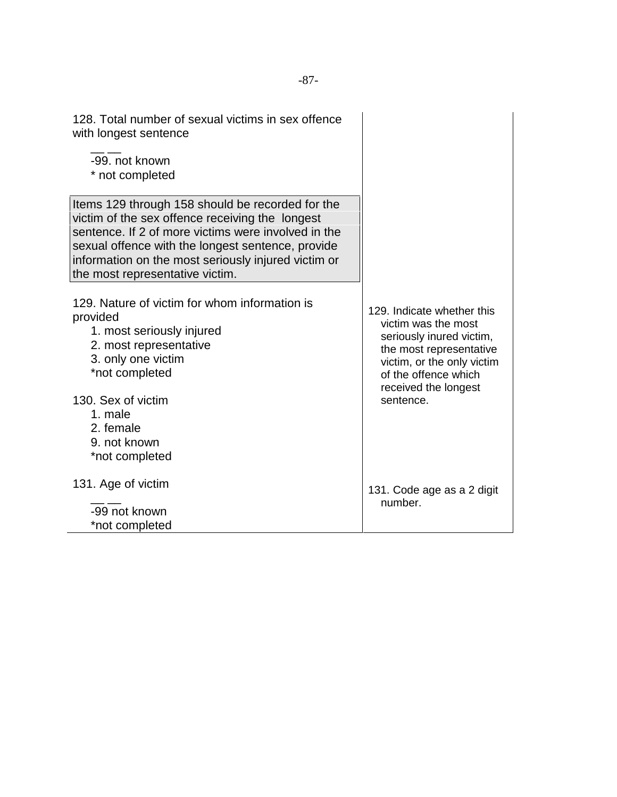| 128. Total number of sexual victims in sex offence<br>with longest sentence                                                                                                                                                                                                                               |                                                                                                                                                                                                     |
|-----------------------------------------------------------------------------------------------------------------------------------------------------------------------------------------------------------------------------------------------------------------------------------------------------------|-----------------------------------------------------------------------------------------------------------------------------------------------------------------------------------------------------|
| -99. not known<br>* not completed                                                                                                                                                                                                                                                                         |                                                                                                                                                                                                     |
| Items 129 through 158 should be recorded for the<br>victim of the sex offence receiving the longest<br>sentence. If 2 of more victims were involved in the<br>sexual offence with the longest sentence, provide<br>information on the most seriously injured victim or<br>the most representative victim. |                                                                                                                                                                                                     |
| 129. Nature of victim for whom information is<br>provided<br>1. most seriously injured<br>2. most representative<br>3. only one victim<br>*not completed<br>130. Sex of victim<br>1. male<br>2. female                                                                                                    | 129. Indicate whether this<br>victim was the most<br>seriously inured victim,<br>the most representative<br>victim, or the only victim<br>of the offence which<br>received the longest<br>sentence. |
| 9. not known<br>*not completed                                                                                                                                                                                                                                                                            |                                                                                                                                                                                                     |
| 131. Age of victim<br>-99 not known<br>*not completed                                                                                                                                                                                                                                                     | 131. Code age as a 2 digit<br>number.                                                                                                                                                               |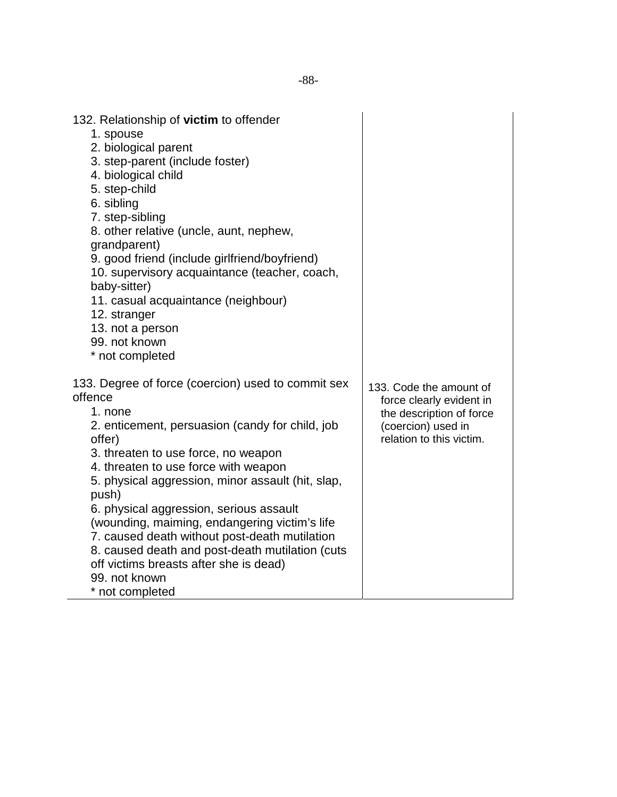| 132. Relationship of victim to offender<br>1. spouse<br>2. biological parent<br>3. step-parent (include foster)<br>4. biological child<br>5. step-child<br>6. sibling<br>7. step-sibling<br>8. other relative (uncle, aunt, nephew,<br>grandparent)<br>9. good friend (include girlfriend/boyfriend)<br>10. supervisory acquaintance (teacher, coach,<br>baby-sitter)<br>11. casual acquaintance (neighbour)<br>12. stranger<br>13. not a person<br>99. not known<br>* not completed                                                                             |                                                                                                                                   |
|------------------------------------------------------------------------------------------------------------------------------------------------------------------------------------------------------------------------------------------------------------------------------------------------------------------------------------------------------------------------------------------------------------------------------------------------------------------------------------------------------------------------------------------------------------------|-----------------------------------------------------------------------------------------------------------------------------------|
| 133. Degree of force (coercion) used to commit sex<br>offence<br>1. none<br>2. enticement, persuasion (candy for child, job<br>offer)<br>3. threaten to use force, no weapon<br>4. threaten to use force with weapon<br>5. physical aggression, minor assault (hit, slap,<br>push)<br>6. physical aggression, serious assault<br>(wounding, maiming, endangering victim's life<br>7. caused death without post-death mutilation<br>8. caused death and post-death mutilation (cuts<br>off victims breasts after she is dead)<br>99. not known<br>* not completed | 133. Code the amount of<br>force clearly evident in<br>the description of force<br>(coercion) used in<br>relation to this victim. |

 $\overline{\phantom{0}}$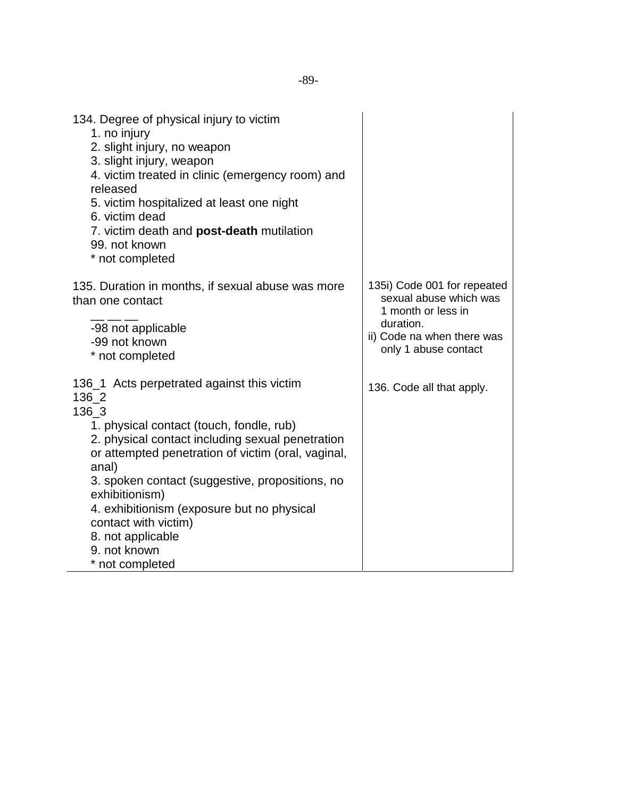| 134. Degree of physical injury to victim<br>1. no injury<br>2. slight injury, no weapon<br>3. slight injury, weapon<br>4. victim treated in clinic (emergency room) and<br>released<br>5. victim hospitalized at least one night<br>6. victim dead<br>7. victim death and post-death mutilation<br>99. not known<br>* not completed                                                                                            |                                                                                                                                                |
|--------------------------------------------------------------------------------------------------------------------------------------------------------------------------------------------------------------------------------------------------------------------------------------------------------------------------------------------------------------------------------------------------------------------------------|------------------------------------------------------------------------------------------------------------------------------------------------|
| 135. Duration in months, if sexual abuse was more<br>than one contact<br>-98 not applicable<br>-99 not known<br>* not completed                                                                                                                                                                                                                                                                                                | 135i) Code 001 for repeated<br>sexual abuse which was<br>1 month or less in<br>duration.<br>ii) Code na when there was<br>only 1 abuse contact |
| 136_1 Acts perpetrated against this victim<br>136 2<br>136_3<br>1. physical contact (touch, fondle, rub)<br>2. physical contact including sexual penetration<br>or attempted penetration of victim (oral, vaginal,<br>anal)<br>3. spoken contact (suggestive, propositions, no<br>exhibitionism)<br>4. exhibitionism (exposure but no physical<br>contact with victim)<br>8. not applicable<br>9. not known<br>* not completed | 136. Code all that apply.                                                                                                                      |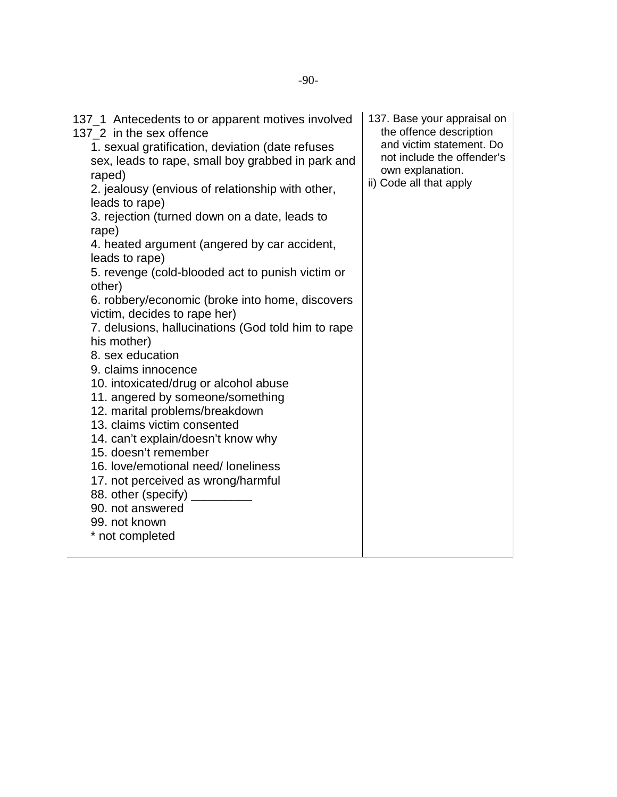| 137_1 Antecedents to or apparent motives involved<br>137 2 in the sex offence<br>1. sexual gratification, deviation (date refuses<br>sex, leads to rape, small boy grabbed in park and<br>raped)<br>2. jealousy (envious of relationship with other,<br>leads to rape)<br>3. rejection (turned down on a date, leads to<br>rape)<br>4. heated argument (angered by car accident,<br>leads to rape)<br>5. revenge (cold-blooded act to punish victim or<br>other)<br>6. robbery/economic (broke into home, discovers<br>victim, decides to rape her)<br>7. delusions, hallucinations (God told him to rape<br>his mother)<br>8. sex education<br>9. claims innocence<br>10. intoxicated/drug or alcohol abuse<br>11. angered by someone/something<br>12. marital problems/breakdown<br>13. claims victim consented<br>14. can't explain/doesn't know why<br>15. doesn't remember<br>16. love/emotional need/ loneliness<br>17. not perceived as wrong/harmful<br>88. other (specify) ___________<br>90. not answered<br>99. not known<br>* not completed | 137. Base your appraisal on<br>the offence description<br>and victim statement. Do<br>not include the offender's<br>own explanation.<br>ii) Code all that apply |
|---------------------------------------------------------------------------------------------------------------------------------------------------------------------------------------------------------------------------------------------------------------------------------------------------------------------------------------------------------------------------------------------------------------------------------------------------------------------------------------------------------------------------------------------------------------------------------------------------------------------------------------------------------------------------------------------------------------------------------------------------------------------------------------------------------------------------------------------------------------------------------------------------------------------------------------------------------------------------------------------------------------------------------------------------------|-----------------------------------------------------------------------------------------------------------------------------------------------------------------|
|                                                                                                                                                                                                                                                                                                                                                                                                                                                                                                                                                                                                                                                                                                                                                                                                                                                                                                                                                                                                                                                         |                                                                                                                                                                 |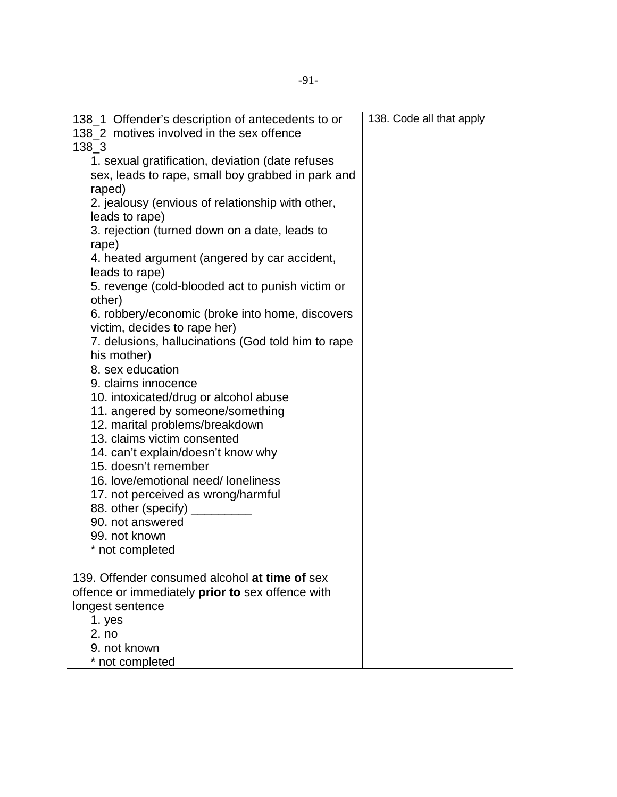| 138_1 Offender's description of antecedents to or<br>138 2 motives involved in the sex offence<br>$138 - 3$     | 138. Code all that apply |
|-----------------------------------------------------------------------------------------------------------------|--------------------------|
| 1. sexual gratification, deviation (date refuses<br>sex, leads to rape, small boy grabbed in park and<br>raped) |                          |
| 2. jealousy (envious of relationship with other,<br>leads to rape)                                              |                          |
| 3. rejection (turned down on a date, leads to<br>rape)                                                          |                          |
| 4. heated argument (angered by car accident,<br>leads to rape)                                                  |                          |
| 5. revenge (cold-blooded act to punish victim or<br>other)                                                      |                          |
| 6. robbery/economic (broke into home, discovers<br>victim, decides to rape her)                                 |                          |
| 7. delusions, hallucinations (God told him to rape<br>his mother)                                               |                          |
| 8. sex education                                                                                                |                          |
| 9. claims innocence                                                                                             |                          |
| 10. intoxicated/drug or alcohol abuse<br>11. angered by someone/something                                       |                          |
| 12. marital problems/breakdown                                                                                  |                          |
| 13. claims victim consented                                                                                     |                          |
| 14. can't explain/doesn't know why                                                                              |                          |
| 15. doesn't remember                                                                                            |                          |
| 16. love/emotional need/ loneliness                                                                             |                          |
| 17. not perceived as wrong/harmful                                                                              |                          |
| 88. other (specify)                                                                                             |                          |
| 90. not answered                                                                                                |                          |
| 99. not known                                                                                                   |                          |
| * not completed                                                                                                 |                          |
| 139. Offender consumed alcohol at time of sex                                                                   |                          |
| offence or immediately <b>prior to</b> sex offence with                                                         |                          |
| longest sentence                                                                                                |                          |
| 1. yes                                                                                                          |                          |
| 2. no                                                                                                           |                          |
| 9. not known                                                                                                    |                          |
| * not completed                                                                                                 |                          |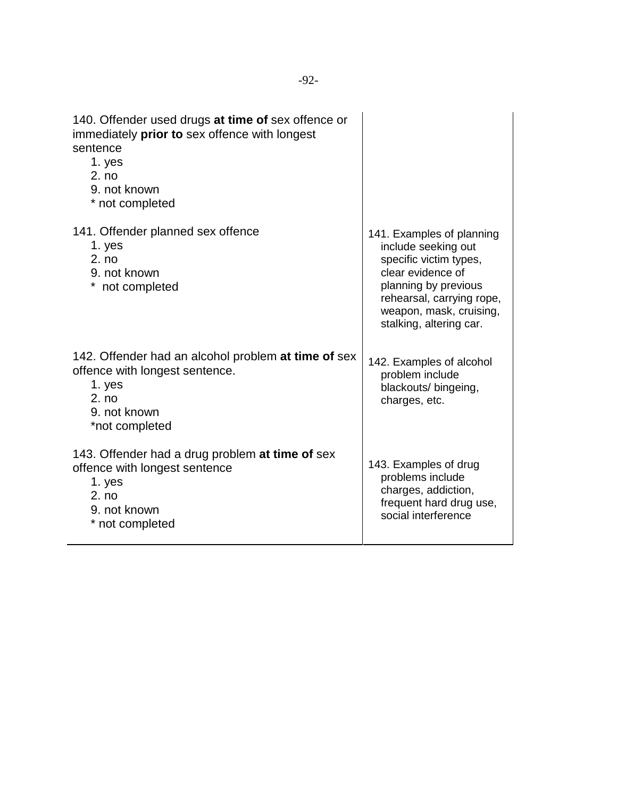| 140. Offender used drugs at time of sex offence or<br>immediately prior to sex offence with longest<br>sentence<br>1. yes<br>2. no<br>9. not known<br>* not completed |                                                                                                                                                                                                            |
|-----------------------------------------------------------------------------------------------------------------------------------------------------------------------|------------------------------------------------------------------------------------------------------------------------------------------------------------------------------------------------------------|
| 141. Offender planned sex offence<br>1. yes<br>2. no<br>9. not known<br>not completed                                                                                 | 141. Examples of planning<br>include seeking out<br>specific victim types,<br>clear evidence of<br>planning by previous<br>rehearsal, carrying rope,<br>weapon, mask, cruising,<br>stalking, altering car. |
| 142. Offender had an alcohol problem at time of sex<br>offence with longest sentence.<br>1. yes<br>2. no<br>9. not known<br>*not completed                            | 142. Examples of alcohol<br>problem include<br>blackouts/ bingeing,<br>charges, etc.                                                                                                                       |
| 143. Offender had a drug problem at time of sex<br>offence with longest sentence<br>1. yes<br>2. no<br>9. not known<br>* not completed                                | 143. Examples of drug<br>problems include<br>charges, addiction,<br>frequent hard drug use,<br>social interference                                                                                         |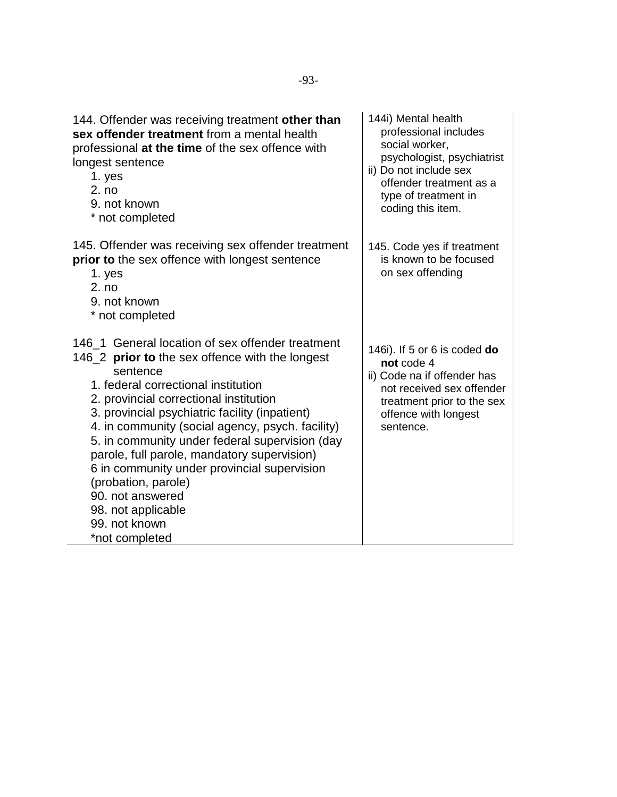| 144. Offender was receiving treatment other than<br>sex offender treatment from a mental health<br>professional at the time of the sex offence with<br>longest sentence<br>1. yes<br>2. no<br>9. not known<br>* not completed                                                                                                                                                                                                                                                                                                                                     | 144i) Mental health<br>professional includes<br>social worker.<br>psychologist, psychiatrist<br>ii) Do not include sex<br>offender treatment as a<br>type of treatment in<br>coding this item. |
|-------------------------------------------------------------------------------------------------------------------------------------------------------------------------------------------------------------------------------------------------------------------------------------------------------------------------------------------------------------------------------------------------------------------------------------------------------------------------------------------------------------------------------------------------------------------|------------------------------------------------------------------------------------------------------------------------------------------------------------------------------------------------|
| 145. Offender was receiving sex offender treatment<br>prior to the sex offence with longest sentence<br>1. yes<br>2. no<br>9. not known<br>* not completed                                                                                                                                                                                                                                                                                                                                                                                                        | 145. Code yes if treatment<br>is known to be focused<br>on sex offending                                                                                                                       |
| 146_1 General location of sex offender treatment<br>146_2 <b>prior to</b> the sex offence with the longest<br>sentence<br>1. federal correctional institution<br>2. provincial correctional institution<br>3. provincial psychiatric facility (inpatient)<br>4. in community (social agency, psych. facility)<br>5. in community under federal supervision (day<br>parole, full parole, mandatory supervision)<br>6 in community under provincial supervision<br>(probation, parole)<br>90. not answered<br>98. not applicable<br>99. not known<br>*not completed | 146i). If 5 or 6 is coded do<br>not code 4<br>ii) Code na if offender has<br>not received sex offender<br>treatment prior to the sex<br>offence with longest<br>sentence.                      |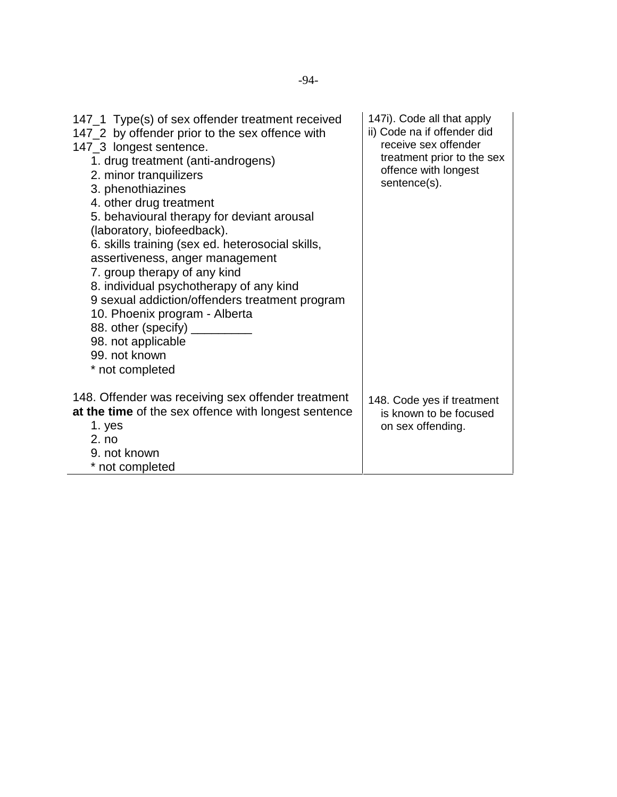| 147_1 Type(s) of sex offender treatment received<br>147_2 by offender prior to the sex offence with<br>147_3 longest sentence.<br>1. drug treatment (anti-androgens)<br>2. minor tranquilizers<br>3. phenothiazines<br>4. other drug treatment<br>5. behavioural therapy for deviant arousal<br>(laboratory, biofeedback).<br>6. skills training (sex ed. heterosocial skills,<br>assertiveness, anger management<br>7. group therapy of any kind<br>8. individual psychotherapy of any kind<br>9 sexual addiction/offenders treatment program<br>10. Phoenix program - Alberta<br>88. other (specify)<br>98. not applicable<br>99. not known<br>* not completed | 147i). Code all that apply<br>ii) Code na if offender did<br>receive sex offender<br>treatment prior to the sex<br>offence with longest<br>sentence(s). |
|------------------------------------------------------------------------------------------------------------------------------------------------------------------------------------------------------------------------------------------------------------------------------------------------------------------------------------------------------------------------------------------------------------------------------------------------------------------------------------------------------------------------------------------------------------------------------------------------------------------------------------------------------------------|---------------------------------------------------------------------------------------------------------------------------------------------------------|
| 148. Offender was receiving sex offender treatment<br>at the time of the sex offence with longest sentence<br>1. yes<br>2. no<br>9. not known<br>* not completed                                                                                                                                                                                                                                                                                                                                                                                                                                                                                                 | 148. Code yes if treatment<br>is known to be focused<br>on sex offending.                                                                               |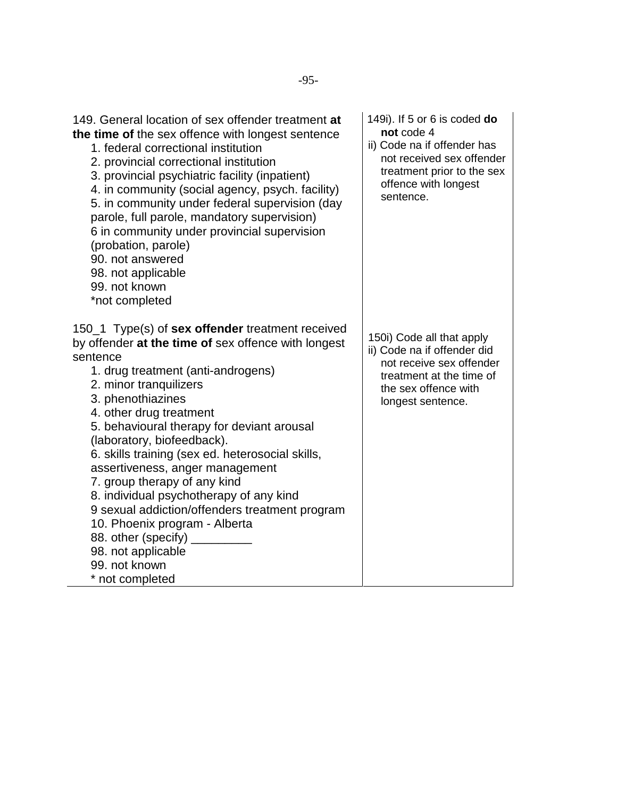| 149. General location of sex offender treatment at<br>the time of the sex offence with longest sentence<br>1. federal correctional institution<br>2. provincial correctional institution<br>3. provincial psychiatric facility (inpatient)<br>4. in community (social agency, psych. facility)<br>5. in community under federal supervision (day<br>parole, full parole, mandatory supervision)<br>6 in community under provincial supervision<br>(probation, parole)<br>90. not answered<br>98. not applicable<br>99. not known<br>*not completed                                                                                                           | 149i). If 5 or 6 is coded do<br>not code 4<br>ii) Code na if offender has<br>not received sex offender<br>treatment prior to the sex<br>offence with longest<br>sentence. |
|--------------------------------------------------------------------------------------------------------------------------------------------------------------------------------------------------------------------------------------------------------------------------------------------------------------------------------------------------------------------------------------------------------------------------------------------------------------------------------------------------------------------------------------------------------------------------------------------------------------------------------------------------------------|---------------------------------------------------------------------------------------------------------------------------------------------------------------------------|
| 150_1 Type(s) of <b>sex offender</b> treatment received<br>by offender at the time of sex offence with longest<br>sentence<br>1. drug treatment (anti-androgens)<br>2. minor tranquilizers<br>3. phenothiazines<br>4. other drug treatment<br>5. behavioural therapy for deviant arousal<br>(laboratory, biofeedback).<br>6. skills training (sex ed. heterosocial skills,<br>assertiveness, anger management<br>7. group therapy of any kind<br>8. individual psychotherapy of any kind<br>9 sexual addiction/offenders treatment program<br>10. Phoenix program - Alberta<br>88. other (specify)<br>98. not applicable<br>99. not known<br>* not completed | 150i) Code all that apply<br>ii) Code na if offender did<br>not receive sex offender<br>treatment at the time of<br>the sex offence with<br>longest sentence.             |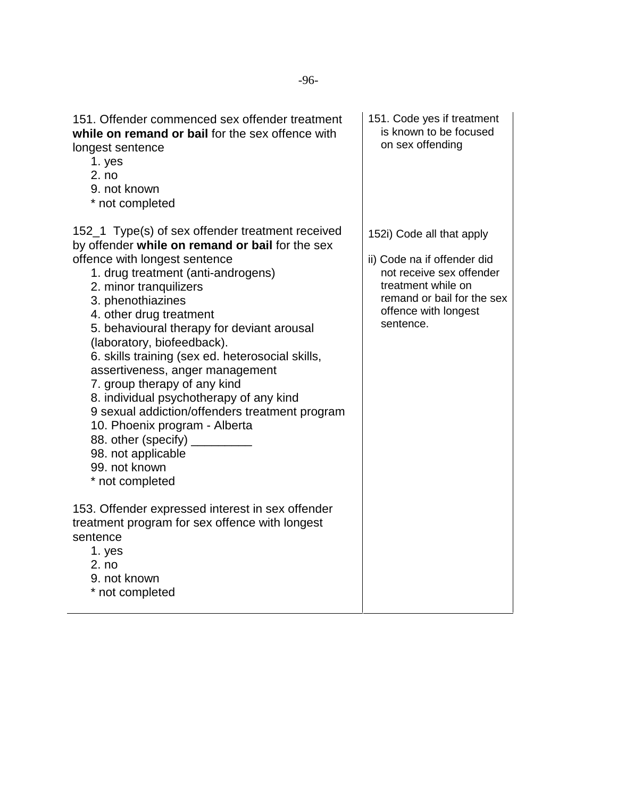| 151. Offender commenced sex offender treatment<br>while on remand or bail for the sex offence with<br>longest sentence<br>1. yes<br>2. no<br>9. not known<br>* not completed                                                                                                                                                                                                                                                                                                                                                                                                                                                                                           | 151. Code yes if treatment<br>is known to be focused<br>on sex offending                                                                                                      |
|------------------------------------------------------------------------------------------------------------------------------------------------------------------------------------------------------------------------------------------------------------------------------------------------------------------------------------------------------------------------------------------------------------------------------------------------------------------------------------------------------------------------------------------------------------------------------------------------------------------------------------------------------------------------|-------------------------------------------------------------------------------------------------------------------------------------------------------------------------------|
| 152_1 Type(s) of sex offender treatment received<br>by offender while on remand or bail for the sex<br>offence with longest sentence<br>1. drug treatment (anti-androgens)<br>2. minor tranquilizers<br>3. phenothiazines<br>4. other drug treatment<br>5. behavioural therapy for deviant arousal<br>(laboratory, biofeedback).<br>6. skills training (sex ed. heterosocial skills,<br>assertiveness, anger management<br>7. group therapy of any kind<br>8. individual psychotherapy of any kind<br>9 sexual addiction/offenders treatment program<br>10. Phoenix program - Alberta<br>88. other (specify)<br>98. not applicable<br>99. not known<br>* not completed | 152i) Code all that apply<br>ii) Code na if offender did<br>not receive sex offender<br>treatment while on<br>remand or bail for the sex<br>offence with longest<br>sentence. |
| 153. Offender expressed interest in sex offender<br>treatment program for sex offence with longest<br>sentence<br>1. yes<br>2. no<br>9. not known<br>* not completed                                                                                                                                                                                                                                                                                                                                                                                                                                                                                                   |                                                                                                                                                                               |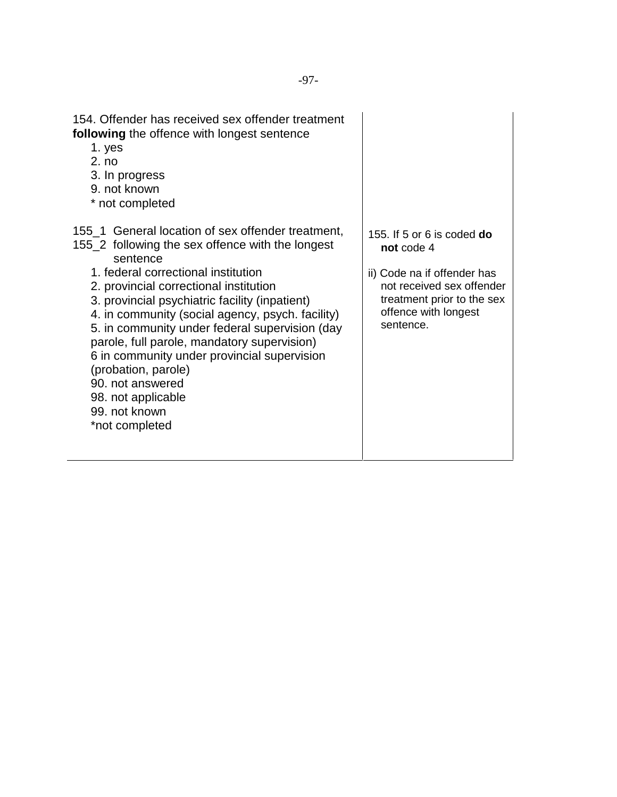| 154. Offender has received sex offender treatment<br>following the offence with longest sentence<br>1. yes<br>2. no<br>3. In progress<br>9. not known<br>* not completed                                                                                                                                                                                                                                                                                                                                                                                     |                                                                                                                                                                                |
|--------------------------------------------------------------------------------------------------------------------------------------------------------------------------------------------------------------------------------------------------------------------------------------------------------------------------------------------------------------------------------------------------------------------------------------------------------------------------------------------------------------------------------------------------------------|--------------------------------------------------------------------------------------------------------------------------------------------------------------------------------|
| 155 1 General location of sex offender treatment,<br>155_2 following the sex offence with the longest<br>sentence<br>1. federal correctional institution<br>2. provincial correctional institution<br>3. provincial psychiatric facility (inpatient)<br>4. in community (social agency, psych. facility)<br>5. in community under federal supervision (day<br>parole, full parole, mandatory supervision)<br>6 in community under provincial supervision<br>(probation, parole)<br>90. not answered<br>98. not applicable<br>99. not known<br>*not completed | 155. If 5 or 6 is coded <b>do</b><br>not code 4<br>ii) Code na if offender has<br>not received sex offender<br>treatment prior to the sex<br>offence with longest<br>sentence. |

l,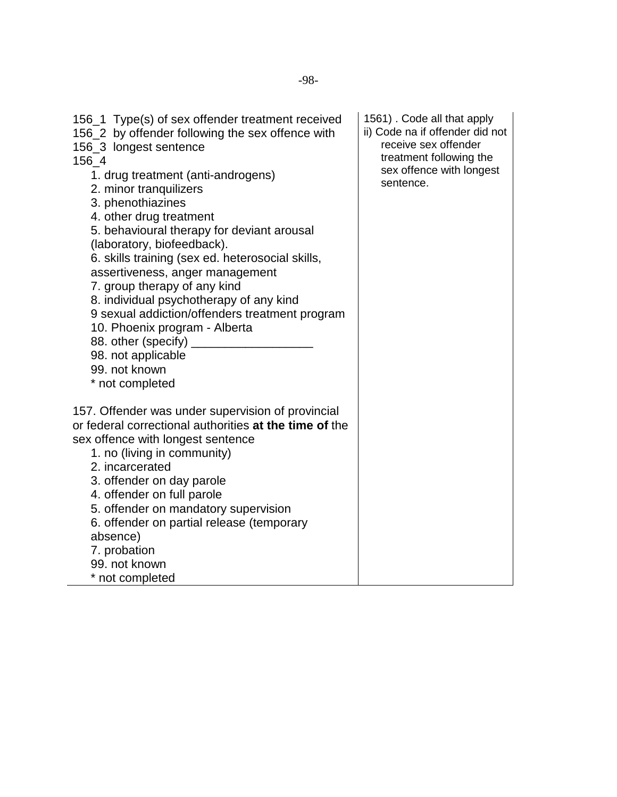| 156_1 Type(s) of sex offender treatment received<br>156_2 by offender following the sex offence with<br>156_3 longest sentence<br>156_4<br>1. drug treatment (anti-androgens)<br>2. minor tranquilizers<br>3. phenothiazines<br>4. other drug treatment<br>5. behavioural therapy for deviant arousal<br>(laboratory, biofeedback).<br>6. skills training (sex ed. heterosocial skills,<br>assertiveness, anger management<br>7. group therapy of any kind<br>8. individual psychotherapy of any kind<br>9 sexual addiction/offenders treatment program<br>10. Phoenix program - Alberta<br>88. other (specify)<br>98. not applicable<br>99. not known<br>* not completed | 1561). Code all that apply<br>ii) Code na if offender did not<br>receive sex offender<br>treatment following the<br>sex offence with longest<br>sentence. |
|---------------------------------------------------------------------------------------------------------------------------------------------------------------------------------------------------------------------------------------------------------------------------------------------------------------------------------------------------------------------------------------------------------------------------------------------------------------------------------------------------------------------------------------------------------------------------------------------------------------------------------------------------------------------------|-----------------------------------------------------------------------------------------------------------------------------------------------------------|
| 157. Offender was under supervision of provincial<br>or federal correctional authorities at the time of the<br>sex offence with longest sentence<br>1. no (living in community)<br>2. incarcerated<br>3. offender on day parole<br>4. offender on full parole<br>5. offender on mandatory supervision<br>6. offender on partial release (temporary<br>absence)<br>7. probation<br>99. not known<br>* not completed                                                                                                                                                                                                                                                        |                                                                                                                                                           |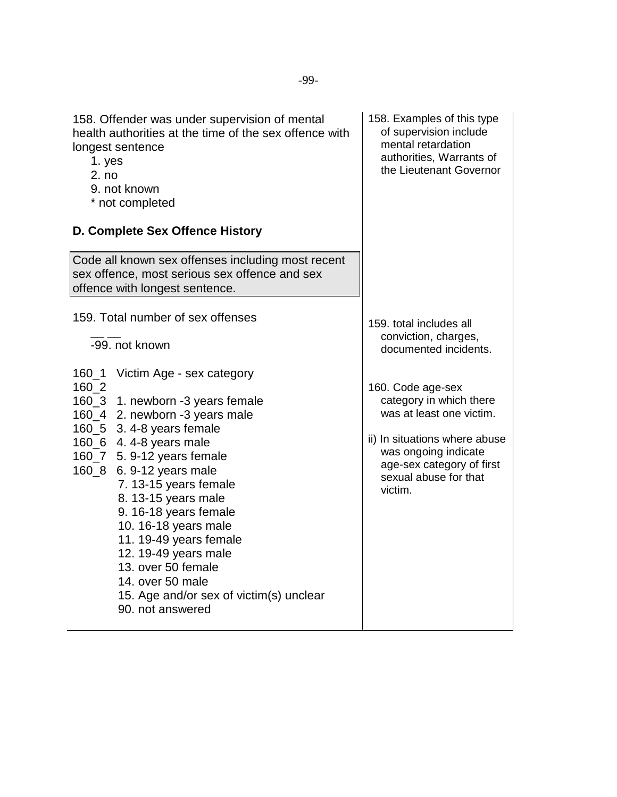| 1. yes<br>2. no             | 158. Offender was under supervision of mental<br>health authorities at the time of the sex offence with<br>longest sentence<br>9. not known<br>* not completed<br>D. Complete Sex Offence History                                                                                                                                                                                                                                                                     | 158. Examples of this type<br>of supervision include<br>mental retardation<br>authorities, Warrants of<br>the Lieutenant Governor                                                                  |
|-----------------------------|-----------------------------------------------------------------------------------------------------------------------------------------------------------------------------------------------------------------------------------------------------------------------------------------------------------------------------------------------------------------------------------------------------------------------------------------------------------------------|----------------------------------------------------------------------------------------------------------------------------------------------------------------------------------------------------|
|                             | Code all known sex offenses including most recent<br>sex offence, most serious sex offence and sex<br>offence with longest sentence.                                                                                                                                                                                                                                                                                                                                  |                                                                                                                                                                                                    |
|                             | 159. Total number of sex offenses<br>-99. not known                                                                                                                                                                                                                                                                                                                                                                                                                   | 159. total includes all<br>conviction, charges,<br>documented incidents.                                                                                                                           |
| $160 - 1$<br>160_2<br>160_8 | Victim Age - sex category<br>160_3 1. newborn -3 years female<br>160_4 2. newborn -3 years male<br>160_5 3.4-8 years female<br>160_6 4.4-8 years male<br>160_7 5. 9-12 years female<br>6. 9-12 years male<br>7. 13-15 years female<br>8. 13-15 years male<br>9. 16-18 years female<br>10. 16-18 years male<br>11. 19-49 years female<br>12. 19-49 years male<br>13. over 50 female<br>14. over 50 male<br>15. Age and/or sex of victim(s) unclear<br>90. not answered | 160. Code age-sex<br>category in which there<br>was at least one victim.<br>ii) In situations where abuse<br>was ongoing indicate<br>age-sex category of first<br>sexual abuse for that<br>victim. |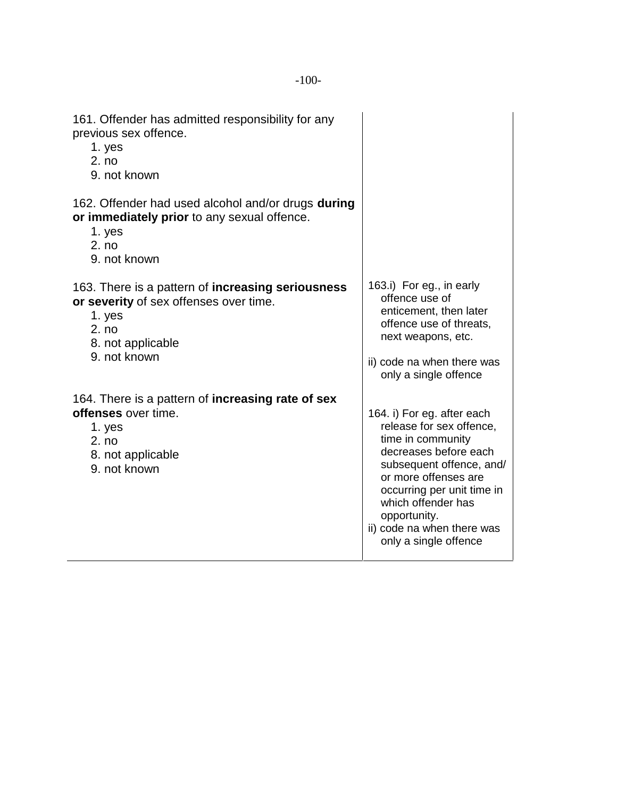| 161. Offender has admitted responsibility for any<br>previous sex offence.<br>1. yes<br>2. no<br>9. not known                                       |                                                                                                                                                                                                                                                                                     |
|-----------------------------------------------------------------------------------------------------------------------------------------------------|-------------------------------------------------------------------------------------------------------------------------------------------------------------------------------------------------------------------------------------------------------------------------------------|
| 162. Offender had used alcohol and/or drugs during<br>or immediately prior to any sexual offence.<br>1. yes<br>2. no<br>9. not known                |                                                                                                                                                                                                                                                                                     |
| 163. There is a pattern of increasing seriousness<br>or severity of sex offenses over time.<br>1. yes<br>2. no<br>8. not applicable<br>9. not known | 163.i) For eg., in early<br>offence use of<br>enticement, then later<br>offence use of threats,<br>next weapons, etc.<br>ii) code na when there was<br>only a single offence                                                                                                        |
| 164. There is a pattern of <b>increasing rate of sex</b><br>offenses over time.<br>1. yes<br>2. no<br>8. not applicable<br>9. not known             | 164. i) For eg. after each<br>release for sex offence,<br>time in community<br>decreases before each<br>subsequent offence, and/<br>or more offenses are<br>occurring per unit time in<br>which offender has<br>opportunity.<br>ii) code na when there was<br>only a single offence |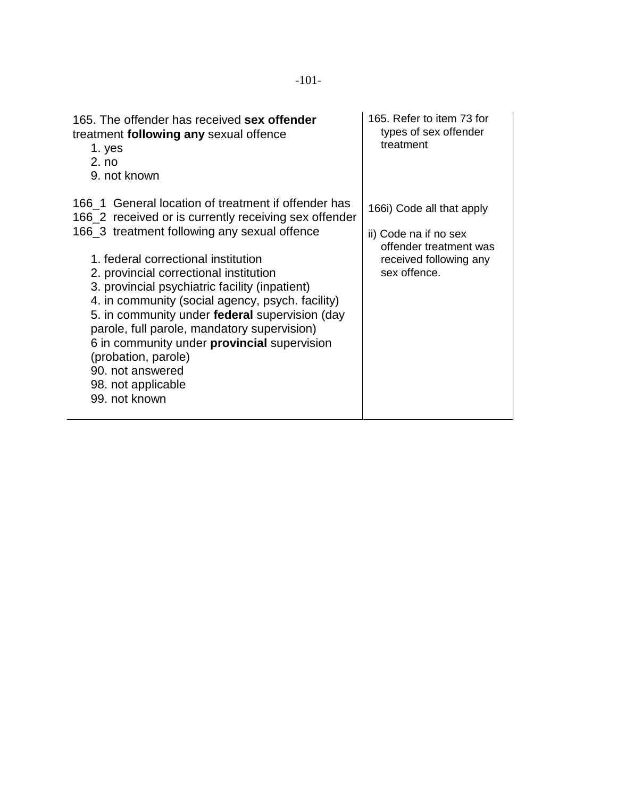| 165. The offender has received sex offender<br>treatment following any sexual offence<br>1. yes<br>2. no<br>9. not known                                                                                                                                                                                                                                                                                                                                                                                                                                                                     | 165. Refer to item 73 for<br>types of sex offender<br>treatment                                                        |
|----------------------------------------------------------------------------------------------------------------------------------------------------------------------------------------------------------------------------------------------------------------------------------------------------------------------------------------------------------------------------------------------------------------------------------------------------------------------------------------------------------------------------------------------------------------------------------------------|------------------------------------------------------------------------------------------------------------------------|
| 166 1 General location of treatment if offender has<br>166_2 received or is currently receiving sex offender<br>166_3 treatment following any sexual offence<br>1. federal correctional institution<br>2. provincial correctional institution<br>3. provincial psychiatric facility (inpatient)<br>4. in community (social agency, psych. facility)<br>5. in community under federal supervision (day<br>parole, full parole, mandatory supervision)<br>6 in community under <b>provincial</b> supervision<br>(probation, parole)<br>90. not answered<br>98. not applicable<br>99. not known | 166i) Code all that apply<br>ii) Code na if no sex<br>offender treatment was<br>received following any<br>sex offence. |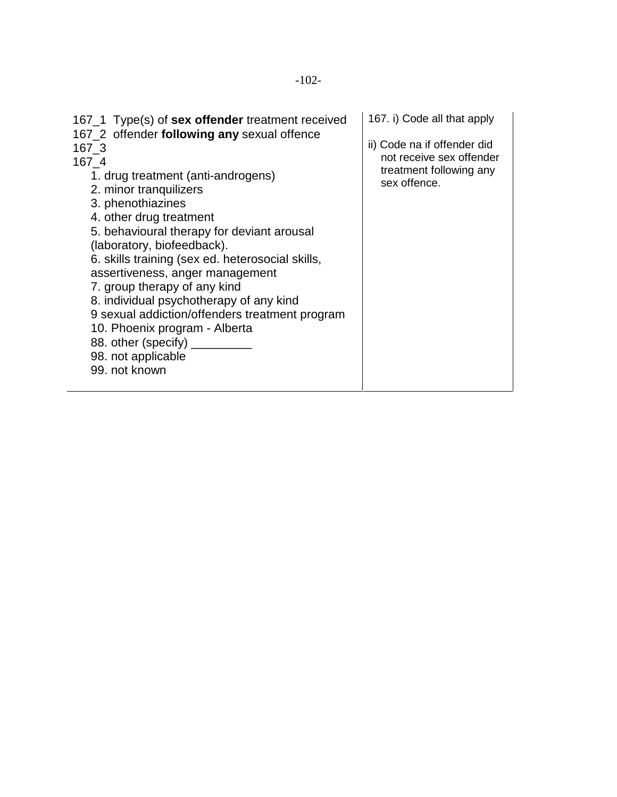| 167_1 Type(s) of <b>sex offender</b> treatment received<br>167_2 offender following any sexual offence<br>167 3<br>167 4<br>1. drug treatment (anti-androgens)<br>2. minor tranquilizers<br>3. phenothiazines<br>4. other drug treatment<br>5. behavioural therapy for deviant arousal<br>(laboratory, biofeedback).<br>6. skills training (sex ed. heterosocial skills,<br>assertiveness, anger management<br>7. group therapy of any kind<br>8. individual psychotherapy of any kind<br>9 sexual addiction/offenders treatment program<br>10. Phoenix program - Alberta<br>88. other (specify)<br>98. not applicable<br>99. not known | 167. i) Code all that apply<br>ii) Code na if offender did<br>not receive sex offender<br>treatment following any<br>sex offence. |
|-----------------------------------------------------------------------------------------------------------------------------------------------------------------------------------------------------------------------------------------------------------------------------------------------------------------------------------------------------------------------------------------------------------------------------------------------------------------------------------------------------------------------------------------------------------------------------------------------------------------------------------------|-----------------------------------------------------------------------------------------------------------------------------------|
|-----------------------------------------------------------------------------------------------------------------------------------------------------------------------------------------------------------------------------------------------------------------------------------------------------------------------------------------------------------------------------------------------------------------------------------------------------------------------------------------------------------------------------------------------------------------------------------------------------------------------------------------|-----------------------------------------------------------------------------------------------------------------------------------|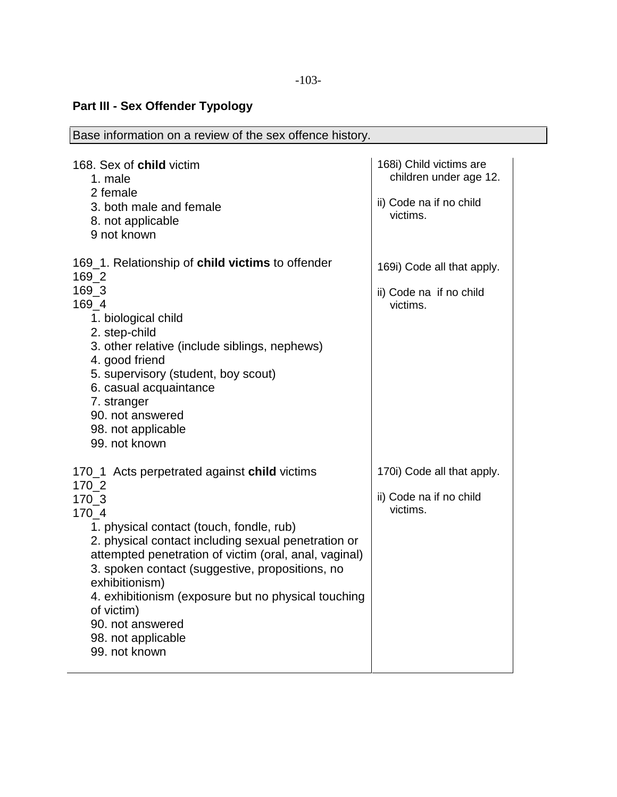## **Part III - Sex Offender Typology**

| Base information on a review of the sex offence history.                                                                                                                                                                                                                                                                                                                                                                                                        |                                                                                          |  |
|-----------------------------------------------------------------------------------------------------------------------------------------------------------------------------------------------------------------------------------------------------------------------------------------------------------------------------------------------------------------------------------------------------------------------------------------------------------------|------------------------------------------------------------------------------------------|--|
| 168. Sex of child victim<br>1. male<br>2 female<br>3. both male and female<br>8. not applicable<br>9 not known                                                                                                                                                                                                                                                                                                                                                  | 168i) Child victims are<br>children under age 12.<br>ii) Code na if no child<br>victims. |  |
| 169_1. Relationship of <b>child victims</b> to offender<br>$169 - 2$<br>169 3<br>169 4<br>1. biological child<br>2. step-child<br>3. other relative (include siblings, nephews)<br>4. good friend<br>5. supervisory (student, boy scout)<br>6. casual acquaintance<br>7. stranger<br>90. not answered<br>98. not applicable<br>99. not known                                                                                                                    | 169i) Code all that apply.<br>ii) Code na if no child<br>victims.                        |  |
| 170 <sub>-1</sub> Acts perpetrated against <b>child</b> victims<br>$170 - 2$<br>170_3<br>170 4<br>1. physical contact (touch, fondle, rub)<br>2. physical contact including sexual penetration or<br>attempted penetration of victim (oral, anal, vaginal)<br>3. spoken contact (suggestive, propositions, no<br>exhibitionism)<br>4. exhibitionism (exposure but no physical touching<br>of victim)<br>90. not answered<br>98. not applicable<br>99. not known | 170i) Code all that apply.<br>ii) Code na if no child<br>victims.                        |  |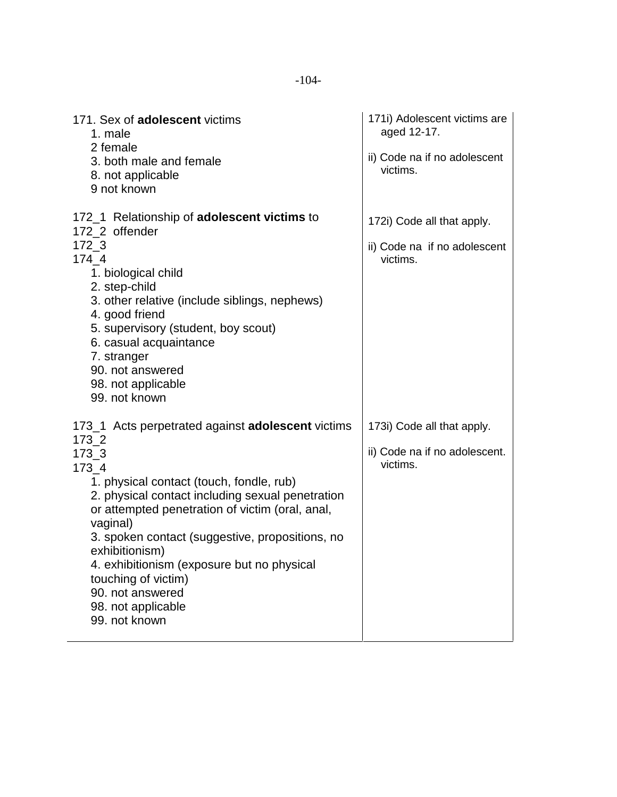| 171. Sex of <b>adolescent</b> victims<br>1. male<br>2 female<br>3. both male and female<br>8. not applicable<br>9 not known                                                                                                                                                                                                                                      | 171i) Adolescent victims are<br>aged 12-17.<br>ii) Code na if no adolescent<br>victims. |
|------------------------------------------------------------------------------------------------------------------------------------------------------------------------------------------------------------------------------------------------------------------------------------------------------------------------------------------------------------------|-----------------------------------------------------------------------------------------|
| 172_1 Relationship of <b>adolescent victims</b> to<br>172 2 offender                                                                                                                                                                                                                                                                                             | 172i) Code all that apply.                                                              |
| 172 3<br>174 4<br>1. biological child<br>2. step-child<br>3. other relative (include siblings, nephews)<br>4. good friend<br>5. supervisory (student, boy scout)<br>6. casual acquaintance<br>7. stranger<br>90. not answered<br>98. not applicable<br>99. not known                                                                                             | ii) Code na if no adolescent<br>victims.                                                |
| 173_1 Acts perpetrated against <b>adolescent</b> victims<br>$173 - 2$                                                                                                                                                                                                                                                                                            | 173i) Code all that apply.                                                              |
| $173 - 3$<br>173 4                                                                                                                                                                                                                                                                                                                                               | ii) Code na if no adolescent.<br>victims.                                               |
| 1. physical contact (touch, fondle, rub)<br>2. physical contact including sexual penetration<br>or attempted penetration of victim (oral, anal,<br>vaginal)<br>3. spoken contact (suggestive, propositions, no<br>exhibitionism)<br>4. exhibitionism (exposure but no physical<br>touching of victim)<br>90. not answered<br>98. not applicable<br>99. not known |                                                                                         |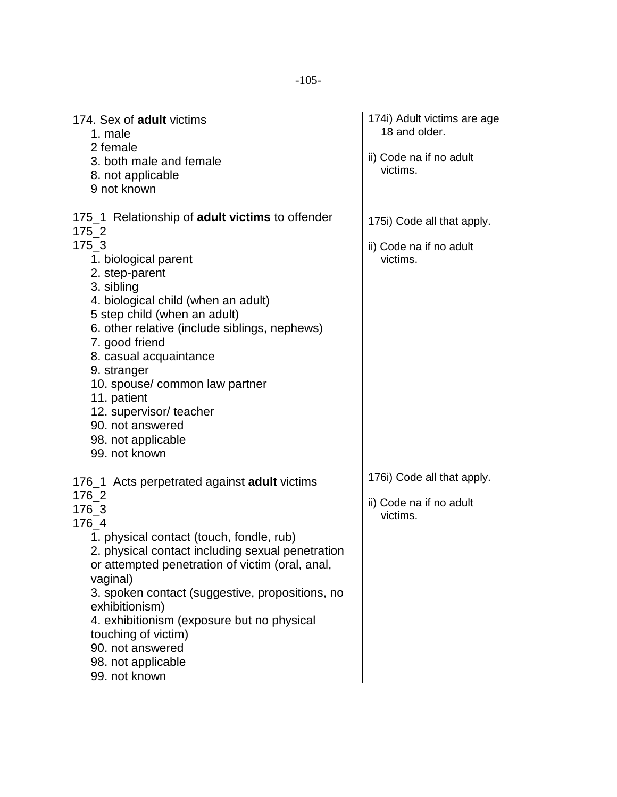174. Sex of **adult** victims 1. male 2 female 3. both male and female 8. not applicable 9 not known 175\_1 Relationship of **adult victims** to offender 175\_2 175\_3 1. biological parent 2. step-parent 3. sibling 4. biological child (when an adult) 5 step child (when an adult) 6. other relative (include siblings, nephews) 7. good friend 8. casual acquaintance 9. stranger 10. spouse/ common law partner 11. patient 12. supervisor/ teacher 90. not answered 98. not applicable 99. not known 176\_1 Acts perpetrated against **adult** victims 176\_2 176\_3 176\_4 1. physical contact (touch, fondle, rub) 2. physical contact including sexual penetration or attempted penetration of victim (oral, anal, vaginal) 3. spoken contact (suggestive, propositions, no exhibitionism) 4. exhibitionism (exposure but no physical touching of victim) 90. not answered 98. not applicable 99. not known 174i) Adult victims are age 18 and older. ii) Code na if no adult victims. 175i) Code all that apply. ii) Code na if no adult victims. 176i) Code all that apply. ii) Code na if no adult victims.

-105-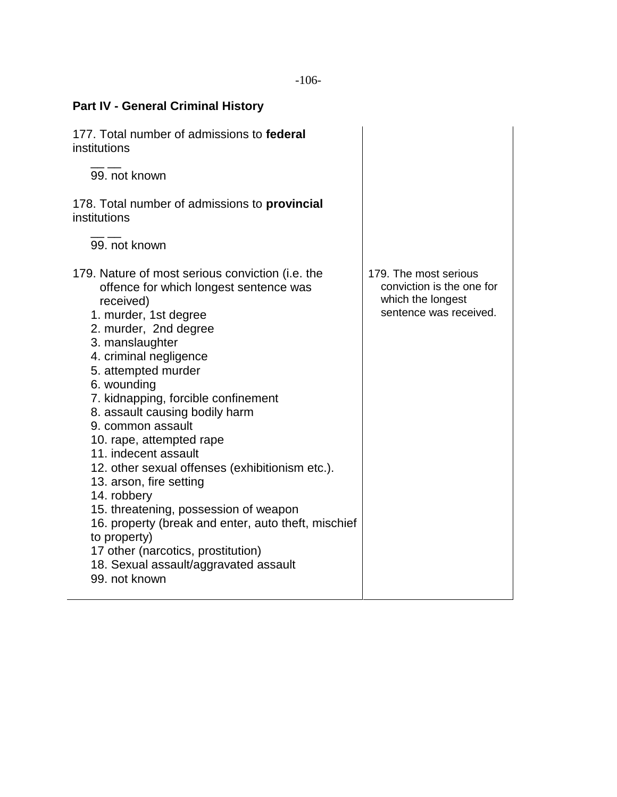| <b>Part IV - General Criminal History</b>                                                                                                                                                                                                                                                                                                                                                                                                                                                                                                                                                                                                                                                                   |                                                                                                   |  |
|-------------------------------------------------------------------------------------------------------------------------------------------------------------------------------------------------------------------------------------------------------------------------------------------------------------------------------------------------------------------------------------------------------------------------------------------------------------------------------------------------------------------------------------------------------------------------------------------------------------------------------------------------------------------------------------------------------------|---------------------------------------------------------------------------------------------------|--|
| 177. Total number of admissions to federal<br>institutions                                                                                                                                                                                                                                                                                                                                                                                                                                                                                                                                                                                                                                                  |                                                                                                   |  |
| 99. not known                                                                                                                                                                                                                                                                                                                                                                                                                                                                                                                                                                                                                                                                                               |                                                                                                   |  |
| 178. Total number of admissions to <b>provincial</b><br>institutions                                                                                                                                                                                                                                                                                                                                                                                                                                                                                                                                                                                                                                        |                                                                                                   |  |
| 99. not known                                                                                                                                                                                                                                                                                                                                                                                                                                                                                                                                                                                                                                                                                               |                                                                                                   |  |
| 179. Nature of most serious conviction (i.e. the<br>offence for which longest sentence was<br>received)<br>1. murder, 1st degree<br>2. murder, 2nd degree<br>3. manslaughter<br>4. criminal negligence<br>5. attempted murder<br>6. wounding<br>7. kidnapping, forcible confinement<br>8. assault causing bodily harm<br>9. common assault<br>10. rape, attempted rape<br>11. indecent assault<br>12. other sexual offenses (exhibitionism etc.).<br>13. arson, fire setting<br>14. robbery<br>15. threatening, possession of weapon<br>16. property (break and enter, auto theft, mischief<br>to property)<br>17 other (narcotics, prostitution)<br>18. Sexual assault/aggravated assault<br>99. not known | 179. The most serious<br>conviction is the one for<br>which the longest<br>sentence was received. |  |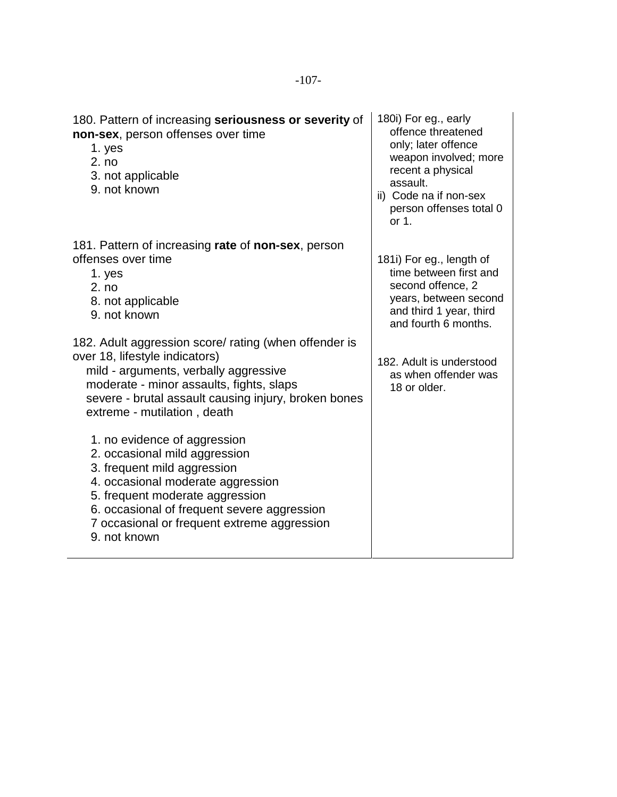| 180. Pattern of increasing seriousness or severity of<br>non-sex, person offenses over time<br>1. yes<br>2. no<br>3. not applicable<br>9. not known                                                                                                                                | 180i) For eg., early<br>offence threatened<br>only; later offence<br>weapon involved; more<br>recent a physical<br>assault.<br>ii) Code na if non-sex<br>person offenses total 0<br>or 1. |
|------------------------------------------------------------------------------------------------------------------------------------------------------------------------------------------------------------------------------------------------------------------------------------|-------------------------------------------------------------------------------------------------------------------------------------------------------------------------------------------|
| 181. Pattern of increasing rate of non-sex, person<br>offenses over time<br>1. yes<br>2. no<br>8. not applicable<br>9. not known                                                                                                                                                   | 181i) For eg., length of<br>time between first and<br>second offence, 2<br>years, between second<br>and third 1 year, third<br>and fourth 6 months.                                       |
| 182. Adult aggression score/ rating (when offender is<br>over 18, lifestyle indicators)<br>mild - arguments, verbally aggressive<br>moderate - minor assaults, fights, slaps<br>severe - brutal assault causing injury, broken bones<br>extreme - mutilation, death                | 182. Adult is understood<br>as when offender was<br>18 or older.                                                                                                                          |
| 1. no evidence of aggression<br>2. occasional mild aggression<br>3. frequent mild aggression<br>4. occasional moderate aggression<br>5. frequent moderate aggression<br>6. occasional of frequent severe aggression<br>7 occasional or frequent extreme aggression<br>9. not known |                                                                                                                                                                                           |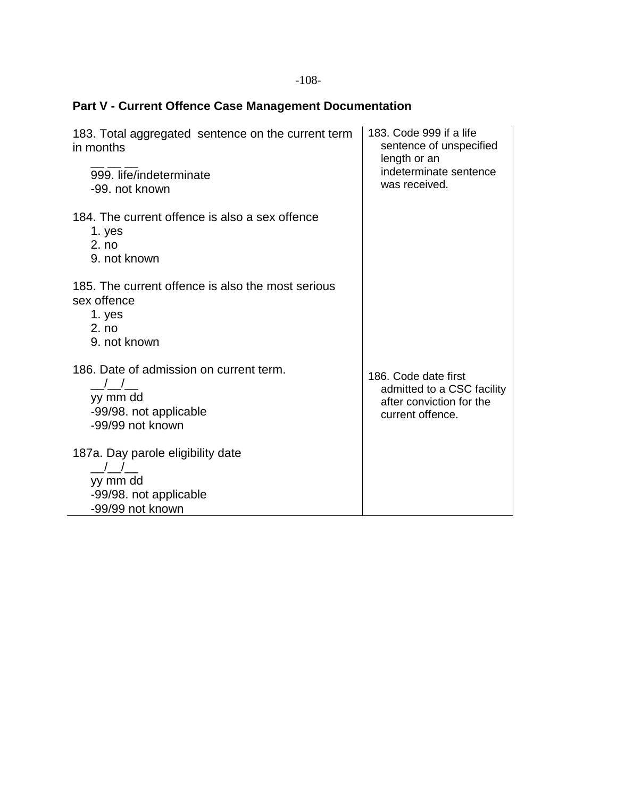## -108-

## **Part V - Current Offence Case Management Documentation**

| 183. Total aggregated sentence on the current term<br>in months                   | 183. Code 999 if a life<br>sentence of unspecified<br>length or an<br>indeterminate sentence<br>was received. |
|-----------------------------------------------------------------------------------|---------------------------------------------------------------------------------------------------------------|
| 999. life/indeterminate<br>-99. not known                                         |                                                                                                               |
| 184. The current offence is also a sex offence<br>1. yes<br>2. no<br>9. not known |                                                                                                               |
| 185. The current offence is also the most serious<br>sex offence                  |                                                                                                               |
| 1. yes<br>2. no                                                                   |                                                                                                               |
| 9. not known                                                                      |                                                                                                               |
| 186. Date of admission on current term.<br>$\frac{1}{2}$                          | 186. Code date first                                                                                          |
| yy mm dd                                                                          | admitted to a CSC facility<br>after conviction for the                                                        |
| -99/98. not applicable<br>-99/99 not known                                        | current offence.                                                                                              |
| 187a. Day parole eligibility date                                                 |                                                                                                               |
| yy mm dd                                                                          |                                                                                                               |
| -99/98. not applicable                                                            |                                                                                                               |
| -99/99 not known                                                                  |                                                                                                               |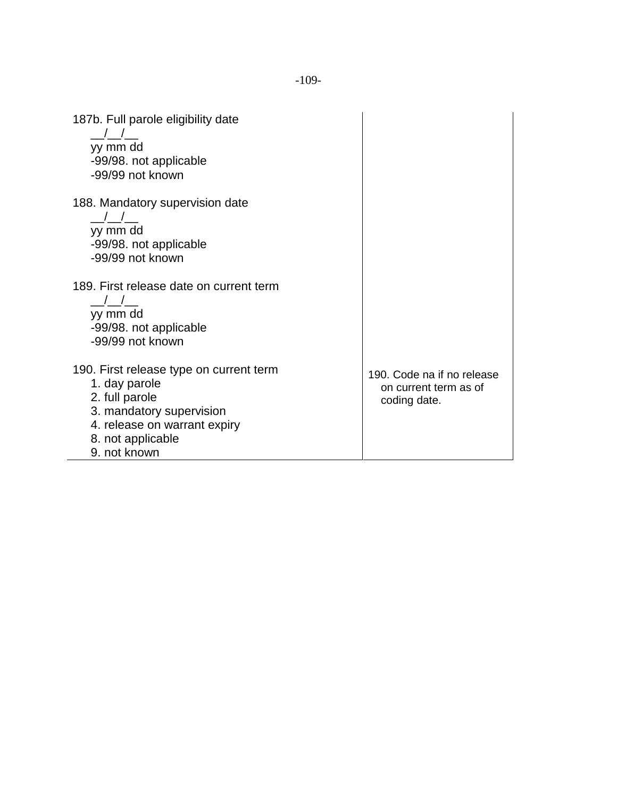| 187b. Full parole eligibility date<br>yy mm dd<br>-99/98. not applicable<br>-99/99 not known                                                                                |                                                                     |
|-----------------------------------------------------------------------------------------------------------------------------------------------------------------------------|---------------------------------------------------------------------|
| 188. Mandatory supervision date<br>yy mm dd<br>-99/98. not applicable<br>-99/99 not known                                                                                   |                                                                     |
| 189. First release date on current term<br>yy mm dd<br>-99/98. not applicable<br>-99/99 not known                                                                           |                                                                     |
| 190. First release type on current term<br>1. day parole<br>2. full parole<br>3. mandatory supervision<br>4. release on warrant expiry<br>8. not applicable<br>9. not known | 190. Code na if no release<br>on current term as of<br>coding date. |